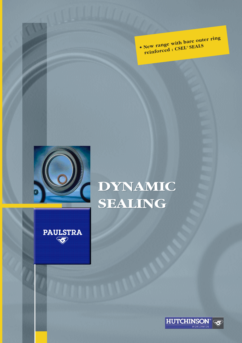**• New range with bare outer ring reinforced : CSEL® SEALS**



**PAULSTRA** 

# **DYNAMIC DYNAMIC SEALING SEALING**

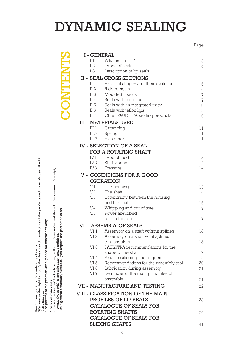# DYNAMIC SEALING

Page

|                                                     | <b>I-GENERAL</b> |                                                   |                |
|-----------------------------------------------------|------------------|---------------------------------------------------|----------------|
|                                                     | 1.1              | What is a seal?                                   | 3              |
|                                                     | I.2              | Types of seals                                    | 4              |
| <b>CONTENT</b>                                      | I.3              | Description of lip seals                          | 5              |
|                                                     |                  | II - SEAL CROSS SECTIONS                          |                |
|                                                     | II. 1            | External shapes and their evolution               | 6              |
|                                                     | II.2             | Ridged seals                                      | 6              |
|                                                     | II.3             | Moulded li seals                                  | $\,7$          |
|                                                     | II.4             | Seals with mini-lips                              | $\overline{I}$ |
|                                                     | II.5             | Seals with an integrated track                    | 8              |
|                                                     | II.6             | Seals with teflon lips                            | $\Theta$       |
|                                                     | II.7             | Other PAULSTRA sealing products                   | 9              |
|                                                     |                  | <b>III - MATERIALS USED</b>                       |                |
|                                                     | III.1            | Outer ring                                        | 11             |
|                                                     | III.2            | Spring                                            | 11             |
|                                                     | III.3            | Elastomer                                         | 11             |
|                                                     |                  | <b>IV - SELECTION OF A.SEAL</b>                   |                |
|                                                     |                  | <b>FOR A ROTATING SHAFT</b>                       |                |
|                                                     | IV. 1            | Type of fluid                                     | 12             |
|                                                     | IV.2             | Shaft speed                                       | 14             |
|                                                     | IV.3             | Pressure                                          | 14             |
|                                                     |                  | <b>V - CONDITIONS FOR A GOOD</b>                  |                |
|                                                     |                  | <b>OPERATION</b>                                  |                |
|                                                     | V. l             | The housing                                       | 15             |
|                                                     | V.2              | The shaft                                         | 16             |
|                                                     | V.3              | Eccentricity between the housing<br>and the shaft |                |
|                                                     | V.4              | Whipping and out of true                          | 16<br>17       |
|                                                     | V.5              | Power absorbed                                    |                |
|                                                     |                  | due to friction                                   | 17             |
| part of the order                                   |                  | VI - ASSEMBLY OF SEALS                            |                |
|                                                     | VI. l            | Assembly on a shaft without splines               | 18             |
|                                                     | VI.2             | Assembly on a shaft witht splines                 |                |
|                                                     |                  | or a shoulder                                     | 18             |
|                                                     | VI.3             | PAULSTRA recommendations for the                  |                |
|                                                     |                  | shape of the shaft                                | 19             |
|                                                     | VI.4             | Axial positioning and alignement                  | 19             |
|                                                     | VI.5             | Recommendations for the assembly tool             | 20             |
|                                                     | VI.6<br>VI.7     | Lubrication during assembly                       | 21             |
|                                                     |                  | Reminder of the main principles of<br>assembly    | 21             |
|                                                     |                  |                                                   |                |
|                                                     |                  | <b>VII - MANUFACTURE AND TESTING</b>              | 22             |
|                                                     |                  | VIII - CLASSIFICATION OF THE MAIN                 |                |
| sale general conditions, available upon request are |                  | PROFILES OF LIP SEALS                             | 23             |
|                                                     |                  | <b>CATALOGUE OF SEALS FOR</b>                     |                |
|                                                     |                  | <b>ROTATING SHAFTS</b>                            | 24             |
|                                                     |                  | <b>CATALOGUE OF SEALS FOR</b>                     |                |
|                                                     |                  | <b>SLIDING SHAFTS</b>                             | 41             |

See current price list for availability of items.<br>We reserve the right to modify the design and manufacture of the products and materials described in<br>this catalogue.<br>The pictures of the products are supplied for informati We reserve the right to modify the design and manufacture of the products and materials described in See current price list for availability of items.

this catalogue. The pictures of the products are supplied for information only.

The order comprises :

The order comprises :<br>- the contract signed by both parties, or the purchase order and the acknoledgement of receipt,<br>- eventualy, special or specific additional conditions,<br>- sale general conditions, available upon reques - the contract signed by both parties, or the purchase order and the acknoledgement of receipt,

- eventualy, special or specific additional conditions,

- sale general conditions, available upon request are part of the order.

2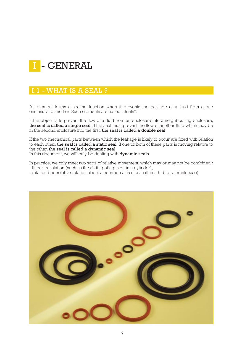## I - GENERAL

## I.1 - WHAT IS A SEAL ?

An element forms a sealing function when it prevents the passage of a fluid from a one enclosure to another. Such elements are called "Seals".

If the object is to prevent the flow of a fluid from an enclosure into a neighbouring enclosure, the seal is called a single seal. If the seal must prevent the flow of another fluid which may be in the second enclosure into the first, the seal is called a double seal.

If the two mechanical parts between which the leakage is likely to occur are fixed with relation to each other, the seal is called a static seal. If one or both of these parts is moving relative to the other, the seal is called a dynamic seal.

In this document, we will only be dealing with **dynamic seals**.

In practice, we only meet two sorts of relative movement, which may or may not be combined : - linear translation (such as the sliding of a piston in a cylinder).

- rotation (the relative rotation about a common axis of a shaft in a hub or a crank case).

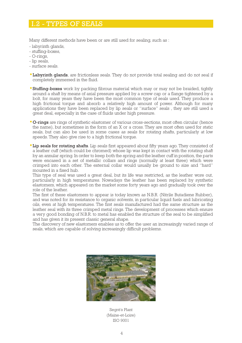#### I.2 - TYPES OF SEALS

Many different methods have been or are still used for sealing, such as :

- labyrinth glands,
- stuffing-boxes,
- O-rings,
- lip seals,
- surface seals.
- Labyrinth glands, are frictionless seals. They do not provide total sealing and do not seal if completely immersed in the fluid.
- Stuffing-boxes work by packing fibrous material which may or may not be braided, tightly around a shaft by means of axial pressure applied by a screw cap or a flange tightened by a bolt, for many years they have been the most common type of seals used. They produce a high frictional torque and absorb a relatively high amount of power. Although for many applications they have been replaced by lip seals or "surface" seals , they are still used a great deal, especially in the case of fluids under high pressure.
- O-rings are rings of synthetic elastomer of various cross-sections, most often circular (hence the name), but sometimes in the form of an X or a cross. They are most often used for static seals, but can also be used in some cases as seals for rotating shafts, particularly at low speeds. They also give rise to a high frictional torque.
- Lip seals for rotating shafts. Lip seals first appeared about fifty years ago. They consisted of a leather cuff (which could be chromed) whose lip was kept in contact with the rotating shaft by an annular spring. In order to keep both the spring and the leather cuff in position, the parts were encased in a set of metallic collars and rings (normally at least three) which were crimped into each other. The external collar would usually be ground to size and "hard" mounted in a fixed hub.

This type of seal was used a great deal, but its life was restricted, as the leather wore out, particularly in high temperatures. Nowadays the leather has been replaced by synthetic elastomers, which appeared on the market some forty years ago and gradually took over the role of the leather.

The first of these elastomers to appear is today known as N.B.R. (Nitrile Butadiene Rubber), and was noted for its resistance to organic solvents, in particular liquid fuels and lubricating oils, even at high temperatures. The first seals manufactured had the same structure as the leather seal with its three crimped metal rings. The development of processes which ensure a very good bonding of N.B.R. to metal has enabled the structure of the seal to be simplified and has given it its present classic general shape.

The discovery of new elastomers enables us to offer the user an increasingly varied range of seals, which are capable of solving increasingly difficult problems.



Segré's Plant (Maine-et-Loire) ISO 9001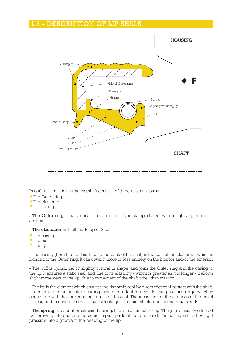#### I.3 - DESCRIPTION OF LIP SEALS



In outline, a seal for a rotating shaft consists of three essential parts :

- The Outer ring.
- The elastomer.
- The spring.

- The Outer ring usually consists of a metal ring in stamped steel with a right-angled crosssection.

- The elastomer is itself made up of 3 parts :

- The casing.
- The cuff.
- The lip.

- The casing (from the front surface to the back of the seal) is the part of the elastomer which is bonded to the Outer ring. It can cover it more or less entirely on the interior and/or the exterior.

- The cuff is cylindrical or slightly conical in shape, and joins the Outer ring and the casing to the lip. It ensures a static seal, and due to its elasticity - which is greater as it is longer - it allows slight movement of the lip, due to movement of the shaft other than rotation.

- The lip is the element which ensures the dynamic seal by direct frictional contact with the shaft. It is made up of an annular beading including a double bevel forming a sharp ridge which is concentric with the perpendicular axis of the seal. The inclination of the surfaces of the bevel is designed to ensure the seal against leakage of a fluid situated on the side marked F.

- The spring is a spiral prestressed spring. It forms an annular ring. The join is usually effected by screwing into one end the conical spiral parts of the other end. The spring is fitted by light pressure into a groove in the beading of the lip.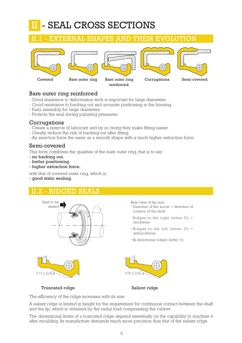#### - SEAL CROSS SECTIONS II

#### XTERNAL SHAPES AND THEIR EVOLUTION









reinforced

Covered Bare outer ring Bare outer ring Corrugations Semi-covered

#### Bare outer ring reinforced

- Good resistance to deformation wich is important for large diameters.
- Good resistance to backing out and accurate positioning in the housing.
- Easy assembly for large diameters.
- Protects the seal during pulsating pressures.

#### **Corrugations**

- Create a reserve of lubricant and by so doing they make fitting easier.
- Greatly reduce the risk of backing out after fitting.
- An insertion force the same as a smooth shape with a much higher extraction force.

#### Semi-covered

This form combines the qualities of the bare outer ring, that is to say :

- no backing out.
- better positioning.
- higher extraction force.

with that of covered outer ring, which is :

- good static sealing.

## 2 - RIDGED SEALS



Truncated ridge Salient ridge

The efficiency of the ridge increases with its size.

A salient ridge is limited in height by the requirement for continuous contact between the shaft and the lip, which is obtained by the radial load compressing the rubber.

The dimensional limits of a truncated ridge depend essentially on the capability to machine it after moulding. Its manufacture demands much more precision than that of the salient ridge.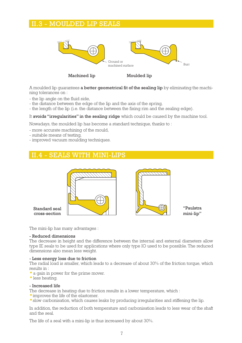#### II.3 - MOULDED LIP SEALS



Machined lip Moulded lip

A moulded lip quarantees a better geometrical fit of the sealing lip by eliminating the machining tolerances on :

- the lip angle on the fluid side,
- the distance between the edge of the lip and the axis of the spring,
- the length of the lip (i.e. the distance between the fixing rim and the sealing edge).

#### It avoids "irregularities" in the sealing ridge which could be caused by the machine tool.

Nowadays, the moulded lip has become a standard technique, thanks to :

- more accurate machining of the mould,
- suitable means of testing,
- improved vacuum moulding techniques.

#### **SEALS WITH MINI-LIPS**





"Paulstra mini-lip"

cross-section

Standard seal

The mini-lip has many advantages :

#### - Reduced dimensions

The decrease in height and the difference between the internal and external diameters allow type IE seals to be used for applications where only type IO used to be possible. The reduced dimensions also mean less weight.

#### - Less energy loss due to friction

The radial load is smaller, which leads to a decrease of about 30% of the friction torque, which results in :

- a gain in power for the prime mover.
- less heating.

#### - Increased life

The decrease in heating due to friction results in a lower temperature, which :

- improves the life of the elastomer.
- slow carbonisation, which causes leaks by producing irregularities and stiffening the lip.

In addition, the reduction of both temperature and carbonisation leads to less wear of the shaft and the seal.

The life of a seal with a mini-lip is thus increased by about 30%.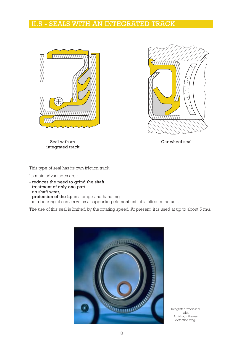#### II.5 - SEALS WITH AN INTEGRATED TRACK





Seal with an Car wheel seal integrated track

This type of seal has its own friction track.

Its main advantages are :

- reduces the need to grind the shaft,
- treatment of only one part,
- no shaft wear,
- protection of the lip in storage and handling,
- in a bearing, it can serve as a supporting element until it is fitted in the unit.

The use of this seal is limited by the rotating speed. At present, it is used at up to about 5 m/s.



Integrated track seal with Anti-Lock Brakes detection ring.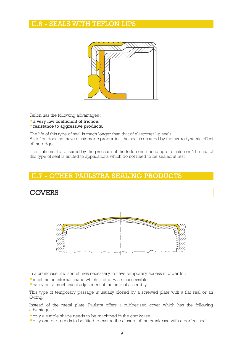#### II.6 - SEALS WITH TEFLON LIPS



Teflon has the following advantages :

- a very low coefficient of friction.
- resistance to aggressive products.

The life of this type of seal is much longer than that of elastomer lip seals.

As teflon does not have elastomeric properties, the seal is ensured by the hydrodynamic effect of the ridges.

The static seal is ensured by the pressure of the teflon on a beading of elastomer. The use of this type of seal is limited to applications which do not need to be sealed at rest.

#### **7 - OTHER PAULSTRA SEALING PRODUCTS**

## **COVERS**



In a crankcase, it is sometimes necessary to have temporary access in order to :

• machine an internal shape which is otherwise inaccessible.

• carry out a mechanical adjustment at the time of assembly.

This type of temporary passage is usually closed by a screwed plate with a flat seal or an O-ring.

Instead of the metal plate, Paulstra offers a rubberised cover which has the following advantages :

- only a simple shape needs to be machined in the crankcase.
- only one part needs to be fitted to ensure the closure of the crankcase with a perfect seal.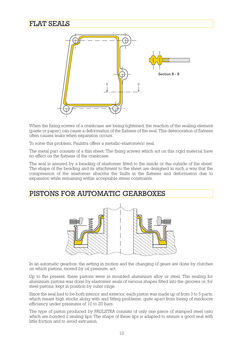## FLAT SEALS



When the fixing screws of a crankcase are being tightened, the reaction of the sealing element (paste or paper) can cause a deformation of the flatness of the seal. This deterioration of flatness often causes leaks when expansion occurs.

To solve this problem, Paulstra offers a metallic-elastomeric seal.

The metal part consists of a thin sheet. The fixing screws which act on this rigid material have no effect on the flatness of the crankcase.

The seal is assured by a beading of elastomer fitted to the inside or the outside of the sheet. The shape of the beading and its attachment to the sheet are designed in such a way that the compression of the elastomer absorbs the faults in the flatness and deformation due to expansion while remaining within acceptable stress constraints.

## PISTONS FOR AUTOMATIC GEARBOXES



In an automatic gearbox, the setting in motion and the changing of gears are done by clutches on which pistons, moved by oil pressure, act.

Up to the present, these pistons were in moulded aluminium alloy or steel. The sealing for aluminium pistons was done by elastomer seals of various shapes fitted into the grooves or, for steel pistons, kept in position by outer rings.

Since the seal had to be both interior and exterior, each piston was made up of from 3 to 5 parts, which meant high stocks along with and fitting problems, quite apart from being of mediocre efficiency under pressures of 10 to 20 bars.

The type of piston produced by PAULSTRA consists of only one piece of stamped steel onto which are bonded 2 sealing lips. The shape of these lips is adapted to ensure a good seal with little friction and to avoid extrusion.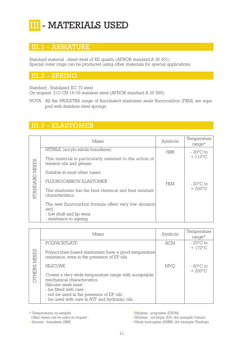## III - MATERIALS USED

## III.1 - ARMATURE

Standard material : sheet steel of XE quality (AFNOR standard A 36 401) Special outer rings can be produced using other materials for special applications.

#### .2 - SPRING

Standard : Stabilised XC 70 steel

On request: Z10 CN 18-09 stainless steel (AFNOR standard A 35 586).

NOTA : All the PAULSTRA range of fluorinated elastomer seals fluorocarbon (FKM) are equiped with stainless steel springs.

## III.3 - ELASTOMER

|          | Mixes                                                                                | Symbols    | Temperature<br>$range*$ |
|----------|--------------------------------------------------------------------------------------|------------|-------------------------|
|          | NITRILE (acrylo-nitrile butadiene)                                                   | <b>NBR</b> | $-30^{\circ}$ C to      |
| ) MIXES  | This material is particularly resistant to the action of<br>mineral oils and grease. |            | $+ 110^{\circ}$ C       |
|          | Suitable in most other cases.                                                        |            |                         |
|          | FLUOROCARBON ELASTOMER                                                               | FKM        | $-20^{\circ}$ C to      |
| STANDARD | This elastomer has the best chemical and heat resistant<br>characteristics.          |            | $+200^{\circ}$ C        |
|          | The new fluorocarbon formula offers very low abrasion<br>and :                       |            |                         |
|          | - low shaft and lip wear.<br>- resistance to ageing.                                 |            |                         |

|                      | This material is particularly resistant to the action of<br>mineral oils and grease.                                                                                                                                                  |                                                  |                                         |
|----------------------|---------------------------------------------------------------------------------------------------------------------------------------------------------------------------------------------------------------------------------------|--------------------------------------------------|-----------------------------------------|
|                      | Suitable in most other cases.                                                                                                                                                                                                         |                                                  |                                         |
|                      | <b>FLUOROCARBON ELASTOMER</b>                                                                                                                                                                                                         | <b>FKM</b>                                       | $-20^{\circ}$ C to                      |
| STANDARD MIXES       | This elastomer has the best chemical and heat resistant<br>characteristics.                                                                                                                                                           |                                                  | $+200^{\circ}$ C                        |
|                      | The new fluorocarbon formula offers very low abrasion<br>and :                                                                                                                                                                        |                                                  |                                         |
|                      | - low shaft and lip wear.<br>- resistance to ageing.                                                                                                                                                                                  |                                                  |                                         |
|                      |                                                                                                                                                                                                                                       |                                                  |                                         |
|                      | <b>Mixes</b>                                                                                                                                                                                                                          | Symbols                                          | Temperature<br>$range*$                 |
|                      | <b>POLYACRYLATE</b>                                                                                                                                                                                                                   | <b>ACM</b>                                       | $-20^{\circ}$ C to<br>$+ 170^{\circ}$ C |
| <b>CITHERS MIXES</b> | Polyacrylate based elastomers have a good temperature<br>resistance, even in the presence of EP oils.                                                                                                                                 |                                                  |                                         |
|                      | <b>SILICONE</b>                                                                                                                                                                                                                       | <b>MVQ</b>                                       | $-60^{\circ}$ C to                      |
|                      | Covers a very wide temperature range with acceptable<br>mechanical characteristics.<br>Silicone seals must :<br>- be fitted with care;<br>- not be used in the presence of EP oils;<br>- be used with care in ATF and hydraulic oils. |                                                  | $+200^{\circ}$ C                        |
|                      | * Temperatures on samples<br>• Ethylene - propylene (EPDM)<br>Other mixes can be used on request:                                                                                                                                     | • Ethylene - acrylique (EA) (for example Vamac)  |                                         |
|                      | · Styrene - butadiene (SBR)                                                                                                                                                                                                           | • Nitrile hydrogene (HNBR) (for example Therban) |                                         |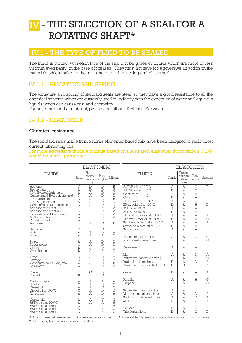## IV - THE SELECTION OF A SEAL FOR A ROTATING SHAFT\*

#### IV.1 - THE TYPE OF FLUID TO BE SEALED

The fluids in contact with each face of the seal can be gases or liquids which are more or less viscous, even pasty (in the case of greases). They must not have too aggressive an action on the materials which make up the seal (the outer ring, spring and elastomer).

#### IV. 1.1 - ARMATURE AND SPRING

The armature and spring of standard seals are steel, so they have a good resistance to all the chemical solvents which are currently used in industry, with the exception of water and aqueous liquids which can cause rust and corrosion.

For any other kind of material, please consult our Technical Services.

#### IV. 1.2 - ELASTOMER

#### Chemical resistance

The standard seals made from a nitrile elastomer based mix have been designed to resist most current lubricating oils.

For more aggressive fluids, a formula based on fluorinated elastomer fluorocarbon (FKM) would be more appropriate.

|                                                                                                                                                                                                                                                                                                |                                                                                                                                           | <b>ELASTOMERS</b>                                                                  |                                                                                                                                                                                                   |                                                                                                           |                                                                                                                                                                                                                                                                                                            | <b>ELASTOMERS</b>                                                                                                         |                                                          |                                                                      |                                                                                                                                                                      |  |
|------------------------------------------------------------------------------------------------------------------------------------------------------------------------------------------------------------------------------------------------------------------------------------------------|-------------------------------------------------------------------------------------------------------------------------------------------|------------------------------------------------------------------------------------|---------------------------------------------------------------------------------------------------------------------------------------------------------------------------------------------------|-----------------------------------------------------------------------------------------------------------|------------------------------------------------------------------------------------------------------------------------------------------------------------------------------------------------------------------------------------------------------------------------------------------------------------|---------------------------------------------------------------------------------------------------------------------------|----------------------------------------------------------|----------------------------------------------------------------------|----------------------------------------------------------------------------------------------------------------------------------------------------------------------|--|
| <b>FLUIDS</b>                                                                                                                                                                                                                                                                                  | Nitrile                                                                                                                                   | Fluoro-<br>carbon<br>elas-<br>tomer                                                | Poly-<br>acrylate                                                                                                                                                                                 | Silicone                                                                                                  | <b>FLUIDS</b>                                                                                                                                                                                                                                                                                              | Nitrile                                                                                                                   | Fluoro-<br>carbon<br>elas-<br>tomer                      | Poly-<br>acrylate                                                    | Silicone                                                                                                                                                             |  |
| Acetone<br>Acetic acid<br>10% Hydrochloric acid<br>Concentrated Hydrochloric acid<br>20% Nitric acid<br>10% Sulphuric acid<br>Concentrated Sulphuric acid<br>Atmospheric air at 100°C<br>Atmospheric air at 200°C<br>Concentrated Ethyl alcohol<br>Methyl alcohol<br>Propyl alcohol<br>Ammonia | $\mathbb D$<br>A<br>A<br>$\mathbb D$<br>$\mathbb{D}$<br>A<br>$\mathbb D$<br>$\mathcal{C}$<br>$\mathbb D$<br>A<br>A<br>A<br>$\overline{C}$ | $\mathbb D$<br>$\mathbb{D}$<br>A<br>A<br>A<br>A<br>A<br>A<br>A<br>B<br>B<br>B<br>A | $\mathbb D$<br>$\mathbb{D}$<br>$\mathbb{D}$<br>$\mathbb{D}$<br>$\mathcal{C}$<br>$\mathbb{D}$<br>$\mathbb{D}$<br>A<br>$\mathbb{D}$<br>$\mathbb D$<br>$\mathbb{D}$<br>$\mathbb D$<br>$\overline{C}$ | B<br>A<br>$\mathcal{C}$<br>$\mathbb D$<br>B<br>$\mathbb{D}$<br>$\mathbb{D}$<br>A<br>A<br>А<br>A<br>D<br>B | ASTM3 oil at 100°C<br>ASTM3 oil at 150°C<br>Gear oil at 100°C<br>Gear oil at 130°C<br>EP hypoid oil at 100°C<br>EP hypoid oil at 130°C<br>ATF oil at 100°C<br>ATF oil at 150°C<br>Mineral motor oil at 100°C<br>Mineral motor oil at 150°C<br>Synthetic motor oil at 100°C<br>Synthetic motor oil at 150°C | Ā<br>$\Gamma$<br>A<br>$\overline{D}$<br>Ā<br>$\overline{D}$<br>A<br>$\mathbb{D}$<br>Ā<br>$\mathbb{D}$<br>A<br>$\mathbb D$ | A<br>Ā<br>Ā<br>Ā<br>Ā<br>Ā<br>Ā<br>Ā<br>Ā<br>Ā<br>Ā<br>Ā | C<br>$\mathcal{C}$<br>Ā<br>A<br>Ā<br>Ā<br>Ā<br>Ā<br>Ā<br>Ā<br>Ā<br>Ā | $\mathbb D$<br>$\mathbb D$<br>$\overline{D}$<br>$\overline{D}$<br>$\overline{D}$<br>$\overline{D}$<br>B<br>$\overline{D}$<br>Ā<br>$\overline{C}$<br>A<br>$\mathbb D$ |  |
| Benzene<br>Butter<br>Butane                                                                                                                                                                                                                                                                    | $\mathbb{D}$<br>A<br>A                                                                                                                    | B<br>A<br>Ā                                                                        | $\mathcal{C}$<br>$\mathbb{D}$<br>A                                                                                                                                                                | D<br>A<br>C                                                                                               | Silicone oil<br>Isooctane fuel (Fuel A)                                                                                                                                                                                                                                                                    | Ā<br>A                                                                                                                    | Ā<br>Ā                                                   | Ā<br>$\mathsf{C}$                                                    | $\mathbb{D}$<br>$\mathbf C$                                                                                                                                          |  |
| Petrol<br>Super petrol<br>Chlorine<br>Cyclohexane                                                                                                                                                                                                                                              | A<br>$\mathcal{C}$<br>B<br>$\overline{B}$                                                                                                 | A<br>A<br>A<br>A                                                                   | $\mathbb D$<br>$\mathbb{D}$<br>$\mathbb{D}$<br>$\overline{B}$                                                                                                                                     | $\mathbb D$<br>$\mathbb D$<br>$\mathbb D$<br>$\mathbb{D}$                                                 | Isooctane-toluene (Fuel B)<br>Kerosene JP 1                                                                                                                                                                                                                                                                | B<br>Ā                                                                                                                    | Ā<br>Ā                                                   | C<br>Ā                                                               | $\overline{C}$<br>$\mathbb{D}$                                                                                                                                       |  |
| Water<br>Sewage<br>Concentrated Eau de Javel<br>Sea water                                                                                                                                                                                                                                      | Ā<br>A<br>$\mathsf{C}$<br>A                                                                                                               | A<br>B<br>A<br>A                                                                   | $\mathcal{C}$<br>$\mathcal{C}$<br>$\mathcal{C}$<br>$\overline{D}$                                                                                                                                 | A<br>A<br>B<br>A                                                                                          | Milk<br>Antifreeze (water + qlycol)<br>Brake fluid (Lockheed)<br>Brake fluid (Lockheed) at 50°C                                                                                                                                                                                                            | Ā<br>B<br>$\mathbb D$<br>$\mathbb{D}$                                                                                     | A<br>B<br>$\overline{C}$<br>$\Gamma$                     | $\mathbb{D}$<br>$\mathbb{D}$<br>$\mathbb{D}$<br>$\Gamma$             | A<br>$\mathcal{C}$<br>A<br>A                                                                                                                                         |  |
| Freon<br>Freon 12                                                                                                                                                                                                                                                                              | $\mathcal{C}$<br>B                                                                                                                        | $\mathcal{C}$<br>R                                                                 | $\mathbb D$<br>$\overline{C}$                                                                                                                                                                     | $\mathbf D$<br>$\mathbb{D}$                                                                               | Ozone                                                                                                                                                                                                                                                                                                      | $\mathbb D$                                                                                                               | A                                                        | A                                                                    | A                                                                                                                                                                    |  |
| Carbonic qas<br>Smoke<br>Diesel oil                                                                                                                                                                                                                                                            | A<br>$\mathcal{C}$<br>A                                                                                                                   | A<br>A<br>A                                                                        | A<br>$\mathbb{D}$<br>$\mathcal{C}$                                                                                                                                                                | A<br>$\mathcal{C}$<br>$\mathcal{C}$                                                                       | Paraffin<br>Propane                                                                                                                                                                                                                                                                                        | A<br>Ā                                                                                                                    | A<br>A                                                   | Ā<br>$\Gamma$                                                        | $\mathsf{C}$<br>$\mathcal{C}$                                                                                                                                        |  |
| Diesel oil at 100°C<br>Glycerine                                                                                                                                                                                                                                                               | $\mathsf{C}$<br>A                                                                                                                         | A<br>A                                                                             | $\mathbb D$<br>$\Gamma$                                                                                                                                                                           | $\mathbb D$<br>A                                                                                          | Saline aluminium solutions<br>Magnesium salt solutions<br>Sodium chloride solutions                                                                                                                                                                                                                        | A<br>Ā<br>A                                                                                                               | A<br>Ā<br>Ā                                              | $\mathbb{D}$<br>$\Gamma$<br>$\Gamma$                                 | A<br>A<br>A                                                                                                                                                          |  |
| Cereal oils<br>ASTM1 oil at 100°C<br>ASTM1 oil at 150°C                                                                                                                                                                                                                                        | A<br>A<br>$\mathbb{D}$                                                                                                                    | A<br>A<br>A                                                                        | $\mathcal{C}$<br>A<br>A                                                                                                                                                                           | $\mathcal{C}$<br>A<br>A                                                                                   | Soda                                                                                                                                                                                                                                                                                                       | C                                                                                                                         | Ā                                                        | $\mathcal{C}$                                                        | B                                                                                                                                                                    |  |
| ASTM2 oil at 100°C<br>ASTM2 oil at 150°C<br>$\pi$ $\sim$                                                                                                                                                                                                                                       | A<br>$\mathbb{D}$<br>$\mathbb{R}$ $\pi$                                                                                                   | A<br>Ā                                                                             | B<br>B<br>$\sim$                                                                                                                                                                                  | $\mathsf{C}$<br>$\mathcal{C}$                                                                             | Toluene<br>Trichlorethylene<br>$\sim$ $\pi$                                                                                                                                                                                                                                                                | C<br>$\Gamma$<br><b>STATE</b>                                                                                             | A<br>A<br>$\sim$                                         | $\mathsf{C}$<br>$\mathcal{C}$<br>$T = T$                             | $\mathbb D$<br>$\mathbb{D}$                                                                                                                                          |  |

A: Good chemical resistance B: Average performance C: Acceptable (depending on conditions of use) D: Unsuitable \* For rotating housing applications consult us.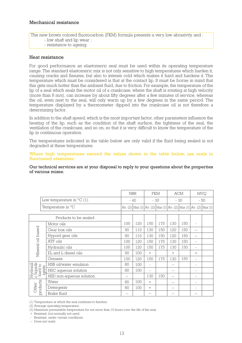The new brown colored fluorocarbon (FKM) formula presents a very low abrasivity and : - low shaft and lip wear ;

- resistance to ageing.

#### Heat resistance

For good performance an elastomeric seal must be used within its operating temperature range. The standard elastomeric mix is not only sensitive to high temperatures which harden it, causing cracks and fissures, but also to intense cold which makes it hard and hardens it. The temperature which must be considered is that at the contact lip. It must be borne in mind that this gets much hotter than the ambient fluid, due to friction. For example, the temperature of the lip of a seal which seals the motor oil of a crankcase, where the shaft is rotating at high velocity (more than 8 m/s), can increase by about fifty degrees after a few minutes of service, whereas the oil, even next to the seal, will only warm up by a few degrees in the same period. The temperature displayed by a thermometer dipped into the crankcase oil is not therefore a determining factor.

In addition to the shaft speed, which is the most important factor, other parameters influence the heating of the lip, such as the condition of the shaft surface, the tightness of the seal, the ventilation of the crankcase, and so on, so that it is very difficult to know the temperature of the lip in continuous operation.

The temperatures indicated in the table below are only valid if the fluid being sealed is not degraded at these temperatures.

Where high temperatures exceed the values shown in the table below, use seals in fluorinated elastomer.

Our technical services are at your disposal to reply to your questions about the properties of various mixes.

|                                            |                                   |     | <b>NBR</b>                                                                                                              | FKM      |       |        | <b>ACM</b> | <b>MVQ</b>               |  |
|--------------------------------------------|-----------------------------------|-----|-------------------------------------------------------------------------------------------------------------------------|----------|-------|--------|------------|--------------------------|--|
|                                            | Low temperature in $^{\circ}C(1)$ |     | $-40$                                                                                                                   |          | $-30$ | $-30$  |            | $-50$                    |  |
|                                            | Temperature in °C                 |     | Av. (2) $\vert$ Max (3) $\vert$ Av. (2) $\vert$ Max (3) $\vert$ Av. (2) $\vert$ Max (3) $\vert$ Av. (2) $\vert$ Max (3) |          |       |        |            |                          |  |
|                                            |                                   |     |                                                                                                                         |          |       |        |            |                          |  |
|                                            | Products to be sealed             |     |                                                                                                                         |          |       |        |            |                          |  |
|                                            | Motor oils                        | 100 | 120                                                                                                                     | 150      | 175   | 130    | 150        |                          |  |
| Mineral oil based                          | Gear box oils                     | 90  | 110                                                                                                                     | 130      | 150   | 120    | 150        | $\qquad \qquad -$        |  |
|                                            | Hypoid gear oils                  | 90  | 110                                                                                                                     | 130      | 150   | 120    | 150        | $\qquad \qquad -$        |  |
|                                            | ATF oils                          | 100 | 120                                                                                                                     | 150      | 175   | 130    | 150        | $\overline{\phantom{a}}$ |  |
|                                            | Hydraulic oils                    | 100 | 120                                                                                                                     | 150      | 175   | 130    | 150        | $\equiv$                 |  |
|                                            | EL and L diesel oils              | 90  | 100                                                                                                                     | $+$      |       | $^{+}$ |            | $+$                      |  |
|                                            | Greases                           | 100 | 120                                                                                                                     | 150      | 175   | 130    | 150        | $\overline{\phantom{a}}$ |  |
|                                            | HSB oil/water emulsion            | 80  | 100                                                                                                                     | $\equiv$ |       | --     |            | ۰                        |  |
| Hydrauli<br>c liquids<br>hard to<br>ignite | HSC aqueous solution              | 80  | 100                                                                                                                     | $\equiv$ |       | --     |            | $\sim$                   |  |
|                                            | HSD non-aqueous solution          | $-$ |                                                                                                                         | 130      | 150   | --     |            | ۰                        |  |
|                                            | Water                             | 80  | 100                                                                                                                     | $+$      |       | --     |            | ۰                        |  |
| products<br>Other                          | Detergents                        | 80  | 100                                                                                                                     | $^{+}$   |       | $-$    |            | $\sim$                   |  |
|                                            | Brake fluid                       | --  |                                                                                                                         | --       |       |        |            |                          |  |

(1) Temperature at which the seal continues to function.

(2) Average operating temperature.

(3) Maximum permissible temperature for not more than 10 hours over the life of the seal.

 $+$  Resistant, but normally not used.

- Resistant, under certain conditions.

-- Does not resist.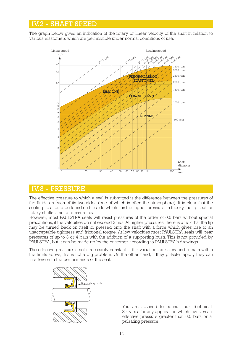#### IV.2 - SHAFT SPEED

The graph below gives an indication of the rotary or linear velocity of the shaft in relation to various elastomers which are permissible under normal conditions of use.



#### IV.3 - PRESSURE

The effective pressure to which a seal is submitted is the difference between the pressures of the fluids on each of its two sides (one of which is often the atmosphere). It is clear that the sealing lip should be found on the side which has the higher pressure. In theory, the lip seal for rotary shafts is not a pressure seal.

However, most PAULSTRA seals will resist pressures of the order of 0.5 bars without special precautions, if the velocities do not exceed 3 m/s. At higher pressures, there is a risk that the lip may be turned back on itself or pressed onto the shaft with a force which gives rise to an unacceptable tightness and frictional torque. At low velocities most PAULSTRA seals will bear pressures of up to 3 or 4 bars with the addition of a supporting bush. This is not provided by PAULSTRA, but it can be made up by the customer according to PAULSTRA's drawings.

The effective pressure is not necessarily constant. If the variations are slow and remain within the limits above, this is not a big problem. On the other hand, if they pulsate rapidly they can interfere with the performance of the seal.



You are advised to consult our Technical Services for any application which involves an effective pressure greater than 0.5 bars or a pulsating pressure.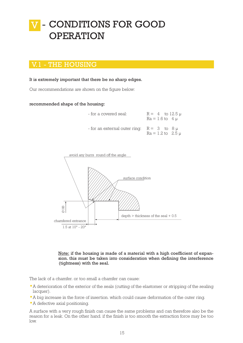## - CONDITIONS FOR GOOD OPERATION V

## V.1 - THE HOUSING

#### It is extremely important that there be no sharp edges.

Our recommendations are shown on the figure below:

#### recommended shape of the housing:

| - for a covered seal:                            | $R = 4$ to 12.5 $\mu$<br>$Ra = 1.6$ to $4 \mu$ |
|--------------------------------------------------|------------------------------------------------|
| - for an external outer ring: $R = 3$ to $8 \mu$ | $Ra = 1.2$ to $2.5 \mu$                        |



Note: if the housing is made of a material with a high coefficient of expansion. this must be taken into consideration when defining the interference (tightness) with the seal.

The lack of a chamfer. or too small a chamfer can cause:

- A deterioration of the exterior of the seals (cutting of the elastomer or stripping of the sealing lacquer).
- A big increase in the force of insertion. which could cause deformation of the outer ring.
- A defective axial positioning.

A surface with a very rough finish can cause the same problems and can therefore also be the reason for a leak. On the other hand. if the finish is too smooth the extraction force may be too low.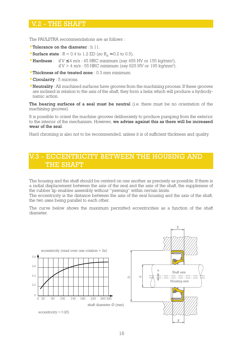#### V.2 - THE SHAFT

The PAULSTRA recommendations are as follows :

- Tolerance on the diameter : h 11.
- Surface state :  $R = 0.4$  to 1.2 ED (so  $R_a \approx 0.2$  to 0.5).
- Hardness : if  $V \leq 4$  m/s : 45 HRC minimum (say 455 HV or 155 kg/mm<sup>2</sup>), if  $V > 4$  m/s : 55 HRC minimum (say 625 HV or 195 kg/mm<sup>2</sup>).
- Thickness of the treated zone : 0.3 mm minimum.
- Circularity : 5 microns.
- Neutrality : All machined surfaces have grooves from the machining process. If these grooves are inclined in relation to the axis of the shaft, they form a helix which will produce a hydrodynamic action.

The bearing surfaces of a seal must be neutral (i.e. there must be no orientation of the machining grooves).

It is possible to orient the machine grooves deliberately to produce pumping from the exterior to the interior of the mechanism. However, we advise against this as there will be increased wear of the seal.

Hard chroming is also not to be recommended, unless it is of sufficient thickness and quality.

## - ECCENTRICITY BETWEEN THE HOUSING AND THE SHAFT

The housing and the shaft should be centred on one another as precisely as possible. If there is a radial displacement between the axis of the seal and the axis of the shaft, the suppleness of the rubber lip enables assembly without "yawning" within certain limits.

The eccentricity is the distance between the axis of the seal housing and the axis of the shaft, the two axes being parallel to each other.

The curve below shows the maximum permitted eccentricities as a function of the shaft diameter.

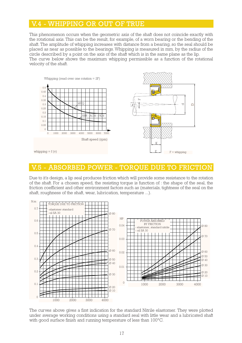#### V.4 - WHIPPING OR OUT OF TRUE

This phenomenon occurs when the geometric axis of the shaft does not coincide exactly with the rotational axis. This can be the result, for example, of a worn bearing or the bending of the shaft. The amplitude of whipping increases with distance from a bearing, so the seal should be placed as near as possible to the bearings. Whipping is measured in mm, by the radius of the circle described by a point on the axis of the shaft which is in the same plane as the lip. The curve below shows the maximum whipping permissible as a function of the rotational velocity of the shaft.



#### V.5 - ABSORBED POWER - TOROUE DUE TO

Due to it's design, a lip seal produces friction which will provide some resistance to the rotation of the shaft. For a chosen speed, the resisting torque is function of : the shape of the seal, the friction coefficient and other environment factors such as (materials, tightness of the seal on the shaft, roughness of the shaft, wear, lubrication, temperature ...).



The curves above gives a first indication for the standard Nitrile elastomer. They were plotted under average working conditions using a standard seal with little wear and a lubricated shaft with good surface finish and running temperature of less than 100°C.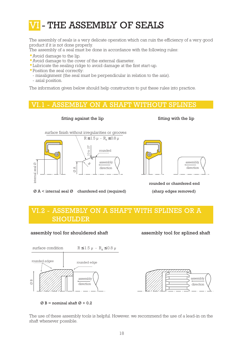#### - THE ASSEMBLY OF SEALS VI

The assembly of seals is a very delicate operation which can ruin the efficiency of a very good product if it is not done properly.

The assembly of a seal must be done in accordance with the following rules:

- Avoid damage to the lip.
- Avoid damage to the cover of the external diameter.
- Lubricate the sealing ridge to avoid damage at the first start-up.
- Position the seal correctly:
	- misalignment (the seal must be perpendicular in relation to the axis).
- axial position.

The information given below should help constructors to put these rules into practice.

#### ASSEMBLY ON A SHAFT WITHOUT SPLINES



fitting against the lip fitting with the lip



rounded or chamfered end Ø A < internal seal Ø chamfered end (required) (sharp edges removed)

## VI.2 - ASSEMBLY ON A SHAFT WITH SPLINES OR A SHOULDER

#### assembly tool for shouldered shaft assembly tool for splined shaft





 $\varnothing$  B = nominal shaft  $\varnothing$  + 0.2

The use of these assembly tools is helpful. However. we recommend the use of a lead-in on the shaft whenever possible.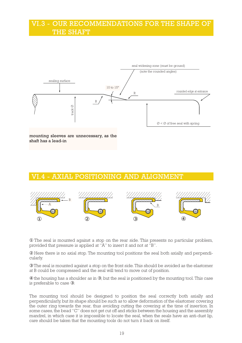#### VI.3 - OUR RECOMMENDATIONS FOR THE SHAPE OF THE SHAFT



mounting sleeves are unnecessary, as the shaft has a lead-in

#### VI.4 - AXIAL POSITIONING AND ALIGNMENT



① The seal is mounted against a stop on the rear side. This presents no particular problem, provided that pressure is applied at "A" to insert it and not at "B".

② Here there is no axial stop. The mounting tool positions the seal both axially and perpendicularly.

③ The seal is mounted against a stop on the front side. This should be avoided as the elastomer at B could be compressed and the seal will tend to move out of position.

④ the housing has a shoulder as in ③, but the seal is positioned by the mounting tool. This case is preferable to case ③.

The mounting tool should be designed to position the seal correctly both axially and perpendicularly, but its shape should be such as to allow deformation of the elastomer covering the outer ring towards the rear, thus avoiding cutting the covering at the time of insertion. In some cases, the bead "C" does not get cut off and sticks between the housing and the assembly mandrel, in which case it is impossible to locate the seal, when the seals have an anti-dust lip, care should be taken that the mounting tools do not turn it back on itself.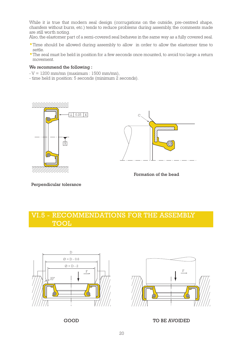While it is true that modern seal design (corrugations on the outside, pre-centred shape, chamfers without burrs, etc.) tends to reduce problems during assembly, the comments made are still worth noting.

Also, the elastomer part of a semi-covered seal behaves in the same way as a fully covered seal.

- Time should be allowed during assembly to allow in order to allow the elastomer time to settle.
- The seal must be held in position for a few seconds once mounted, to avoid too large a return movement.

#### We recommend the following :

- $-V = 1200$  mm/mn (maximum : 1500 mm/mn),
- time held in position: 5 seconds (minimum 2 seconds).





Formation of the bead

Perpendicular tolerance

## VI.5 - RECOMMENDATIONS FOR THE ASSEMBLY TOOL





GOOD TO BE AVOIDED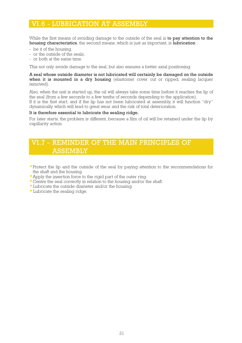#### VI.6 - LUBRICATION AT ASSEMBLY

While the first means of avoiding damage to the outside of the seal is to pay attention to the housing characteristics, the second means, which is just as important, is lubrication :

- be it of the housing,
- or the outside of the seals,
- or both at the same time.

This not only avoids damage to the seal, but also ensures a better axial positioning.

#### A seal whose outside diameter is not lubricated will certainly be damaged on the outside when it is mounted in a dry housing (elastomer cover cut or ripped, sealing lacquer removed).

Also, when the unit is started up, the oil will always take some time before it reaches the lip of the seal (from a few seconds to a few tenths of seconds depending to the application). If it is the first start, and if the lip has not been lubricated at assembly, it will function "dry" dynamically, which will lead to great wear and the risk of total deterioration.

#### It is therefore essential to lubricate the sealing ridge.

For later starts, the problem is different, because a film of oil will be retained under the lip by capillarity action.

## VI.7 - REMINDER OF THE MAIN PRINCIPLES OF ASSEMBLY

- Protect the lip and the outside of the seal by paying attention to the recommendations for the shaft and the housing.
- Apply the insertion force to the rigid part of the outer ring.
- Centre the seal correctly in relation to the housing and/or the shaft.
- Lubricate the outside diameter and/or the housing.
- Lubricate the sealing ridge.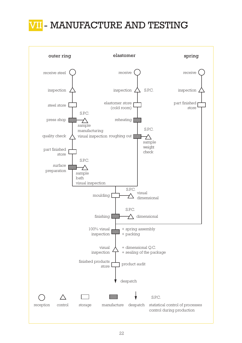## MANUFACTURE AND TESTING

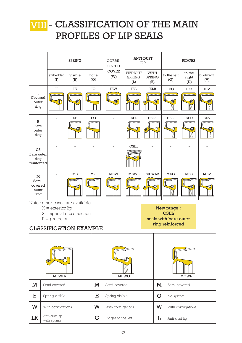## VIII - CLASSIFICATION OF THE MAIN PROFILES OF LIP SEALS

|                                                   |                                                                                                                                          | <b>SPRING</b>  |             | CORRU-<br><b>GATED</b> |                                          | <b>ANTI-DUST</b><br>LIP             | <b>RIDGES</b>                                                          |                        |                                         |  |
|---------------------------------------------------|------------------------------------------------------------------------------------------------------------------------------------------|----------------|-------------|------------------------|------------------------------------------|-------------------------------------|------------------------------------------------------------------------|------------------------|-----------------------------------------|--|
|                                                   | embedded<br>(I)                                                                                                                          | visible<br>(E) | none<br>(O) | <b>COVER</b><br>(W)    | <b>WITHOUT</b><br><b>SPRING</b><br>(L)   | <b>WITH</b><br><b>SPRING</b><br>(R) | to the left<br>(G)                                                     | to the<br>right<br>(D) | bi-direct.<br>(V)                       |  |
| I<br>Covered<br>outer<br>ring                     | П<br>$\circledcirc$                                                                                                                      | IE<br>◉        | IO          | <b>IEW</b><br>◉        | IEL<br>◉                                 | IELR<br>⊕<br>晒                      | <b>IEG</b><br>◉                                                        | IED<br>◉<br>B          | <b>IEV</b><br>◉                         |  |
| $\mathbf E$<br>Bare<br>outer<br>ring              |                                                                                                                                          | EE<br>◉        | EO          |                        | <b>EEL</b><br>◉                          | <b>EELR</b><br>⊕<br>❺               | <b>EEG</b><br>◉                                                        | <b>EED</b><br>◉        | <b>EEV</b><br>$^\text{\textregistered}$ |  |
| CS<br>Bare outer<br>ring<br>reinforced            |                                                                                                                                          |                |             |                        | <b>CSEL</b>                              |                                     |                                                                        |                        |                                         |  |
| ME<br>M<br>Semi-<br>covered<br>⊕<br>outer<br>ring |                                                                                                                                          |                | MO          | <b>MEW</b><br>◉        | <b>MEWL</b><br>◉                         | <b>MEWLR</b><br>◉<br>€              | <b>MEG</b><br>⊕)                                                       | <b>MED</b><br>⊕        | <b>MEV</b><br>◉                         |  |
|                                                   | Note: other cases are available<br>$X =$ exterior lip<br>$S =$ special cross-section<br>$P =$ protector<br><b>CLASSIFICATION EXAMPLE</b> |                |             |                        |                                          |                                     | New range :<br><b>CSEL</b><br>seals with bare outer<br>ring reinforced |                        |                                         |  |
|                                                   | $\circledcirc$<br>$^{\copyright}$<br><b>MEWLR</b>                                                                                        |                |             | <b>MEWG</b>            | $\bigoplus$                              |                                     |                                                                        | <b>MOWL</b>            |                                         |  |
| M                                                 | Semi-covered                                                                                                                             |                | $\mathbf M$ | Semi-covered           |                                          |                                     | $\mathbf M$<br>Semi-covered                                            |                        |                                         |  |
| E<br>E<br>Spring visible<br>Spring visible        |                                                                                                                                          |                |             |                        |                                          |                                     | $\mathsf{O}$<br>No spring                                              |                        |                                         |  |
| W<br>W<br>With corrugations                       |                                                                                                                                          |                |             | With corrugations      | W                                        | With corrugations                   |                                                                        |                        |                                         |  |
| Anti-dust lip<br>LR<br>G<br>with spring           |                                                                                                                                          |                |             |                        | Ŀ<br>Ridges to the left<br>Anti-dust lip |                                     |                                                                        |                        |                                         |  |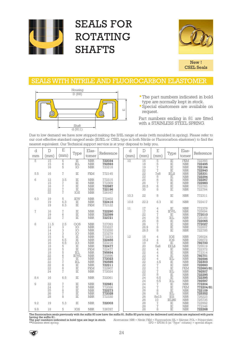

## SEALS FOR ROTATING SHAFTS



New ! CSEL Seals

#### SEALS WITH NITRILE AND FLUOROCARBON ELASTOMER



- The part numbers indicated in bold type are normally kept in stock.
- Special elastomers are available on request.

Part numbers ending in 81 are fitted with a STAINLESS STEEL SPRING.

Due to low demand we have now stopped making the II/IIL range of seals (with moulded in spring). Please refer to our cost effective standard rangeof seals (IE/IEL or CSEL type in both Nitrile or Fluorocarbon elastomer) to find the nearest equivalent. Our Technical support service is at your disposal to help you.

| d              | D                                                                    | $\mathbf E$                                                     | Type                                                                                  | Elas-                                                                                                                                                                | Reference                                                                                                  | d    | $\mathbb D$                                                                                                                    | E                                                                                                                                                                   | Type                                                                                                | Elas-                                                                                                                                                                              | Reference                                                                                                                      |
|----------------|----------------------------------------------------------------------|-----------------------------------------------------------------|---------------------------------------------------------------------------------------|----------------------------------------------------------------------------------------------------------------------------------------------------------------------|------------------------------------------------------------------------------------------------------------|------|--------------------------------------------------------------------------------------------------------------------------------|---------------------------------------------------------------------------------------------------------------------------------------------------------------------|-----------------------------------------------------------------------------------------------------|------------------------------------------------------------------------------------------------------------------------------------------------------------------------------------|--------------------------------------------------------------------------------------------------------------------------------|
| mm             | (mm)                                                                 | (mm)                                                            |                                                                                       | tomer                                                                                                                                                                |                                                                                                            | (mm) | (mm)                                                                                                                           | (mm)                                                                                                                                                                |                                                                                                     | tomer                                                                                                                                                                              |                                                                                                                                |
| 5              | 15<br>15<br>16                                                       | $\,6$<br>$\overline{6}$<br>5                                    | IE<br>IEL<br>IO                                                                       | $\overline{\mbox{NBR}}$<br><b>NBR</b><br><b>NBR</b>                                                                                                                  | 722034<br>792593<br>723218                                                                                 | 10   | 16<br>18<br>19<br>22                                                                                                           | $\mathbb S$<br>$\overline{5}$<br>$\sqrt{ }$<br>$\overline{1}$                                                                                                       | $\overline{\text{IE}}$<br>ΪĒ<br>IE<br>$\rm IE$                                                      | ${\rm FKM}$<br>$\operatorname{NBR}$<br><b>NBR</b><br><b>NBR</b>                                                                                                                    | 722393<br>722495<br>722164<br>722940                                                                                           |
| 5.5            | 16                                                                   | $\overline{1}$                                                  | $\rm IE$                                                                              | <b>FKM</b>                                                                                                                                                           | 772145                                                                                                     |      | 22<br>22                                                                                                                       | <b>7x8</b>                                                                                                                                                          | IELS<br>$\rm IE$                                                                                    | <b>NBR</b><br><b>NBR</b>                                                                                                                                                           | 725331<br>722294                                                                                                               |
| 6              | 12<br>15<br>16<br>22<br>22                                           | 3.5<br>$\sqrt{2}$<br>$\begin{array}{c} 7 \\ 7 \\ 7 \end{array}$ | IE<br>ΪĒ<br>IE<br>IE<br>IOS                                                           | <b>NBR</b><br><b>NBR</b><br><b>NBR</b><br><b>NBR</b><br><b>NBR</b>                                                                                                   | 772315<br>772309<br>722987<br>722196<br>726167                                                             |      | 25<br>$\frac{26}{26}$<br>28.5<br>35                                                                                            | $\begin{array}{c}\n8 \\ 8 \\ 7\n\end{array}$<br>8<br>8                                                                                                              | IE<br>ΪË<br>IE<br>IE                                                                                | $\operatorname{NBR}$<br><b>NBR</b><br><b>NBR</b><br><b>NBR</b>                                                                                                                     | 722267<br>722983<br>722783<br>722784                                                                                           |
| 6.3            | 19                                                                   | 5                                                               | <b>IEW</b>                                                                            | <b>NBR</b>                                                                                                                                                           | 772402                                                                                                     | 10.3 | 22                                                                                                                             | 8                                                                                                                                                                   | IE                                                                                                  | <b>NBR</b>                                                                                                                                                                         | 772311                                                                                                                         |
|                | 19<br>19                                                             | 6.3<br>6.3                                                      | $_{\rm IE}$<br>$\rm IE$                                                               | <b>NBR</b><br><b>FKM</b>                                                                                                                                             | 722416<br>772122                                                                                           | 10.8 | 22.2                                                                                                                           | 6.3                                                                                                                                                                 | IE                                                                                                  | <b>NBR</b>                                                                                                                                                                         | 722417                                                                                                                         |
| $\overline{1}$ | 16<br>19<br>22                                                       | $\sqrt{2}$<br>6<br>$\overline{1}$                               | IE<br>IE<br>IE                                                                        | <b>NBR</b><br><b>NBR</b><br><b>NBR</b>                                                                                                                               | 722290<br>722399<br>722721                                                                                 | 11   | 17<br>17<br>22<br>24<br>25                                                                                                     | 4<br>$\,4\,$<br>$\sqrt{7}$                                                                                                                                          | IE<br><b>IEWL</b><br>IE<br>IEL<br>IE                                                                | <b>NBR</b><br><b>NBR</b><br><b>NBR</b><br><b>NBR</b><br><b>NBR</b>                                                                                                                 | 772379<br>725694<br>772010<br>725183<br>722065<br>772027                                                                       |
| 8              | 11.5<br>14<br>14<br>14                                               | 2.5<br>3<br>3<br>$\overline{3}$                                 | OOS<br>IO<br>IO<br>IO                                                                 | <b>NBR</b><br><b>NBR</b><br>$\operatorname{NBR}$<br>$\operatorname{NBR}$                                                                                             | 727093<br>723227<br>723250<br>723279<br>772233                                                             |      | 26<br>26.9<br>28.5                                                                                                             | 8828<br>8                                                                                                                                                           | ΙĒ<br>IE<br>IE                                                                                      | <b>NBR</b><br><b>NBR</b><br><b>NBR</b>                                                                                                                                             | 722007<br>722785                                                                                                               |
|                | 15<br>16<br>16<br>18<br>18<br>18<br>22<br>22<br>22<br>22<br>22<br>24 | 5<br>6.5<br>6.5<br>555677887                                    | IE<br>$\rm IE$<br>IO<br>IE<br>IE<br>IEL<br><b>IEWL</b><br>IE<br>IEL<br>IE<br>IE<br>IE | <b>NBR</b><br><b>NBR</b><br><b>NBR</b><br><b>NBR</b><br><b>FKM</b><br><b>NBR</b><br><b>NBR</b><br><b>NBR</b><br><b>NBR</b><br><b>NBR</b><br><b>FKM</b><br><b>NBR</b> | 722455<br>723216<br>722477<br>722477<br>795694<br>725696<br>772023<br>792595<br>722211<br>722907<br>772024 | 12   | 18<br>18.2<br>19<br>20<br>22<br>$\overline{22}$<br>22<br>22<br>22<br>22<br>$\frac{22}{22}$<br>$\frac{2}{2}$<br>$\overline{22}$ | $\overline{4}$<br>$\overline{4}$<br>5<br>5x6<br>$\overline{4}$<br>$\overline{4}$<br>$\overline{4}$<br>$\frac{4}{4.5}$<br>$\begin{array}{c} 7 \\ 7 \\ 7 \end{array}$ | IOS<br>IOS<br>$\rm IE$<br><b>EELS</b><br>IE<br>IE<br>IE<br>IEL<br>IE<br>IE<br>IE<br>IEL<br>$\rm IE$ | <b>NBR</b><br><b>NBR</b><br><b>NBR</b><br><b>NBR</b><br><b>NBR</b><br><b>NBR</b><br><b>NBR</b><br><b>NBR</b><br><b>NBR</b><br><b>NBR</b><br><b>FKM</b><br><b>NBR</b><br><b>NBR</b> | 726024<br>726072<br><b>792700</b><br>725519<br>722372<br>772314<br>792596<br>722303<br>722660<br>722660/81<br>792507<br>722295 |
| 8.4            | 16                                                                   | 6.5                                                             | IE                                                                                    | <b>NBR</b>                                                                                                                                                           | 722061                                                                                                     |      | 24<br>24                                                                                                                       | $\frac{8}{6.5}$<br>6.5                                                                                                                                              | IE<br>IEL                                                                                           | <b>NBR</b><br><b>NBR</b>                                                                                                                                                           | 722395<br>792597                                                                                                               |
| 9              | 22<br>24<br>$\overline{25}$<br>26<br>28                              | $\frac{7}{7}$<br>$\bar{8}$<br>$\bar{7}$<br>8                    | IE<br>IE<br>IE<br>$\rm I\!E$<br>IE                                                    | <b>NBR</b><br><b>NBR</b><br><b>NBR</b><br><b>NBR</b><br><b>NBR</b>                                                                                                   | 722981<br>772026<br>722273<br>772028<br>772330                                                             |      | 24<br>24<br>26<br>26<br>26<br>26                                                                                               | $\frac{7}{7}$<br>8<br>8<br>8x13<br>10                                                                                                                               | IE<br>IE<br>IE<br>IEL<br><b>IES</b><br><b>IELRS</b>                                                 | <b>NBR</b><br><b>FKM</b><br><b>NBR</b><br><b>NBR</b><br>$\operatorname{NBR}$<br><b>NBR</b>                                                                                         | 772204<br>772204/81<br>722109<br>725352<br>726223<br>725735                                                                    |
| 9.2            | 19                                                                   | 5.3                                                             | IE                                                                                    | <b>NBR</b>                                                                                                                                                           | 722003                                                                                                     |      | $\overline{28}$<br>28                                                                                                          | $\sqrt{ }$<br>$\sqrt{2}$                                                                                                                                            | $\rm I\!E$<br>IE                                                                                    | <b>NBR</b><br><b>NBR</b>                                                                                                                                                           | 722992<br>772346                                                                                                               |
| 9.8            | 18                                                                   | 5                                                               | IOS                                                                                   | <b>NBR</b>                                                                                                                                                           | 726787                                                                                                     |      | 28                                                                                                                             | 8                                                                                                                                                                   | IE                                                                                                  | <b>NBR</b>                                                                                                                                                                         | 722268                                                                                                                         |

The fluorocarbon seals previously with the suffix 83 now have the suffix 81. Suffix 83 parts may be delivered until stocks are replaced with parts

having the suffix 81.<br>The part numbers indicated in bold type are kept in stock.<br>\*\*Stainless steel spring.  $A$ breviations: NBR = Nitrile; FKM = Fluorocarbon; SIL = Silicone; POL = Polyacrylate;  $E$ PD =  $E$ PDM; S (in "Type" column) = special shape.

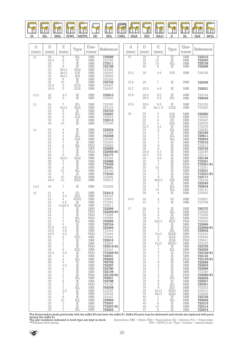| <b>MANAHAMA</b><br>$\sim$<br>≍ | <b>COMMUNICATE</b><br>∝<br>KT | ----<br><b>Commonwealth</b><br>$\sim$ | $\sim$<br><b>MUNITED</b><br>$\sim$<br>⋓<br>$\sqrt{1}$ | ~~<br><u>unungann</u><br>$\tilde{\phantom{a}}$<br>M<br>. | ,,,,,,,,,,,,,,,,,<br>∼<br>৺ | ,,,,,,,,,,,,,<br>$\sim$ | mmmmm<br>Somana<br>$\sim$<br>$\sqrt{1}$ | ∼  | <b>MUNITERINAL</b><br>∝<br>⋓<br>≖ | <b>MUNITERINAL</b><br>∼<br>$\sqrt{2}$ | <b><i><u>mmmmmm</u></i></b><br>. .<br>◉ | <b><i><u>community</u></i></b><br>$\circledast$ | <b>COMMUNISTIC</b><br>. | $\frac{1}{\sqrt{2}}$ |
|--------------------------------|-------------------------------|---------------------------------------|-------------------------------------------------------|----------------------------------------------------------|-----------------------------|-------------------------|-----------------------------------------|----|-----------------------------------|---------------------------------------|-----------------------------------------|-------------------------------------------------|-------------------------|----------------------|
| ΙE                             | IEL                           | MEL                                   | IEWL                                                  | MEWL                                                     | ΕE                          | EEL                     | CSEL                                    | ᄕᆄ | IED                               | IELC                                  |                                         | IIL                                             | IILF                    | MOL                  |

| d          | $\mathbb D$                                                                                                                                                                                                 | E                                                                                                                                                                                                                                                                               | Type                                                                                                                                                                                                                                                                   | Elas-                                                                                                                                                                                                                                                                                                                                                                                                                             | Reference                                                                                                                                                                                                                                                                                                                                   | d          | $\mathbb D$                                                                                                                                                                                               | $\boldsymbol{\mathrm{E}}$                                                                                                                                                                                                    | Type                                                                                                                                                                                                                                                                                          | Elas-                                                                                                                                                                                                                                                                                                                                                                                                                                                         | Reference                                                                                                                                                                                                                                                                                                                                |
|------------|-------------------------------------------------------------------------------------------------------------------------------------------------------------------------------------------------------------|---------------------------------------------------------------------------------------------------------------------------------------------------------------------------------------------------------------------------------------------------------------------------------|------------------------------------------------------------------------------------------------------------------------------------------------------------------------------------------------------------------------------------------------------------------------|-----------------------------------------------------------------------------------------------------------------------------------------------------------------------------------------------------------------------------------------------------------------------------------------------------------------------------------------------------------------------------------------------------------------------------------|---------------------------------------------------------------------------------------------------------------------------------------------------------------------------------------------------------------------------------------------------------------------------------------------------------------------------------------------|------------|-----------------------------------------------------------------------------------------------------------------------------------------------------------------------------------------------------------|------------------------------------------------------------------------------------------------------------------------------------------------------------------------------------------------------------------------------|-----------------------------------------------------------------------------------------------------------------------------------------------------------------------------------------------------------------------------------------------------------------------------------------------|---------------------------------------------------------------------------------------------------------------------------------------------------------------------------------------------------------------------------------------------------------------------------------------------------------------------------------------------------------------------------------------------------------------------------------------------------------------|------------------------------------------------------------------------------------------------------------------------------------------------------------------------------------------------------------------------------------------------------------------------------------------------------------------------------------------|
| (mm)<br>12 | (mm)<br>$\overline{28}$                                                                                                                                                                                     | (mm)<br>8                                                                                                                                                                                                                                                                       | IEL                                                                                                                                                                                                                                                                    | tomer<br>${\rm NBR}$                                                                                                                                                                                                                                                                                                                                                                                                              | 725589                                                                                                                                                                                                                                                                                                                                      | (mm)<br>15 | (mm)<br>35                                                                                                                                                                                                | (mm)<br>8                                                                                                                                                                                                                    | $\overline{\text{IE}}$                                                                                                                                                                                                                                                                        | tomer<br>$\operatorname{NBR}$                                                                                                                                                                                                                                                                                                                                                                                                                                 | 722316                                                                                                                                                                                                                                                                                                                                   |
|            | 28.5<br>30<br>30                                                                                                                                                                                            | $\frac{8}{7}$<br>8<br>8x13                                                                                                                                                                                                                                                      | IE<br>ΪĒ<br>IE<br><b>IELS</b>                                                                                                                                                                                                                                          | $\operatorname{NBR}$<br><b>NBR</b><br><b>NBR</b>                                                                                                                                                                                                                                                                                                                                                                                  | 722786<br>772011<br>722189                                                                                                                                                                                                                                                                                                                  |            | 35<br>$\overline{35}$<br>42                                                                                                                                                                               | 10<br>10<br>$\bar{8}$                                                                                                                                                                                                        | $\rm IE$<br>$\operatorname{IEL}$<br>IE                                                                                                                                                                                                                                                        | ${\rm NBR}$<br><b>NBR</b><br>$\rm{NBR}$                                                                                                                                                                                                                                                                                                                                                                                                                       | 722300<br>725739<br>722296                                                                                                                                                                                                                                                                                                               |
|            | $\frac{30}{30}$<br>$32$                                                                                                                                                                                     | 8x13<br>8x13                                                                                                                                                                                                                                                                    | IOS<br><b>IES</b>                                                                                                                                                                                                                                                      | $\frac{\text{NBR}}{\text{NBR}}$<br>$\operatorname{NBR}$                                                                                                                                                                                                                                                                                                                                                                           | 725492<br>726342<br>726594                                                                                                                                                                                                                                                                                                                  | 15.2       | 30                                                                                                                                                                                                        | 4.6                                                                                                                                                                                                                          | IOS                                                                                                                                                                                                                                                                                           | <b>NBR</b>                                                                                                                                                                                                                                                                                                                                                                                                                                                    | 726188                                                                                                                                                                                                                                                                                                                                   |
|            | 32<br>32<br>32.9                                                                                                                                                                                            | $\begin{smallmatrix}8\10\end{smallmatrix}$                                                                                                                                                                                                                                      | $\stackrel{\rm IE}{\rm IE}$                                                                                                                                                                                                                                            | NBR<br><b>NBR</b><br>$\operatorname{NBR}$                                                                                                                                                                                                                                                                                                                                                                                         | 722320<br><b>792702</b><br>726407                                                                                                                                                                                                                                                                                                           | 15.6       | 25                                                                                                                                                                                                        | 7                                                                                                                                                                                                                            | $\rm I\!E$                                                                                                                                                                                                                                                                                    | <b>NBR</b>                                                                                                                                                                                                                                                                                                                                                                                                                                                    | 722006                                                                                                                                                                                                                                                                                                                                   |
|            | 35.9                                                                                                                                                                                                        | 5<br>5                                                                                                                                                                                                                                                                          | EOS<br>EOS                                                                                                                                                                                                                                                             | <b>NBR</b>                                                                                                                                                                                                                                                                                                                                                                                                                        | 726397                                                                                                                                                                                                                                                                                                                                      | 15.7       | 25.5                                                                                                                                                                                                      | 4.6                                                                                                                                                                                                                          | IE                                                                                                                                                                                                                                                                                            | <b>NBR</b>                                                                                                                                                                                                                                                                                                                                                                                                                                                    | 722021                                                                                                                                                                                                                                                                                                                                   |
| 12.5       | 22<br>22                                                                                                                                                                                                    | 4.5<br>8                                                                                                                                                                                                                                                                        | $\rm IE$<br>$\rm IE$                                                                                                                                                                                                                                                   | <b>NBR</b><br>$\operatorname{NBR}$                                                                                                                                                                                                                                                                                                                                                                                                | 722810<br>722545                                                                                                                                                                                                                                                                                                                            | 15.8       | 28.5<br>28.5                                                                                                                                                                                              | 9.5<br>9.5                                                                                                                                                                                                                   | IE<br>$\operatorname{IEL}$                                                                                                                                                                                                                                                                    | <b>NBR</b><br>${\rm NBR}$                                                                                                                                                                                                                                                                                                                                                                                                                                     | 722104<br>725045                                                                                                                                                                                                                                                                                                                         |
| 13         | 24<br>25<br>26                                                                                                                                                                                              | $\sqrt{ }$<br>8x14<br>6                                                                                                                                                                                                                                                         | IEL<br><b>IELS</b><br>IE                                                                                                                                                                                                                                               | <b>NBR</b><br>$\begin{array}{c} \text{NBR} \\ \text{NBR} \end{array}$                                                                                                                                                                                                                                                                                                                                                             | 725330<br>725134<br>792703                                                                                                                                                                                                                                                                                                                  | 15.9       | 28.6<br>35                                                                                                                                                                                                | 9.5<br>8x11.5                                                                                                                                                                                                                | IE<br><b>IOLS</b>                                                                                                                                                                                                                                                                             | <b>NBR</b><br>${\rm NBR}$                                                                                                                                                                                                                                                                                                                                                                                                                                     | 722150<br>723260                                                                                                                                                                                                                                                                                                                         |
|            | 26<br>26<br>$\overline{30}$<br>35                                                                                                                                                                           | 9<br>9<br>9<br>10                                                                                                                                                                                                                                                               | IEL<br>IOS<br>IE<br>$\rm IE$                                                                                                                                                                                                                                           | $\operatorname{NBR}$<br><b>NBR</b><br><b>NBR</b><br><b>NBR</b>                                                                                                                                                                                                                                                                                                                                                                    | 725297<br>726075<br>722013<br>772345                                                                                                                                                                                                                                                                                                        | 16         | 22<br>22<br>22<br>$\frac{22}{22.7}$                                                                                                                                                                       | $\frac{3}{4}$<br>$\overline{4}$                                                                                                                                                                                              | IOS<br>IOS<br>EE<br>EEL                                                                                                                                                                                                                                                                       | $\operatorname{NBR}$<br>$\operatorname{NBR}$<br><b>NBR</b><br>$\operatorname{NBR}$                                                                                                                                                                                                                                                                                                                                                                            | 726280<br>726303<br>720047<br>726353                                                                                                                                                                                                                                                                                                     |
| 14         | 22<br>22<br>22<br>$\overline{2}\overline{2}$<br>$\overline{22}$<br>$^{24}_{24}$<br>24<br>$\frac{26}{26}$<br>$\begin{array}{c} 28 \\ 30 \end{array}$<br>30<br>30<br>35<br>$43$<br>$45.9$                     | $\overline{4}$<br>4447677<br>$\,8\,$<br>8x10<br>$\frac{7}{7}$<br>$\begin{smallmatrix} 8 \\ 10 \end{smallmatrix}$<br>$\sqrt{ }$<br>10<br>10                                                                                                                                      | IE<br>IE<br>IEL<br>IOS<br>IE<br>IEL<br>IE<br>IE<br>$\rm IE$<br><b>IELS</b><br>IE<br>IE<br>$\rm IE$<br>IEL<br>IE<br><b>IELS</b><br><b>IELS</b>                                                                                                                          | $\operatorname{NBR}$<br>$\operatorname{NBR}$<br>$\rm{NBR}$<br>$\frac{\text{NBR}}{\text{NBR}}$<br><b>FKM</b><br><b>NBR</b><br><b>FKM</b><br>$\operatorname{NBR}$<br>NBR<br>$\operatorname{NBR}$<br><b>NBR</b><br>$\operatorname{NBR}$<br><b>NBR</b><br><b>NBR</b><br><b>NBR</b><br><b>NBR</b>                                                                                                                                      | <b>722234</b><br>772308<br>792598<br>726385<br>722453<br>725628<br>722659<br>722659/81<br>722177<br>725342<br>722986<br>772029<br>722451<br>725140<br>772030<br>725566<br>725512                                                                                                                                                            |            | 24<br>24<br>26<br>28<br>28<br>28<br>28<br>28.5<br>28.7<br>$\frac{30}{30}$<br>30<br>$rac{30}{32}$<br>32<br>33<br>35<br>35                                                                                  | 4.2<br>6777888<br>6.3<br>9.5<br>4.5<br>$\sqrt{2}$<br>$\overline{7}$<br>$\begin{smallmatrix} 10 \ 7 \end{smallmatrix}$<br>$\sqrt{2}$<br>$\,8\,$<br>$6x\tilde{6}.5$                                                            | $_{\rm IE}$<br>$\operatorname{IEL}$<br>IE<br>IEL<br>IEL<br>IE<br>$\rm IE$<br>$\rm IE$<br>IE<br>正正正正正正<br>IE<br>$\rm IE$<br><b>IES</b><br>IE                                                                                                                                                   | $\operatorname{NBR}$<br>$\operatorname{NBR}$<br>$\operatorname{NBR}$<br>$\rm{NBR}$<br>$\begin{array}{c} \text{NBR} \\ \text{NBR} \end{array}$<br>$\operatorname{NBR}$<br>${\rm NBR}$<br>$\rm{NBR}$<br>$\operatorname{NBR}$<br>NBR<br>$\rm{NBR}$<br><b>FKM</b><br>${\rm FKM}$<br>$\operatorname{NBR}$<br><b>FKM</b><br>$\frac{\text{NBR}}{\text{NBR}}$<br><b>NBR</b>                                                                                           | 772278<br>725659<br><b>722769</b><br>725811<br>792603<br>772012<br>722613<br>722742<br>722256<br>722141<br>722184<br>772021<br>772021/81<br>772291<br>772031<br>772031/81<br>722717<br>726339<br>722043                                                                                                                                  |
| 14.5       | 24                                                                                                                                                                                                          | $\sqrt{ }$                                                                                                                                                                                                                                                                      | IE                                                                                                                                                                                                                                                                     | <b>NBR</b>                                                                                                                                                                                                                                                                                                                                                                                                                        | 722249                                                                                                                                                                                                                                                                                                                                      |            | $\frac{35}{35}$                                                                                                                                                                                           | $\frac{7}{7}$<br>$10\,$                                                                                                                                                                                                      | IEL<br>$\operatorname{IEL}$                                                                                                                                                                                                                                                                   | <b>NBR</b><br>$\rm{NBR}$                                                                                                                                                                                                                                                                                                                                                                                                                                      | 792604<br>725141                                                                                                                                                                                                                                                                                                                         |
| 15         | 21<br>21<br>23<br>24<br>24<br>24                                                                                                                                                                            | 4<br>4.4<br>4<br>4.5<br>4.5x5.5<br>7                                                                                                                                                                                                                                            | IO<br>EEL<br><b>IEWL</b><br>IE<br><b>IELS</b><br>IE                                                                                                                                                                                                                    | $\frac{\text{NBR}}{\text{NBR}}$<br>$\operatorname{NBR}$<br><b>NBR</b><br>$\operatorname{NBR}$<br><b>NBR</b>                                                                                                                                                                                                                                                                                                                       | 723412<br>725333<br>725691<br>772303<br>725611<br>722266                                                                                                                                                                                                                                                                                    | 16.8<br>17 | 38<br>24<br>47<br>26                                                                                                                                                                                      | $\overline{4}$<br>$\overline{4}$<br>$\sqrt{2}$<br>6                                                                                                                                                                          | IE<br>IO<br>IE<br>IE                                                                                                                                                                                                                                                                          | $\operatorname{NBR}$<br>$\operatorname{NBR}$<br><b>NBR</b><br>$\operatorname{NBR}$                                                                                                                                                                                                                                                                                                                                                                            | 722593<br>723801<br>722798<br>792707                                                                                                                                                                                                                                                                                                     |
|            | 24<br>$\frac{24}{24}$<br>24<br>25<br>25.5<br>25.5<br>25.5<br>26<br>26<br>26<br>26<br>26<br>26.5<br>28<br>28<br>28<br>30<br>30<br>30<br>30<br>30<br>30<br>32<br>32<br>33<br>33<br>33<br>33<br>35<br>35<br>35 | $\overline{\bf 7}$<br>$\begin{array}{c} 7 \\ 7 \\ 7 \end{array}$<br>5<br>4.6<br>4.6<br>4.6<br>6<br>$\frac{7}{7}$<br>9<br>4.6<br>4<br>$\overline{4}$<br>9<br>4.5<br>6<br>$\frac{7}{7}$<br>$^8_{\rm 7}$<br>$\,7$<br>5.5<br>$\sqrt{7}$<br>8<br>10<br>7<br>$\sqrt{7}$<br>$\sqrt{7}$ | $\rm IE$<br>$\stackrel{\rm IE}{\rm IEL}$<br>IEL<br>IE<br>IE<br>$\rm I\!E$<br>IE<br>EEL<br>IE<br>$\rm I\!E$<br>IE<br>EEL<br>IE<br>IE<br>IEL<br>IE<br>IE<br>IE<br>IE<br>IE<br>IEL<br>IE<br>$\rm I\!E$<br>IEL<br>IE<br>IE<br>$\rm I\!E$<br>IEL<br>IE<br>$\rm I\!E$<br>IEL | <b>FKM</b><br><b>FKM</b><br><b>FKM</b><br><b>NBR</b><br><b>NBR</b><br>${\rm NBR}$<br><b>NBR</b><br><b>FKM</b><br><b>NBR</b><br><b>NBR</b><br><b>NBR</b><br><b>FKM</b><br><b>NBR</b><br>FKM<br><b>NBR</b><br><b>NBR</b><br><b>NBR</b><br><b>NBR</b><br><b>NBR</b><br><b>NBR</b><br>FKM<br><b>NBR</b><br><b>NBR</b><br>FKM<br><b>NBR</b><br><b>NBR</b><br><b>NBR</b><br><b>NBR</b><br><b>NBR</b><br><b>NBR</b><br>FKM<br><b>NBR</b> | 722266/81<br>772289<br>725658<br>792599<br>792704<br>722494<br>772344<br>772344<br>725483<br>722616<br>722832<br>722616/81<br>725443<br>772326/81<br>722001<br>792600<br>792706<br>722257<br>722780<br>722106<br>722106/81<br>792601<br>722788<br>772130<br>792508<br>722787<br>722042<br>722347<br>725669<br>772007<br>772007/81<br>792602 |            | 27<br>$\substack{28 \\ 28}$<br>28<br>28<br>28<br>28<br>28<br>28<br>28<br>29<br>30<br>30<br>30<br>32<br>32<br>32<br>34<br>35<br>35<br>35<br>35<br>35<br>35<br>35<br>35<br>35<br>40<br>40<br>40<br>40<br>47 | $\,6$<br>6<br>6<br>6x6.3<br>7<br>7<br>$\sqrt{7}$<br>7x13<br>8<br>8<br>7x13<br>7<br>$777$<br>$79$<br>$4$<br>$\begin{array}{c} 7 \\ 7 \\ 7 \\ 7 \end{array}$<br>8<br>8<br>8<br>8x13<br>8x13<br>7<br>$\sqrt{ }$<br>8<br>10<br>8 | $\operatorname{IEL}$<br>IE<br>IEL<br><b>IELV</b><br>IE<br>IE<br>IEL<br><b>EESD</b><br>IELR<br><b>IELR</b><br><b>EESG</b><br>IE<br>IEL<br>IE<br>IE<br>IE<br>IE<br>$\rm I\!E$<br>IE<br>IE<br>$\rm I\!E$<br>IEL<br>IE<br>IEL<br>IED<br><b>IESG</b><br><b>IESD</b><br>IE<br>IEL<br>IE<br>IE<br>IE | $\rm{NBR}$<br>$\frac{\text{NBR}}{\text{NBR}}$<br><b>FKM</b><br>NBR<br><b>FKM</b><br><b>NBR</b><br>$\operatorname{NBR}$<br>FKM<br><b>FKM</b><br>$\operatorname{NBR}$<br><b>NBR</b><br><b>NBR</b><br>FKM<br><b>NBR</b><br><b>FKM</b><br><b>NBR</b><br>$\operatorname{NBR}$<br>NBR<br><b>NBR</b><br><b>FKM</b><br><b>NBR</b><br>$\operatorname{NBR}$<br>NBR<br><b>NBR</b><br>NBR<br><b>NBR</b><br>$\operatorname{NBR}$<br><b>NBR</b><br>NBR<br>NBR<br><b>NBR</b> | 725668<br>772288<br>792830<br>704020<br>722969<br>722969/81<br>725602<br>702224<br>725649<br>725661<br>702225<br>722726<br>792509<br>722726/81<br>722123<br>722123/81<br>722696<br>722603<br>722989<br>772385<br>722989/81<br>792605<br>722201<br>725351<br>702003<br>702012<br>702066<br>722735<br>792606<br>722315<br>722314<br>722674 |

The fluorocarbon seals previously with the suffix 83 now have the suffix 81. Suffix 83 parts may be delivered until stocks are replaced with parts<br>having the suffix 81. Suffix 83 parts may be delivered until stocks are rep

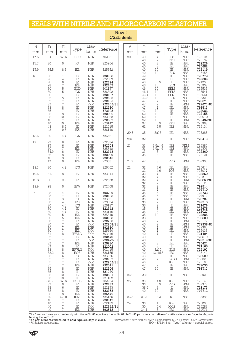## SEALS WITH NITRILE AND FLUOROCARBON ELASTOMER

| d<br>mm    | $\mathbb D$<br>mm                                                                                                                                                                        | $\boldsymbol{\mathrm{E}}$<br>mm                                                                                                                                                                                                                                                             | Type                                                                                                                                                                                                                                              | Elas-<br>tomer                                                                                                                                                                                                                                                                                                                        | Reference                                                                                                                                                                                                                                                                           | d<br>mm | $\mathbb D$<br>mm                                                                                                                                                              | E<br>mm                                                                                                                                                                                | Type                                                                                                                                                                                                                                                             | Elas-<br>tomer                                                                                                                                                                                                                                                                                                                                             | Reference                                                                                                                                                                                                                                                                        |
|------------|------------------------------------------------------------------------------------------------------------------------------------------------------------------------------------------|---------------------------------------------------------------------------------------------------------------------------------------------------------------------------------------------------------------------------------------------------------------------------------------------|---------------------------------------------------------------------------------------------------------------------------------------------------------------------------------------------------------------------------------------------------|---------------------------------------------------------------------------------------------------------------------------------------------------------------------------------------------------------------------------------------------------------------------------------------------------------------------------------------|-------------------------------------------------------------------------------------------------------------------------------------------------------------------------------------------------------------------------------------------------------------------------------------|---------|--------------------------------------------------------------------------------------------------------------------------------------------------------------------------------|----------------------------------------------------------------------------------------------------------------------------------------------------------------------------------------|------------------------------------------------------------------------------------------------------------------------------------------------------------------------------------------------------------------------------------------------------------------|------------------------------------------------------------------------------------------------------------------------------------------------------------------------------------------------------------------------------------------------------------------------------------------------------------------------------------------------------------|----------------------------------------------------------------------------------------------------------------------------------------------------------------------------------------------------------------------------------------------------------------------------------|
| 17.5       | 34                                                                                                                                                                                       | 8x15                                                                                                                                                                                                                                                                                        | <b>IESD</b>                                                                                                                                                                                                                                       | <b>NBR</b>                                                                                                                                                                                                                                                                                                                            | 702051                                                                                                                                                                                                                                                                              | 20      | 40                                                                                                                                                                             | $\sqrt{ }$                                                                                                                                                                             | <b>IES</b>                                                                                                                                                                                                                                                       | $\operatorname{NBR}$                                                                                                                                                                                                                                                                                                                                       | 726104                                                                                                                                                                                                                                                                           |
| 17.7       | 30                                                                                                                                                                                       | 5                                                                                                                                                                                                                                                                                           | IO                                                                                                                                                                                                                                                | <b>NBR</b>                                                                                                                                                                                                                                                                                                                            | 723264                                                                                                                                                                                                                                                                              |         | 40<br>40                                                                                                                                                                       | $\sqrt{7}$<br>8                                                                                                                                                                        | EES<br>$\rm IE$                                                                                                                                                                                                                                                  | $\operatorname{NBR}$<br>${\rm NBR}$                                                                                                                                                                                                                                                                                                                        | 726139<br><b>722226</b>                                                                                                                                                                                                                                                          |
| 17.9       | 35.5                                                                                                                                                                                     | 8.2                                                                                                                                                                                                                                                                                         | IEL                                                                                                                                                                                                                                               | <b>NBR</b>                                                                                                                                                                                                                                                                                                                            | 725652                                                                                                                                                                                                                                                                              |         | 40<br>40                                                                                                                                                                       | 8<br>10                                                                                                                                                                                | IEL<br>$\rm IE$                                                                                                                                                                                                                                                  | $\operatorname{NBR}$<br><b>NBR</b>                                                                                                                                                                                                                                                                                                                         | 725682                                                                                                                                                                                                                                                                           |
| 18         | 25<br>$\frac{26}{28}$<br>28<br>30<br>30<br>32<br>32<br>33<br>35<br>5<br>35<br>35<br>5<br>40<br>40<br>43<br>43                                                                            | 7<br>4.5<br>6<br>$\sqrt{7}$<br>557578780<br>$\sqrt{7}$<br>10<br>8.5<br>9.5                                                                                                                                                                                                                  | IE<br>IE<br>$\rm IE$<br>IEL<br><b>IELD</b><br>IOS<br>ΪĔ<br>$\rm IE$<br>$\frac{\overline{1}}{\overline{1}}$<br>$\rm IE$<br>$\frac{\overline{1}}{1E}$<br>ΪĒ<br>$\rm IE$<br>IEL<br>IE<br><b>IES</b>                                                  | <b>NBR</b><br><b>NBR</b><br><b>NBR</b><br><b>NBR</b><br><b>NBR</b><br><b>NBR</b><br><b>NBR</b><br><b>NBR</b><br><b>NBR</b><br><b>FKM</b><br><b>NBR</b><br>${\rm NBR}$<br><b>NBR</b><br><b>NBR</b><br><b>NBR</b><br><b>NBR</b><br><b>NBR</b><br><b>NBR</b>                                                                             | 722628<br>772389<br>722774<br>792607<br>702177<br>726302<br>722107<br>722663<br>722105<br>722105/81<br>722120<br>772102<br>722026<br>722252<br>772032<br>725142<br>722015<br>726140                                                                                                 |         | 40<br>42<br>$42\,$<br>43<br>45<br>$46\,$<br>46.4<br>46.4<br>46.5<br>$47\,$<br>$47\,$<br>$47\,$<br>$\substack{47 \\ 52}$<br>52<br>52<br>57<br>62                                | 10<br>6<br>$\overline{6}$<br>8.5<br>10<br>10<br>10<br>10<br>$\begin{array}{c} 10 \\ 7 \\ 7 \end{array}$<br>$\sqrt{ }$<br>10<br>10<br>10<br>$10\,$<br>6.5<br>6.5                        | <b>IELS</b><br>IE<br>IEL<br>$\scriptstyle\rm II$<br><b>IELS</b><br><b>EELS</b><br><b>EELS</b><br><b>EELS</b><br><b>IELS</b><br>$\frac{1}{15}$<br>IEL<br>$\rm IE$<br>$\rm I\!E$<br>IEL<br>IE<br>EES<br><b>IES</b>                                                 | $\operatorname{NBR}$<br><b>NBR</b><br>$\operatorname{NBR}$<br><b>NBR</b><br>$\operatorname{NBR}$<br><b>NBR</b><br><b>NBR</b><br>$\operatorname{NBR}$<br><b>NBR</b><br>$\operatorname{NBR}$<br><b>FKM</b><br><b>NBR</b><br><b>NBR</b><br><b>NBR</b><br><b>NBR</b><br>FKM<br>$\operatorname{NBR}$<br><b>NBR</b>                                              | 722119<br>725455<br>725455<br><b>792609</b><br>721250<br>725503<br>T25535<br>T25541<br>T25561<br>725328<br>722671<br>722671/81<br>792513<br>722083<br>722155<br>792610<br>772432/81<br>726963<br>726134                                                                          |
| 18.6       | 30                                                                                                                                                                                       | 4.7                                                                                                                                                                                                                                                                                         | IOS                                                                                                                                                                                                                                               | <b>NBR</b>                                                                                                                                                                                                                                                                                                                            | 726461                                                                                                                                                                                                                                                                              | 20.5    | 35                                                                                                                                                                             | 8x13                                                                                                                                                                                   | IEL                                                                                                                                                                                                                                                              | <b>NBR</b>                                                                                                                                                                                                                                                                                                                                                 | 725286                                                                                                                                                                                                                                                                           |
| 19         | 27                                                                                                                                                                                       | 6                                                                                                                                                                                                                                                                                           | $\rm IE$                                                                                                                                                                                                                                          | <b>NBR</b>                                                                                                                                                                                                                                                                                                                            | 722384                                                                                                                                                                                                                                                                              | 20.8    | 32                                                                                                                                                                             | 8                                                                                                                                                                                      | IE                                                                                                                                                                                                                                                               | <b>NBR</b>                                                                                                                                                                                                                                                                                                                                                 | 722419                                                                                                                                                                                                                                                                           |
|            | 27<br>30<br>34.9<br>36<br>40                                                                                                                                                             | 6<br>$\begin{array}{c} 7 \\ 6 \\ 8 \end{array}$                                                                                                                                                                                                                                             | $\rm IE$<br>IEL<br>IE<br>IE<br>$\rm IE$                                                                                                                                                                                                           | <b>NBR</b><br><b>NBR</b><br><b>NBR</b><br><b>NBR</b><br><b>NBR</b>                                                                                                                                                                                                                                                                    | 792708<br>725648<br>722143<br>722009<br>722346                                                                                                                                                                                                                                      | 21      | 31<br>31<br>31<br>35                                                                                                                                                           | 3.5x4.5<br>3.5x4.5<br>8<br>8                                                                                                                                                           | IES<br><b>IES</b><br>IE<br>IE                                                                                                                                                                                                                                    | <b>FKM</b><br><b>NBR</b><br><b>NBR</b><br><b>NBR</b>                                                                                                                                                                                                                                                                                                       | 726380<br>726309<br><b>722360</b><br>772121                                                                                                                                                                                                                                      |
|            | 43                                                                                                                                                                                       | $\frac{8}{8}$                                                                                                                                                                                                                                                                               | IEL                                                                                                                                                                                                                                               | <b>NBR</b>                                                                                                                                                                                                                                                                                                                            | 725681                                                                                                                                                                                                                                                                              | 21.9    | $47\,$                                                                                                                                                                         | 8                                                                                                                                                                                      | EED                                                                                                                                                                                                                                                              | <b>FKM</b>                                                                                                                                                                                                                                                                                                                                                 | 702356                                                                                                                                                                                                                                                                           |
| 19.3       | 30                                                                                                                                                                                       | 4.7                                                                                                                                                                                                                                                                                         | IOS                                                                                                                                                                                                                                               | <b>NBR</b>                                                                                                                                                                                                                                                                                                                            | 726462                                                                                                                                                                                                                                                                              | 22      | 32<br>$\overline{32}$                                                                                                                                                          | 4.6<br>4.6                                                                                                                                                                             | IEL<br>IOS                                                                                                                                                                                                                                                       | <b>NBR</b><br>$\operatorname{NBR}$                                                                                                                                                                                                                                                                                                                         | 725614                                                                                                                                                                                                                                                                           |
| 19.6       | 31.1                                                                                                                                                                                     | 8                                                                                                                                                                                                                                                                                           | IE                                                                                                                                                                                                                                                | <b>NBR</b>                                                                                                                                                                                                                                                                                                                            | 722244                                                                                                                                                                                                                                                                              |         | $\overline{32}$                                                                                                                                                                |                                                                                                                                                                                        | IE<br>$\rm IE$                                                                                                                                                                                                                                                   | <b>NBR</b><br>$\operatorname{NBR}$                                                                                                                                                                                                                                                                                                                         | 726017<br><b>722850</b><br>772310                                                                                                                                                                                                                                                |
| 19.8       | 38                                                                                                                                                                                       | 9.9                                                                                                                                                                                                                                                                                         | IE                                                                                                                                                                                                                                                | <b>NBR</b>                                                                                                                                                                                                                                                                                                                            | 722600                                                                                                                                                                                                                                                                              |         | $\begin{array}{c} 32 \\ 32 \end{array}$<br>32                                                                                                                                  |                                                                                                                                                                                        | IE<br>$\rm IE$                                                                                                                                                                                                                                                   | <b>FKM</b><br>$\operatorname{NBR}$                                                                                                                                                                                                                                                                                                                         | 722850/81<br>772123                                                                                                                                                                                                                                                              |
| 19.9<br>20 | 28<br>28<br>28<br>30<br>30<br>30<br>$\frac{30}{30}$<br>30<br>30<br>30<br>30<br>30<br>30<br>$31\,$<br>32<br>$32$<br>$32$<br>$33$<br>33<br>33.2<br>35<br>35<br>$\frac{35}{35}$<br>35<br>35 | 5<br>$\,4\,$<br>$\sqrt{ }$<br>3<br>4.5<br>4.6<br>4.7<br>4.7<br>5<br>5<br>$\sqrt{2}$<br>7<br>$\sqrt{ }$<br>$\overline{7}$<br>8<br>$\sqrt{7}$<br>$\sqrt{ }$<br>$\sqrt{7}$<br>$\begin{array}{c} 8 \\ 8 \end{array}$<br>8<br>6<br>$\sqrt{ }$<br>$\begin{array}{c} 7 \\ 7 \\ 8 \end{array}$<br>8 | <b>IEW</b><br>IE<br>$\rm I\!E$<br>IO<br><b>IES</b><br>IOS<br>IE<br>IE<br>IEL<br>IEL<br>IE<br>IE<br>IEL<br>IEL<br><b>IEWLD</b><br>IE<br>$\rm IE$<br>IEL<br>IE<br><b>IEWLG</b><br><b>EOS</b><br>IO<br>IĖ<br>IE<br>IEL<br>IE<br>$\scriptstyle\rm II$ | <b>NBR</b><br><b>NBR</b><br><b>NBR</b><br><b>NBR</b><br><b>NBR</b><br><b>NBR</b><br><b>NBR</b><br><b>NBR</b><br><b>NBR</b><br>NBR<br>NBR<br>FKM<br><b>NBR</b><br><b>FKM</b><br>FKM<br><b>NBR</b><br>FKM<br><b>NBR</b><br><b>NBR</b><br>FKM<br><b>NBR</b><br><b>NBR</b><br><b>NBR</b><br>FKM<br><b>NBR</b><br><b>NBR</b><br><b>NBR</b> | 772408<br>792709<br>722133<br>723551<br>726304<br>726187<br>722342<br>722146<br>725349<br>792608<br>722258<br>722258/81<br>792510<br>725660<br>702416<br>722479<br>722479/81<br>725280<br>722002<br>702415<br>726155<br>723626<br>722952<br>722952/81<br>792511<br>722506<br>721220 |         | 32<br>33<br>35<br>35<br>35<br>35<br>35<br>$35$<br>$35$<br>$35$<br>35<br>38<br>40<br>40<br>40<br>40<br>40<br>40<br>40<br>40<br>40<br>40<br>40<br>43<br>45<br>45<br>$47\,$<br>47 | $77777557788$<br>10<br>8<br>$\sqrt{2}$<br>7<br>$\sqrt{2}$<br>$\overline{7}$<br>$\sqrt{ }$<br>8<br>$\,8\,$<br>8<br>8<br>8x10<br>13x15.5<br>8<br>$\sqrt{2}$<br>8<br>$\overline{7}$<br>10 | $\stackrel{\rm IE}{\rm IE}$<br>IE<br>IEL<br>$_{\rm IE}$<br>IEL<br>$_{\rm II}$<br>$\rm IE$<br>IEL<br>IE<br>$\rm IE$<br>IE<br>IE<br>IE<br>IEL<br>$\scriptstyle\rm II$<br>$\rm IE$<br>IE<br>IEL<br>П<br><b>IELS</b><br>IES<br>IE<br><b>IEWLG</b><br>IOS<br>IE<br>IE | <b>NBR</b><br><b>NBR</b><br><b>NBR</b><br><b>NBR</b><br><b>FKM</b><br><b>NBR</b><br><b>NBR</b><br><b>NBR</b><br><b>NBR</b><br><b>NBR</b><br><b>NBR</b><br><b>FKM</b><br>FKM<br>FKM<br><b>NBR</b><br><b>NBR</b><br><b>NBR</b><br>FKM<br><b>NBR</b><br><b>NBR</b><br><b>NBR</b><br><b>NBR</b><br><b>NBR</b><br>FKM<br><b>NBR</b><br><b>NBR</b><br><b>NBR</b> | 792514<br>792710<br>722732<br>792611<br>722727<br>792515<br>721676<br>722675<br>725027<br>722285<br>792500<br>772179<br>772338/81<br>772366<br>725438<br>721404<br>722519<br>722519/81<br>725421<br>721165<br>725191<br>726142<br>722699<br>702623<br>726168<br>772033<br>792711 |
|            | 35<br>35                                                                                                                                                                                 | 10<br>10                                                                                                                                                                                                                                                                                    | $\rm I\!E$<br>П                                                                                                                                                                                                                                   | <b>NBR</b><br><b>NBR</b>                                                                                                                                                                                                                                                                                                              | 722521<br>721182                                                                                                                                                                                                                                                                    | 22.2    | 38.2                                                                                                                                                                           | 9.7                                                                                                                                                                                    | IE                                                                                                                                                                                                                                                               | NBR                                                                                                                                                                                                                                                                                                                                                        | 722920                                                                                                                                                                                                                                                                           |
|            | 36.5<br>$\begin{array}{c} 37 \\ 38 \end{array}$<br>38<br>38                                                                                                                              | 8x15<br>$^8_6$<br>8<br>8                                                                                                                                                                                                                                                                    | <b>IESPD</b><br>IE<br>IE<br>IE<br>IEL                                                                                                                                                                                                             | <b>NBR</b><br><b>NBR</b><br><b>NBR</b><br><b>NBR</b><br><b>NBR</b>                                                                                                                                                                                                                                                                    | 702254<br>722789<br>722773<br>722163<br>725476                                                                                                                                                                                                                                      | 23      | 33<br>36<br>38.5<br>40                                                                                                                                                         | 4.8<br>6.5<br>8<br>10                                                                                                                                                                  | IOS<br>EED<br>П<br>IE                                                                                                                                                                                                                                            | <b>NBR</b><br>FKM<br><b>NBR</b><br><b>NBR</b>                                                                                                                                                                                                                                                                                                              | 726143<br>732373<br>721173<br>792712                                                                                                                                                                                                                                             |
|            | 40<br>40                                                                                                                                                                                 | 6x10<br>7                                                                                                                                                                                                                                                                                   | <b>IELS</b><br>IE                                                                                                                                                                                                                                 | <b>NBR</b><br><b>NBR</b>                                                                                                                                                                                                                                                                                                              | 725120<br>722642                                                                                                                                                                                                                                                                    | 23.5    | 29.5                                                                                                                                                                           | 3.3                                                                                                                                                                                    | IO                                                                                                                                                                                                                                                               | NBR                                                                                                                                                                                                                                                                                                                                                        | 723283                                                                                                                                                                                                                                                                           |
|            | 40<br>40<br>40                                                                                                                                                                           | $\frac{7}{7}$<br>7                                                                                                                                                                                                                                                                          | IE<br>IE<br>IEL                                                                                                                                                                                                                                   | <b>NBR</b><br><b>FKM</b><br><b>NBR</b>                                                                                                                                                                                                                                                                                                | 772185<br>722642/81<br>792512                                                                                                                                                                                                                                                       | 24      | 30<br>30<br>34.4                                                                                                                                                               | 4<br>5.4<br>5                                                                                                                                                                          | IOS<br><b>IOLS</b><br>IES                                                                                                                                                                                                                                        | <b>NBR</b><br><b>NBR</b><br><b>NBR</b>                                                                                                                                                                                                                                                                                                                     | 726050<br>726288<br>726079                                                                                                                                                                                                                                                       |

#### New! **CSEL Seals**

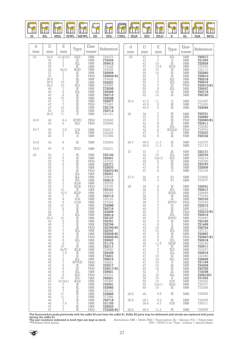

| d    | $\mathbb D$                                                                                                                                                                                                | E                                                                                                                                                                                                                                                                                    |                                                                                                                                                                                                                                                                                                              | Elas-                                                                                                                                                                                                                                                                                                                                                                                                                                                                                                                                  | Reference                                                                                                                                                                                                                                                                                                                                                    | d          | $\mathbb D$                                                                                                                                                                                                  | $\mathbf E$                                                                                                                                                                  |                                                                                                                                                                                                                                                                                                                                                                                                                                                                                                           | Elas-                                                                                                                                                                                                                                                                                                                                                                                                                                                                                                                            |                                                                                                                                                                                                                                                                                                                                                                                      |
|------|------------------------------------------------------------------------------------------------------------------------------------------------------------------------------------------------------------|--------------------------------------------------------------------------------------------------------------------------------------------------------------------------------------------------------------------------------------------------------------------------------------|--------------------------------------------------------------------------------------------------------------------------------------------------------------------------------------------------------------------------------------------------------------------------------------------------------------|----------------------------------------------------------------------------------------------------------------------------------------------------------------------------------------------------------------------------------------------------------------------------------------------------------------------------------------------------------------------------------------------------------------------------------------------------------------------------------------------------------------------------------------|--------------------------------------------------------------------------------------------------------------------------------------------------------------------------------------------------------------------------------------------------------------------------------------------------------------------------------------------------------------|------------|--------------------------------------------------------------------------------------------------------------------------------------------------------------------------------------------------------------|------------------------------------------------------------------------------------------------------------------------------------------------------------------------------|-----------------------------------------------------------------------------------------------------------------------------------------------------------------------------------------------------------------------------------------------------------------------------------------------------------------------------------------------------------------------------------------------------------------------------------------------------------------------------------------------------------|----------------------------------------------------------------------------------------------------------------------------------------------------------------------------------------------------------------------------------------------------------------------------------------------------------------------------------------------------------------------------------------------------------------------------------------------------------------------------------------------------------------------------------|--------------------------------------------------------------------------------------------------------------------------------------------------------------------------------------------------------------------------------------------------------------------------------------------------------------------------------------------------------------------------------------|
| mm   | mm                                                                                                                                                                                                         | mm                                                                                                                                                                                                                                                                                   | Type                                                                                                                                                                                                                                                                                                         | tomer                                                                                                                                                                                                                                                                                                                                                                                                                                                                                                                                  |                                                                                                                                                                                                                                                                                                                                                              | mm         | mm                                                                                                                                                                                                           | mm                                                                                                                                                                           | Type                                                                                                                                                                                                                                                                                                                                                                                                                                                                                                      | tomer                                                                                                                                                                                                                                                                                                                                                                                                                                                                                                                            | Reference                                                                                                                                                                                                                                                                                                                                                                            |
| 24   | 34.6<br>$\begin{array}{c} 35 \\ 35 \end{array}$<br>36<br>36<br>$\overline{37}$<br>$37\,$<br>$38.5$<br>$38.5$<br>38.5<br>40<br>$\frac{40}{42}$<br>46                                                        | 14.3x19.5<br>$\begin{array}{c} 7 \\ 7 \\ 7 \end{array}$<br>8x12<br>$\sqrt{ }$<br>$\begin{array}{c}\n7 \\ 7 \\ 10 \\ \end{array}$<br>$\begin{array}{c} 10 \\ 7 \\ 8 \\ 8 \\ 10 \\ 7 \\ 7 \end{array}$                                                                                 | <b>EES</b><br>$\stackrel{\rm IE}{\rm IEL}$<br>$_{\rm IE}$<br><b>IESD</b><br>IE<br>$\rm IE$<br>$\overline{\text{III}}$<br>IE<br>IED<br>$\stackrel{\rm IE}{\rm IEL}$<br>IE                                                                                                                                     | NBR<br>$\operatorname{NBR}$<br>$\operatorname{NBR}$<br>$\operatorname{NBR}$<br>$\operatorname{NBR}$<br>NBR<br>FKM<br>$\operatorname{NBR}$<br>$\operatorname{NBR}$<br>$\operatorname{NBR}$<br>$\operatorname{NBR}$<br>NBR<br>NBR<br>NBR<br><b>NBR</b>                                                                                                                                                                                                                                                                                   | 726472<br>772034<br>792612<br>772328<br>702028<br>722909<br>722909/81<br>724028<br>722227<br>702005<br>725406<br>792713<br>722028                                                                                                                                                                                                                            | 25         | $47\,$<br>$\frac{47}{47}$<br>47<br>49<br>50<br>52<br>52<br>52<br>52<br>52<br>52<br>62                                                                                                                        | $\sqrt{2}$<br>$\frac{7}{10}$<br>13.5<br>$\begin{array}{c} 10 \\ 10 \\ 7 \\ 7 \\ 7 \\ 8 \\ 10 \\ 10 \\ \end{array}$                                                           | IEL<br>$\frac{\text{II}}{\text{IE}}$<br><b>IELS</b><br>$\rm IE$<br>ΪĒ<br>$\rm IE$<br>IEL<br>IEL<br>$_{\rm IE}$<br>IEL<br>$\rm IE$<br>IE                                                                                                                                                                                                                                                                                                                                                                   | NBR<br><b>NBR</b><br>${\rm NBR}$<br><b>NBR</b><br><b>NBR</b><br>$\begin{array}{c} \text{NBR} \\ \text{NBR} \\ \text{NBR} \end{array}$<br>$\operatorname{NBR}$<br><b>NBR</b><br><b>FKM</b><br><b>NBR</b><br>NBR<br>NBR<br>NBR                                                                                                                                                                                                                                                                                                     | 792517<br>721353<br>722524<br>725400<br>722117<br><b>722260</b><br>722910<br>792518<br>792616<br>722910/81<br>725037<br>792719<br>792720                                                                                                                                                                                                                                             |
|      | $47\,$<br>$47\,$<br>$47\,$<br>50<br>50.5                                                                                                                                                                   | 10<br>10<br>$1\,1$                                                                                                                                                                                                                                                                   | ie<br>IE<br>IE<br>IE<br>$\frac{\overline{1}}{\overline{1}}$<br>$\rm{II}$                                                                                                                                                                                                                                     | $\operatorname{NBR}$<br><b>FKM</b><br>$\operatorname{NBR}$<br><b>NBR</b><br><b>NBR</b>                                                                                                                                                                                                                                                                                                                                                                                                                                                 | 722977<br>772367<br>722176<br>792714                                                                                                                                                                                                                                                                                                                         | 25.4<br>26 | 41.2<br>42.9<br>44.4                                                                                                                                                                                         | $\begin{array}{c} 11 \\ 5 \\ 5 \end{array}$                                                                                                                                  | $\rm II$<br>$\rm IE$<br>$\rm IE$<br>$\rm I\!E$                                                                                                                                                                                                                                                                                                                                                                                                                                                            | $\frac{\text{NBR}}{\text{NBR}}$<br>$\ensuremath{\mathsf{NBR}}$                                                                                                                                                                                                                                                                                                                                                                                                                                                                   | 721657<br>772220<br>722094                                                                                                                                                                                                                                                                                                                                                           |
| 24.5 | 40<br>42                                                                                                                                                                                                   | 8.4<br>6                                                                                                                                                                                                                                                                             | <b>IEWD</b><br>IED                                                                                                                                                                                                                                                                                           | <b>FKM</b><br><b>FKM</b>                                                                                                                                                                                                                                                                                                                                                                                                                                                                                                               | 721151<br>702565<br>702598                                                                                                                                                                                                                                                                                                                                   |            | 36<br>37<br>37<br>$\overline{42}$<br>42                                                                                                                                                                      | 77788878                                                                                                                                                                     | $\stackrel{\rm IE}{\rm IE}$<br>$\rm IE$<br>IEL                                                                                                                                                                                                                                                                                                                                                                                                                                                            | $\frac{\text{NBR}}{\text{NBR}}$<br><b>FKM</b><br>$\operatorname{NBR}$<br>${\rm NBR}$                                                                                                                                                                                                                                                                                                                                                                                                                                             | 792721<br>722990<br>722990/81<br>722411                                                                                                                                                                                                                                                                                                                                              |
| 24.7 | $\frac{35}{40}$<br>40                                                                                                                                                                                      | 4.8<br>$\overline{\mathcal{I}}$<br>$\sqrt{ }$                                                                                                                                                                                                                                        | IOS<br>IEL<br>$\;$ II                                                                                                                                                                                                                                                                                        | $\frac{\text{NBR}}{\text{NBR}}$<br><b>NBR</b>                                                                                                                                                                                                                                                                                                                                                                                                                                                                                          | 726313<br>725205<br>721009                                                                                                                                                                                                                                                                                                                                   |            | $^{42}_{47}$<br>52                                                                                                                                                                                           |                                                                                                                                                                              | $\begin{tabular}{l} \multicolumn{2}{l}{\textbf{I}} & \multicolumn{2}{l}{\textbf{I}} & \multicolumn{2}{l}{\textbf{II}} \\ \multicolumn{2}{l}{\textbf{II}} & \multicolumn{2}{l}{\textbf{II}} & \multicolumn{2}{l}{\textbf{II}} \\ \multicolumn{2}{l}{\textbf{II}} & \multicolumn{2}{l}{\textbf{II}} & \multicolumn{2}{l}{\textbf{II}} \\ \multicolumn{2}{l}{\textbf{II}} & \multicolumn{2}{l}{\textbf{II}} & \multicolumn{2}{l}{\textbf{II}} \\ \multicolumn{2}{l}{\textbf{II}} & \multicolumn$<br>$\rm IE$ | FKM<br>NBR<br><b>NBR</b>                                                                                                                                                                                                                                                                                                                                                                                                                                                                                                         | 725080<br>702554<br><b>772037</b><br>792722                                                                                                                                                                                                                                                                                                                                          |
| 24.8 | 42                                                                                                                                                                                                         | 8                                                                                                                                                                                                                                                                                    | IE                                                                                                                                                                                                                                                                                                           | $\operatorname{NBR}$                                                                                                                                                                                                                                                                                                                                                                                                                                                                                                                   | 722584                                                                                                                                                                                                                                                                                                                                                       | 26.7       | 46.5<br>46.5                                                                                                                                                                                                 | 11.3<br>11.3                                                                                                                                                                 | $\rm IE$<br>$\rm II$                                                                                                                                                                                                                                                                                                                                                                                                                                                                                      | $\operatorname{NBR}$<br>$\operatorname{NBR}$                                                                                                                                                                                                                                                                                                                                                                                                                                                                                     | 722757<br>721172                                                                                                                                                                                                                                                                                                                                                                     |
| 24.9 | 40                                                                                                                                                                                                         | 8                                                                                                                                                                                                                                                                                    | <b>IELD</b>                                                                                                                                                                                                                                                                                                  | $\operatorname{NBR}$                                                                                                                                                                                                                                                                                                                                                                                                                                                                                                                   | 702231                                                                                                                                                                                                                                                                                                                                                       | 27         | 37                                                                                                                                                                                                           | $\sqrt{ }$                                                                                                                                                                   | IE                                                                                                                                                                                                                                                                                                                                                                                                                                                                                                        | <b>NBR</b>                                                                                                                                                                                                                                                                                                                                                                                                                                                                                                                       | 722171                                                                                                                                                                                                                                                                                                                                                                               |
| 25   |                                                                                                                                                                                                            | 75567777577                                                                                                                                                                                                                                                                          | IE<br>$\frac{\overline{1}}{\overline{1}}$<br>$\rm IE$<br>$\frac{\overline{1}}{\overline{1}}$                                                                                                                                                                                                                 | <b>NBR</b><br>NBR<br>FKM<br>$\operatorname{NBR}$<br>NBR<br><b>FKM</b>                                                                                                                                                                                                                                                                                                                                                                                                                                                                  | 722132<br>722401<br>722702<br><b>722771</b><br>722670<br>722670/81                                                                                                                                                                                                                                                                                           |            | 42<br>$\substack{42 \\ 45}$<br>47<br>47<br>47                                                                                                                                                                | 10<br>10x13<br>6788                                                                                                                                                          | IEL<br>IED<br>$\rm I\!E$<br>$\rm IE$<br>$\frac{\overline{\text{IE}}}{\text{II}}$                                                                                                                                                                                                                                                                                                                                                                                                                          | $\operatorname{NBR}$<br><b>NBR</b><br><b>NBR</b><br>$\operatorname{NBR}$<br>NBR<br>NBR<br>NBR                                                                                                                                                                                                                                                                                                                                                                                                                                    | 725733<br>702014<br>722790<br>722797<br><b>722509</b><br>723104                                                                                                                                                                                                                                                                                                                      |
|      |                                                                                                                                                                                                            |                                                                                                                                                                                                                                                                                      | IEL<br>IEL<br>IEL<br><b>IELR</b>                                                                                                                                                                                                                                                                             | <b>NBR</b><br>$\operatorname{NBR}$<br><b>NBR</b><br><b>NBR</b>                                                                                                                                                                                                                                                                                                                                                                                                                                                                         | 725301<br>725638<br>792613<br>725703                                                                                                                                                                                                                                                                                                                         | 27.5       | 34<br>35                                                                                                                                                                                                     | $\overline{4}$<br>4                                                                                                                                                          | IO<br>IO                                                                                                                                                                                                                                                                                                                                                                                                                                                                                                  | <b>NBR</b><br><b>NBR</b>                                                                                                                                                                                                                                                                                                                                                                                                                                                                                                         | 723800<br>723277                                                                                                                                                                                                                                                                                                                                                                     |
|      | 36<br>37<br>38<br>$\frac{38}{38.3}$<br>$40\,$<br>40<br>40<br>40<br>40<br>40<br>40<br>40<br>40<br>40<br>42<br>42<br>$\overline{42}$<br>42<br>$42\,$<br>42<br>42<br>$42\,$<br>42<br>42<br>$43\,$<br>43<br>45 | $10 \over 10.5$<br>$\begin{array}{c} 7 \\ 8 \\ 8 \\ 10 \\ 6 \\ 7 \end{array}$<br>$\frac{7}{10}$<br>$\,6$<br>$\sqrt{2}$<br>$\frac{7}{7}$<br>8<br>8<br>8<br>$\,8\,$<br>10<br>5x75<br>7.5<br>7<br>$\sqrt{7}$<br>$\sqrt{2}$<br>8<br>8<br>8<br>8<br>10<br>10.3x11<br>7<br>8<br>$\sqrt{2}$ | <b>IELR</b><br>IE<br><b>IEDP</b><br>$\rm IE$<br>IOS<br>OOS<br>IE<br>IE<br>$_{\rm IE}$<br>IEL<br>$\rm IE$<br>IE<br>IE<br>IE<br>IEL<br>IE<br>IE<br>IEL<br>$\scriptstyle\rm II$<br>IE<br><b>IELS</b><br>$\rm IE$<br>IE<br>IEL<br><b>IEWLD</b><br>IE<br>IE<br>IEL<br>IED<br>IEL<br><b>IELS</b><br>IE<br>IE<br>IE | <b>FKM</b><br><b>NBR</b><br>$\operatorname{NBR}$<br>$\operatorname{NBR}$<br>$\operatorname{NBR}$<br><b>NBR</b><br><b>NBR</b><br>$\frac{\text{NBR}}{\text{NBR}}$<br>$\operatorname{NBR}$<br><b>NBR</b><br><b>NBR</b><br><b>NBR</b><br>FKM<br>$\operatorname{NBR}$<br><b>NBR</b><br>FKM<br><b>NBR</b><br><b>NBR</b><br><b>NBR</b><br><b>NBR</b><br><b>NBR</b><br><b>NBR</b><br><b>NBR</b><br>FKM<br><b>NBR</b><br><b>FKM</b><br><b>NBR</b><br><b>FKM</b><br><b>NBR</b><br><b>NBR</b><br>$\operatorname{NBR}$<br><b>NBR</b><br><b>NBR</b> | 725705<br>722161<br>702275<br>792715<br>726123<br>727034<br>722588<br>792716<br>722259<br>792614<br>722147<br>722761<br>722799<br>722799/81<br>725767<br>722508/81<br>722505/81<br>725067<br>721174<br>792717<br>725650<br>722439<br>772201<br>792615<br>702621<br>722517<br>722517/81<br>725621<br>702410<br>792501<br>725466<br>722091<br>722683<br>722310 | 28         | 36<br>36<br>37<br>38<br>38<br>38<br>40<br>$40^{\circ}$<br>40<br>40<br>40<br>42<br>43<br>43<br>43<br>45<br>45<br>45<br>45<br>47<br>47<br>47<br>47<br>47<br>47<br>47<br>50<br>52<br>52<br>52<br>52<br>52<br>65 | 88777777777<br>8<br>8<br>10<br>10<br>8<br>8<br>$\,8\,$<br>11.5<br>7<br>$\sqrt{7}$<br>$\sqrt{7}$<br>10<br>10<br>10<br>10<br>10<br>$\sqrt{7}$<br>10<br>10<br>10<br>10x11<br>10 | IE<br>IEL<br><b>IEWL</b><br>$\rm IE$<br>ΙĒ<br><b>IEWG</b><br>IE<br>IE<br>$\overline{IE}$<br>$\operatorname{IEL}$<br><b>IEWD</b><br>$\rm I\!E$<br>$_{\rm II}$<br>IE<br>IEL<br>$\rm IE$<br>$_{\rm IE}$<br>IEL<br><b>EESF</b><br>IE<br>IED<br>IEL<br>IE<br>IEL<br>П<br>Ш<br>$_{\rm IE}$<br>$_{\rm IE}$<br>IEL<br>П<br>IOS<br>IELS<br>IE                                                                                                                                                                      | $\begin{array}{c} \text{NBR} \\ \text{NBR} \end{array}$<br>$\operatorname{NBR}$<br><b>NBR</b><br><b>NBR</b><br><b>FKM</b><br>NBR<br>NBR<br>NBR<br><b>FKM</b><br>$\operatorname{NBR}$<br>$\ensuremath{\mathsf{NBR}}$<br><b>NBR</b><br><b>NBR</b><br><b>NBR</b><br><b>NBR</b><br><b>NBR</b><br>FKM<br><b>NBR</b><br><b>NBR</b><br><b>NBR</b><br><b>NBR</b><br><b>NBR</b><br><b>NBR</b><br><b>NBR</b><br><b>NBR</b><br><b>NBR</b><br><b>NBR</b><br><b>NBR</b><br><b>NBR</b><br><b>NBR</b><br><b>NBR</b><br><b>NBR</b><br><b>NBR</b> | 722031<br><b>792617</b><br>725685<br>772164<br><b>792723</b><br>702549<br><b>722212</b><br>772312<br>702010<br>722212/81<br><b>792519</b><br>702497<br>722193<br>721456<br>792724<br>725131<br>722967<br>722967/81<br>792618<br>726348<br>722911<br>702257<br>792619<br>722490<br>725606<br>721194<br>724229<br>792725<br>772038<br>79281901<br>721222<br>726323<br>725377<br>772286 |
|      | 45<br>45                                                                                                                                                                                                   | 11<br>11                                                                                                                                                                                                                                                                             | IE<br>П                                                                                                                                                                                                                                                                                                      | <b>NBR</b><br><b>NBR</b>                                                                                                                                                                                                                                                                                                                                                                                                                                                                                                               | 722866<br>721898                                                                                                                                                                                                                                                                                                                                             | 28.5       | 45                                                                                                                                                                                                           | 8.5                                                                                                                                                                          | $\rm I\!E$                                                                                                                                                                                                                                                                                                                                                                                                                                                                                                | <b>NBR</b>                                                                                                                                                                                                                                                                                                                                                                                                                                                                                                                       | 725062                                                                                                                                                                                                                                                                                                                                                                               |
|      | 46<br>46<br>47                                                                                                                                                                                             | 7<br>$\overline{7}.5$<br>7                                                                                                                                                                                                                                                           | IE<br>$_{\rm II}$<br>IE                                                                                                                                                                                                                                                                                      | <b>NBR</b><br><b>NBR</b><br><b>NBR</b>                                                                                                                                                                                                                                                                                                                                                                                                                                                                                                 | 792718<br>721153<br>722523                                                                                                                                                                                                                                                                                                                                   | 28.6       | 38.1<br>39.6                                                                                                                                                                                                 | 6.3<br>4.7                                                                                                                                                                   | IE<br>IOS                                                                                                                                                                                                                                                                                                                                                                                                                                                                                                 | <b>NBR</b><br><b>NBR</b>                                                                                                                                                                                                                                                                                                                                                                                                                                                                                                         | 722305<br>726311                                                                                                                                                                                                                                                                                                                                                                     |
|      | 47                                                                                                                                                                                                         | $\sqrt{ }$                                                                                                                                                                                                                                                                           | IE                                                                                                                                                                                                                                                                                                           | FKM                                                                                                                                                                                                                                                                                                                                                                                                                                                                                                                                    | 772339/81                                                                                                                                                                                                                                                                                                                                                    | 28.8       | 46.5                                                                                                                                                                                                         | 11.2                                                                                                                                                                         | $_{\rm IE}$                                                                                                                                                                                                                                                                                                                                                                                                                                                                                               | <b>NBR</b>                                                                                                                                                                                                                                                                                                                                                                                                                                                                                                                       | 722959                                                                                                                                                                                                                                                                                                                                                                               |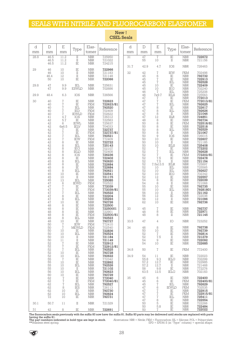## SEALS WITH NITRILE AND FLUOROCARBON ELASTOMER

| d<br>mm | $\mathbb D$<br>mm                                                                                                                                                                                        | $\boldsymbol{\mathrm{E}}$<br>mm                                                                                                                                                                                                                       | Type                                                                                                                                                                                                                                                                             | Elas-<br>tomer                                                                                                                                                                                                                                                                                                                                                                                                                                                             | Reference                                                                                                                                                                                                                                                                                                                                                 | d<br>mm | $\mathbb D$<br>mm                                                                                                                                                                                  | E<br>mm                                                                                                                                                                                                                                                                                                     | Type                                                                                                                                                                                                                                                                          | Elas-<br>tomer                                                                                                                                                                                                                                                                                                                                                                                                                                               | Reference                                                                                                                                                                                                                                                                                                                                         |
|---------|----------------------------------------------------------------------------------------------------------------------------------------------------------------------------------------------------------|-------------------------------------------------------------------------------------------------------------------------------------------------------------------------------------------------------------------------------------------------------|----------------------------------------------------------------------------------------------------------------------------------------------------------------------------------------------------------------------------------------------------------------------------------|----------------------------------------------------------------------------------------------------------------------------------------------------------------------------------------------------------------------------------------------------------------------------------------------------------------------------------------------------------------------------------------------------------------------------------------------------------------------------|-----------------------------------------------------------------------------------------------------------------------------------------------------------------------------------------------------------------------------------------------------------------------------------------------------------------------------------------------------------|---------|----------------------------------------------------------------------------------------------------------------------------------------------------------------------------------------------------|-------------------------------------------------------------------------------------------------------------------------------------------------------------------------------------------------------------------------------------------------------------------------------------------------------------|-------------------------------------------------------------------------------------------------------------------------------------------------------------------------------------------------------------------------------------------------------------------------------|--------------------------------------------------------------------------------------------------------------------------------------------------------------------------------------------------------------------------------------------------------------------------------------------------------------------------------------------------------------------------------------------------------------------------------------------------------------|---------------------------------------------------------------------------------------------------------------------------------------------------------------------------------------------------------------------------------------------------------------------------------------------------------------------------------------------------|
| 28.8    | 46.5<br>46.5                                                                                                                                                                                             | 11.2<br>11.2                                                                                                                                                                                                                                          | $\rm II$<br>П                                                                                                                                                                                                                                                                    | <b>NBR</b><br><b>NBR</b>                                                                                                                                                                                                                                                                                                                                                                                                                                                   | 725950<br>721022                                                                                                                                                                                                                                                                                                                                          | 31      | 47<br>55                                                                                                                                                                                           | $\sqrt{2}$<br>10                                                                                                                                                                                                                                                                                            | IE<br>$_{\rm II}$                                                                                                                                                                                                                                                             | ${\rm NBR}$<br>NBR                                                                                                                                                                                                                                                                                                                                                                                                                                           | 722672<br>721156                                                                                                                                                                                                                                                                                                                                  |
| 29      | 46.5<br>46                                                                                                                                                                                               | 11.2<br>10                                                                                                                                                                                                                                            | IE<br>IE                                                                                                                                                                                                                                                                         | <b>NBR</b><br><b>NBR</b>                                                                                                                                                                                                                                                                                                                                                                                                                                                   | 724215<br>722966                                                                                                                                                                                                                                                                                                                                          | 31.7    | 42.9                                                                                                                                                                                               | 4.7                                                                                                                                                                                                                                                                                                         | IOS                                                                                                                                                                                                                                                                           | <b>NBR</b>                                                                                                                                                                                                                                                                                                                                                                                                                                                   | 726463                                                                                                                                                                                                                                                                                                                                            |
|         | 46<br>46.4<br>50                                                                                                                                                                                         | 10<br>12<br>10                                                                                                                                                                                                                                        | $\mathcal{I}$<br>$_{\rm II}$<br>IE                                                                                                                                                                                                                                               | <b>NBR</b><br><b>NBR</b><br><b>NBR</b>                                                                                                                                                                                                                                                                                                                                                                                                                                     | 721183<br>721148<br>722066                                                                                                                                                                                                                                                                                                                                | 32      | 42<br>45<br>45<br>45                                                                                                                                                                               | 7<br>6<br>$\sqrt{2}$<br>$\sqrt{ }$                                                                                                                                                                                                                                                                          | <b>IEW</b><br>IE<br>$_{\rm IE}$<br>IEL                                                                                                                                                                                                                                        | FKM<br><b>NBR</b><br><b>NBR</b><br><b>NBR</b>                                                                                                                                                                                                                                                                                                                                                                                                                | 702498<br>792732<br>722913<br>792528                                                                                                                                                                                                                                                                                                              |
| 29.8    | 47<br>47                                                                                                                                                                                                 | 9.9<br>9.9                                                                                                                                                                                                                                            | IEL<br><b>ESWLD</b>                                                                                                                                                                                                                                                              | <b>NBR</b><br><b>NBR</b>                                                                                                                                                                                                                                                                                                                                                                                                                                                   | 725631<br>702686                                                                                                                                                                                                                                                                                                                                          |         | 45<br>45<br>46                                                                                                                                                                                     | 10<br>10<br>7                                                                                                                                                                                                                                                                                               | IE<br>IEG<br>IEL                                                                                                                                                                                                                                                              | <b>NBR</b><br><b>NBR</b><br><b>NBR</b>                                                                                                                                                                                                                                                                                                                                                                                                                       | 722409<br>702240<br>725208                                                                                                                                                                                                                                                                                                                        |
| 29.9    | 48.4                                                                                                                                                                                                     | 6.3                                                                                                                                                                                                                                                   | IOS                                                                                                                                                                                                                                                                              | <b>NBR</b>                                                                                                                                                                                                                                                                                                                                                                                                                                                                 | 726566                                                                                                                                                                                                                                                                                                                                                    |         | 46<br>47                                                                                                                                                                                           | 7x9.7<br>7                                                                                                                                                                                                                                                                                                  | <b>IELS</b><br>$_{\rm IE}$                                                                                                                                                                                                                                                    | <b>NBR</b><br><b>NBR</b>                                                                                                                                                                                                                                                                                                                                                                                                                                     | 725563<br>772013                                                                                                                                                                                                                                                                                                                                  |
| 30      | 40<br>40<br>40<br>40<br>40<br>41<br>42<br>42<br>42<br>42<br>42<br>42<br>42<br>42<br>42<br>42<br>42<br>42<br>45<br>45<br>45<br>45<br>45<br>45<br>45<br>45<br>47<br>47<br>47<br>47<br>47<br>47<br>47<br>48 | $\sqrt{2}$<br>$\frac{7}{7}$<br>$\sqrt{7}$<br>$\sqrt{2}$<br>4.7<br>5.7<br>6<br>6x6.5<br>$\frac{7}{7}$<br>$\sqrt{7}$<br>78888<br>88888<br>8<br>10<br>10<br>13<br>$\begin{array}{c} 6 \\ 7 \end{array}$<br>$\sqrt{7}$<br>$\sqrt{7}$<br>8<br>8<br>10<br>8 | IE<br>IE<br>IEL<br>IED<br><b>IEWLD</b><br>IOS<br>IE<br><b>IEWL</b><br><b>IELV</b><br>IE<br>IE<br>IEL<br><b>IEW</b><br>IE<br>IEL<br>IEG<br><b>IELD</b><br>IOS<br>IE<br>IEL<br>IE<br>IE<br>IEL<br>IE<br>$\rm II$<br>IEL<br><b>IEWD</b><br>IE<br>IE<br>IEL<br>IE<br>IEL<br>IE<br>IE | <b>NBR</b><br>FKM<br><b>NBR</b><br><b>FKM</b><br><b>FKM</b><br><b>NBR</b><br><b>NBR</b><br><b>NBR</b><br><b>NBR</b><br><b>NBR</b><br><b>FKM</b><br><b>NBR</b><br>FKM<br><b>NBR</b><br><b>NBR</b><br><b>NBR</b><br><b>NBR</b><br><b>NBR</b><br><b>NBR</b><br><b>NBR</b><br><b>NBR</b><br><b>NBR</b><br><b>NBR</b><br><b>NBR</b><br><b>NBR</b><br><b>NBR</b><br><b>FKM</b><br><b>NBR</b><br><b>FKM</b><br><b>NBR</b><br><b>NBR</b><br><b>NBR</b><br><b>NBR</b><br><b>NBR</b> | 722623<br>722623/81<br>792520<br>702409<br>702622<br>726312<br>722583<br>725637<br>704033<br>722737<br>722737/81<br>792521<br>772409<br>722722<br>725143<br>702107<br>702408<br>726236<br>722402<br>792620<br>722684<br>722684<br>792621<br>722541<br>721175<br>725085<br>702522<br>772039<br>772039/81<br>792522<br>722204<br>725293<br>792726<br>722500 |         | 47<br>47<br>47<br>47<br>47<br>47<br>48<br>50<br>50<br>50<br>50<br>50<br>50<br>50<br>50<br>52<br>52<br>52<br>52<br>52<br>52<br>52<br>52<br>52<br>52<br>54<br>54<br>55<br>55<br>56<br>56<br>56<br>62 | $\overline{7}$<br>$\begin{array}{c}\n7 \\ 8 \\ 8 \\ 8\n\end{array}$<br>$\begin{array}{c} 12 \\ 8 \\ 8 \\ 8 \\ 8 \\ \end{array}$<br>$\hbox{9}$<br>10<br>10<br>10<br>$\frac{7}{7}$<br>$\sqrt{2}$<br>7.5<br>7.5<br>7.5x13.5<br>10<br>10<br>10<br>12<br>8<br>8<br>10<br>10<br>10<br>12<br>$\overline{12}$<br>10 | IE<br>IEL<br>IE<br>IEL<br>$_{\rm II}$<br><b>IILR</b><br>IE<br>IE<br>IE<br>IEL<br>$\scriptstyle\rm II$<br>IOS<br>IE<br>П<br><b>IELS</b><br>IE<br>IEL<br>IE<br>IE<br>П<br><b>IELR</b><br>IEL<br>IEL<br>IEG<br>IE<br>IE<br>$_{\rm II}$<br>IE<br>IEL<br>$\rm II$<br>IE<br>П<br>IE | <b>FKM</b><br><b>NBR</b><br><b>NBR</b><br><b>NBR</b><br><b>NBR</b><br><b>NBR</b><br><b>NBR</b><br><b>FKM</b><br><b>NBR</b><br><b>NBR</b><br><b>NBR</b><br><b>NBR</b><br><b>NBR</b><br><b>NBR</b><br><b>NBR</b><br><b>NBR</b><br><b>NBR</b><br>FKM<br><b>NBR</b><br><b>NBR</b><br><b>NBR</b><br><b>NBR</b><br><b>NBR</b><br>NBR<br><b>NBR</b><br><b>NBR</b><br><b>NBR</b><br><b>NBR</b><br><b>NBR</b><br><b>NBR</b><br><b>NBR</b><br><b>NBR</b><br><b>NBR</b> | 772013/81<br>792625<br>722617<br>792626<br>721046<br>724851<br>792734<br>722518/81<br>722518<br>792529<br>721067<br>726015<br>722607<br>721185<br>725408<br>772202<br>792628<br>772202/81<br>722478<br>721154<br>725897<br>725565<br>792627<br>702342<br>722557<br>722039<br>721068<br>792735<br>79281801<br>721162<br>722038<br>721096<br>792736 |
|         | 48<br>48<br>48<br>48                                                                                                                                                                                     | $\frac{8}{8}$<br>8<br>8                                                                                                                                                                                                                               | IE<br>IE<br>IE<br>IEL                                                                                                                                                                                                                                                            | <b>NBR</b><br><b>NBR</b><br><b>FKM</b><br><b>NBR</b>                                                                                                                                                                                                                                                                                                                                                                                                                       | 72250001<br>722901<br>722500/81<br>792523                                                                                                                                                                                                                                                                                                                 | 33      | 45<br>48<br>48                                                                                                                                                                                     | $\sqrt{2}$<br>8<br>8                                                                                                                                                                                                                                                                                        | $_{\rm IE}$<br>IE<br>$_{\rm II}$                                                                                                                                                                                                                                              | <b>NBR</b><br><b>NBR</b><br><b>NBR</b>                                                                                                                                                                                                                                                                                                                                                                                                                       | 792737<br>722971<br>721145                                                                                                                                                                                                                                                                                                                        |
|         | 48<br>50                                                                                                                                                                                                 | 10<br>7                                                                                                                                                                                                                                               | IE<br><b>IEW</b>                                                                                                                                                                                                                                                                 | <b>NBR</b><br><b>FKM</b>                                                                                                                                                                                                                                                                                                                                                                                                                                                   | 792727<br>772410                                                                                                                                                                                                                                                                                                                                          | 33.5    | 47                                                                                                                                                                                                 | 4                                                                                                                                                                                                                                                                                                           | IO                                                                                                                                                                                                                                                                            | <b>NBR</b>                                                                                                                                                                                                                                                                                                                                                                                                                                                   | 723252                                                                                                                                                                                                                                                                                                                                            |
|         | 50<br>50<br>50<br>50<br>50<br>52                                                                                                                                                                         | $\sqrt{ }$<br>10<br>10<br>10<br>$1\,1$<br>$\sqrt{ }$                                                                                                                                                                                                  | <b>MEWLD</b><br>$\rm I\!E$<br>IEL<br>П<br>$\rm II$<br>IE                                                                                                                                                                                                                         | FKM<br><b>NBR</b><br><b>NBR</b><br><b>NBR</b><br>$\operatorname{NBR}$<br><b>NBR</b>                                                                                                                                                                                                                                                                                                                                                                                        | 702540<br>722836<br>792524<br>721184<br>721149<br>722912                                                                                                                                                                                                                                                                                                  | 34      | 46<br>50<br>$\begin{array}{c} 52 \\ 52 \end{array}$<br>54<br>54                                                                                                                                    | 8<br>10<br>7<br>7.5<br>9<br>$10\,$                                                                                                                                                                                                                                                                          | IE<br>$\rm I\!E$<br>IE<br>$\rm II$<br>$\rm IE$<br>IE                                                                                                                                                                                                                          | <b>NBR</b><br>$\operatorname{NBR}$<br><b>NBR</b><br><b>NBR</b><br><b>NBR</b><br><b>NBR</b>                                                                                                                                                                                                                                                                                                                                                                   | 792738<br>792739<br>792814<br>721279<br>722092<br>722685                                                                                                                                                                                                                                                                                          |
|         | 52<br>$5\overline{2}$                                                                                                                                                                                    | $\frac{7}{7}$                                                                                                                                                                                                                                         | $\rm IE$<br>IEL                                                                                                                                                                                                                                                                  | <b>FKM</b><br>NBR                                                                                                                                                                                                                                                                                                                                                                                                                                                          | 722912/81<br>792525                                                                                                                                                                                                                                                                                                                                       | 34.8    | 50                                                                                                                                                                                                 | $\sqrt{7}$                                                                                                                                                                                                                                                                                                  | $_{\rm IE}$                                                                                                                                                                                                                                                                   | <b>FKM</b>                                                                                                                                                                                                                                                                                                                                                                                                                                                   | 772400                                                                                                                                                                                                                                                                                                                                            |
|         | 52<br>52<br>55<br>55<br>55<br>55<br>56                                                                                                                                                                   | 10<br>10<br>$\sqrt{7}$<br>10<br>10<br>10<br>10                                                                                                                                                                                                        | IE<br>IEL<br>IE<br>$\rm IE$<br>IEL<br>П<br>IEL                                                                                                                                                                                                                                   | <b>NBR</b><br><b>NBR</b><br><b>NBR</b><br><b>NBR</b><br><b>NBR</b><br><b>NBR</b><br><b>NBR</b>                                                                                                                                                                                                                                                                                                                                                                             | 792728<br>792622<br>772342<br>722892<br>792526<br>721102<br>792623                                                                                                                                                                                                                                                                                        | 34.9    | 54<br>55.8<br>57.2<br>57.2<br>58<br>63.5                                                                                                                                                           | 11<br>9.3<br>12.7<br>12.7<br>9.8<br>12.5                                                                                                                                                                                                                                                                    | $_{\rm IE}$<br><b>IELG</b><br>$\rm IE$<br>$\rm II$<br>$_{\rm IE}$<br><b>IELG</b>                                                                                                                                                                                              | $\operatorname{NBR}$<br>$\operatorname{NBR}$<br>$\operatorname{NBR}$<br><b>NBR</b><br>NBR<br><b>NBR</b>                                                                                                                                                                                                                                                                                                                                                      | 722023<br>702299<br>722985<br>721468<br>772276<br>702183                                                                                                                                                                                                                                                                                          |
|         | 60<br>62<br>62<br>62<br>62<br>62<br>62<br>72                                                                                                                                                             | $\begin{array}{c}\n10 \\ 7 \\ 7 \\ -7\n\end{array}$<br>$\sqrt{ }$<br>8<br>10<br>10<br>10                                                                                                                                                              | $_{\rm IE}$<br>$\rm IE$<br>IE<br>IEL<br>IES<br>IE<br>IEL<br>$_{\rm IE}$                                                                                                                                                                                                          | <b>NBR</b><br><b>NBR</b><br>FKM<br><b>NBR</b><br><b>NBR</b><br><b>NBR</b><br><b>NBR</b><br><b>NBR</b>                                                                                                                                                                                                                                                                                                                                                                      | 792729<br>772040<br>772040/81<br>792527<br>726113<br>792730<br>792624<br>792731                                                                                                                                                                                                                                                                           | 35      | 45<br>45<br>45<br>47<br>47<br>$47\,$<br>47<br>47                                                                                                                                                   | 6<br>$\frac{6}{7}$<br>6<br>$\begin{array}{c} 7 \\ 7 \\ 7 \end{array}$                                                                                                                                                                                                                                       | $_{\rm IE}$<br>IE<br>IEL<br>IEWLD<br>IE<br>IE<br>IEL<br>$_{\rm IE}$                                                                                                                                                                                                           | NBR<br><b>FKM</b><br>$\operatorname{NBR}$<br>FKM<br><b>NBR</b><br>FKM<br><b>NBR</b><br><b>NBR</b>                                                                                                                                                                                                                                                                                                                                                            | 722400<br>722400/81<br>792629<br>702535<br>722915<br>722915/81<br>725411<br>722554                                                                                                                                                                                                                                                                |
| 30.1    | 50.7                                                                                                                                                                                                     | 11                                                                                                                                                                                                                                                    | $\rm II$                                                                                                                                                                                                                                                                         | <b>NBR</b>                                                                                                                                                                                                                                                                                                                                                                                                                                                                 | 721329                                                                                                                                                                                                                                                                                                                                                    |         | 50<br>50                                                                                                                                                                                           | $\frac{8}{5}$<br>5.8                                                                                                                                                                                                                                                                                        | $_{\rm IE}$<br>$\rm I\!E$                                                                                                                                                                                                                                                     | <b>NBR</b><br><b>NBR</b>                                                                                                                                                                                                                                                                                                                                                                                                                                     | 722266<br>722484                                                                                                                                                                                                                                                                                                                                  |
| 31      | 42                                                                                                                                                                                                       | 8                                                                                                                                                                                                                                                     | $\rm I\!E$                                                                                                                                                                                                                                                                       | <b>NBR</b>                                                                                                                                                                                                                                                                                                                                                                                                                                                                 | 722691                                                                                                                                                                                                                                                                                                                                                    |         | 50                                                                                                                                                                                                 | 7                                                                                                                                                                                                                                                                                                           | ΙE                                                                                                                                                                                                                                                                            | <b>NBR</b>                                                                                                                                                                                                                                                                                                                                                                                                                                                   | 722022                                                                                                                                                                                                                                                                                                                                            |

#### New! **CSEL Seals**

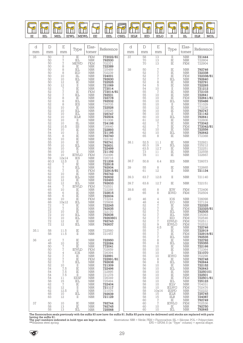

| d    | $\mathbb D$                                                                                                                                                            | Ε                                                                                                                                                                                                                                                                             | Type                                                                                                                                                                                                                                                                                                       | Elas-                                                                                                                                                                                                                                                                                                                                                                                                                                     | Reference                                                                                                                                                                                                         | d    | $\mathbb D$                                                                                                                            | E                                                                                                                                                                                                                                                                                        | Type                                                                                                                                                                                                                                          | Elas-                                                                                                                                                                                                                                                                                                               | Reference                                                                                                                                                                                                               |
|------|------------------------------------------------------------------------------------------------------------------------------------------------------------------------|-------------------------------------------------------------------------------------------------------------------------------------------------------------------------------------------------------------------------------------------------------------------------------|------------------------------------------------------------------------------------------------------------------------------------------------------------------------------------------------------------------------------------------------------------------------------------------------------------|-------------------------------------------------------------------------------------------------------------------------------------------------------------------------------------------------------------------------------------------------------------------------------------------------------------------------------------------------------------------------------------------------------------------------------------------|-------------------------------------------------------------------------------------------------------------------------------------------------------------------------------------------------------------------|------|----------------------------------------------------------------------------------------------------------------------------------------|------------------------------------------------------------------------------------------------------------------------------------------------------------------------------------------------------------------------------------------------------------------------------------------|-----------------------------------------------------------------------------------------------------------------------------------------------------------------------------------------------------------------------------------------------|---------------------------------------------------------------------------------------------------------------------------------------------------------------------------------------------------------------------------------------------------------------------------------------------------------------------|-------------------------------------------------------------------------------------------------------------------------------------------------------------------------------------------------------------------------|
| mm   | mm                                                                                                                                                                     | mm                                                                                                                                                                                                                                                                            |                                                                                                                                                                                                                                                                                                            | tomer                                                                                                                                                                                                                                                                                                                                                                                                                                     |                                                                                                                                                                                                                   | mm   | mm                                                                                                                                     | mm                                                                                                                                                                                                                                                                                       |                                                                                                                                                                                                                                               | tomer                                                                                                                                                                                                                                                                                                               |                                                                                                                                                                                                                         |
| 35   | 50<br>$\begin{array}{c} 50 \\ 50 \end{array}$                                                                                                                          | $\frac{7}{7}$                                                                                                                                                                                                                                                                 | $\overline{\text{IE}}$<br>IEL<br>MEWD                                                                                                                                                                                                                                                                      | <b>FKM</b><br>$\frac{\text{NBR}}{\text{FKM}}$                                                                                                                                                                                                                                                                                                                                                                                             | 772022/81<br>792530                                                                                                                                                                                               | 37   | 58<br>$\begin{array}{c} 70 \\ 70 \end{array}$                                                                                          | 13<br>$\begin{array}{c} 13 \\ 13 \end{array}$                                                                                                                                                                                                                                            | $\rm II$<br>$\frac{\ddot{\mathbf{E}}}{\mathbf{E}}$                                                                                                                                                                                            | <b>NBR</b><br>$\frac{\text{NBR}}{\text{FKM}}$                                                                                                                                                                                                                                                                       | 721444<br>722804<br>722904                                                                                                                                                                                              |
|      | 50<br>50<br>50<br>50<br>50<br>50<br>50<br>52<br>52<br>52<br>52<br>52<br>52<br>52<br>$\frac{52}{52}$<br>52<br>52<br>52<br>52<br>52<br>$\frac{52}{54}$<br>54<br>55<br>55 | 8<br>$\begin{array}{c} 8 \\ 8 \end{array}$<br>$\frac{10}{10}$<br>$\frac{10}{12}$<br>$\begin{array}{c} 12 \\ 7 \\ 7 \\ 8 \\ 8 \\ \end{array}$<br>$\,8\,$<br>$\begin{matrix} 10 \\ 10 \end{matrix}$<br>10<br>$\frac{10}{10}$<br>$\frac{10}{10.5}$<br>10<br>$\frac{10}{8}$<br>10 | $\rm IE$<br>IEL<br><b>IED</b><br>IIL<br>IEL<br>IE<br>$\mathcal{I}$<br>$\rm IE$<br>$\rm IE$<br>IEL<br>$\rm I\!E$<br>IEL<br><b>IES</b><br>IE<br><b>IEL</b><br>$\begin{tabular}{c} \hline IEL \\ IELR \end{tabular}$<br>$\rm II$<br>$\rm IIL$<br>IIS<br>$\overline{IE}$<br>$\rm{II}$<br>$\overline{IE}$<br>IE | <b>NBR</b><br>$\frac{\text{NBR}}{\text{NBR}}$<br>$\operatorname{NBR}$<br><b>NBR</b><br><b>NBR</b><br><b>NBR</b><br><b>NBR</b><br><b>FKM</b><br><b>NBR</b><br><b>NBR</b><br><b>NBR</b><br><b>NBR</b><br><b>NBR</b><br><b>NBR</b><br><b>NBR</b><br><b>NBR</b><br>$\operatorname*{NBR}% \nolimits_{\mathbb{C}}\left( \mathbb{Z}^{\Sigma\left( 1\right) }% ,\mathbb{C}^{\ast}\right)$<br><b>NBR</b><br>NBR<br>NBR<br>NBR<br>NBR<br><b>NBR</b> | T25489<br>T02239<br>724001<br>792630<br>722525<br>721069<br>772014<br>772014/81<br>792531<br>722778<br>792532<br>726705<br>722526<br>725026<br>725747<br>792504<br>721008<br>726640<br>722893<br>721195<br>792740 | 38   | 50<br>52<br>52<br>52<br>52<br>54<br>54<br>55<br>55<br>55<br>55<br>55<br>55<br>55<br>56<br>56<br>60<br>61<br>62<br>62<br>62<br>62<br>65 | $\begin{array}{c}\n7 \\ 7 \\ 7 \\ 8\n\end{array}$<br>$\begin{array}{c}\n5 \\ 10 \\ 7\n\end{array}$<br>$\begin{bmatrix} 10 \\ 10 \\ 10 \\ 10 \end{bmatrix}$<br>10<br>$\begin{matrix}\n12 \\ 10\n\end{matrix}$<br>10<br>$\frac{10}{12}$<br>$\sqrt{ }$<br>$1\overline{0}$<br>$\frac{10}{8}$ | $\rm IE$<br>ΙĒ<br>$\stackrel{\rm IE}{\rm IEL}$<br>IE<br>$\rm IE$<br>$\rm II$<br>ΙĒ<br>$\overline{IE}$<br>$\stackrel{\rm IE}{\rm IEL}$<br>$\rm II$<br>$\rm IE$<br>ΙĒ<br>$\rm II$<br>IEL<br>$\rm IE$<br>$\rm IE$<br>$\rm IE$<br>ΪĒ<br>IEL<br>IE | $\frac{\text{NBR}}{\text{NBR}}$<br><b>FKM</b><br><b>NBR</b><br><b>NBR</b><br><b>NBR</b><br><b>NBR</b><br>NBR<br>NBR<br>NBR<br>FKM<br><b>NBR</b><br><b>NBR</b><br>$\begin{array}{c} \text{NBR} \\ \text{NBR} \end{array}$<br>NBR<br>NBR<br>NBR<br><b>NBR</b><br><b>NBR</b><br>FKM<br>NBR<br>NBR<br>NBR<br><b>NBR</b> | 792746<br>722338<br>722338/81<br>792640<br>722293<br>721212<br>772103<br>722641<br>722641/81<br>725486<br>721029<br>772226<br>792747<br>721142<br>792641<br>722606<br>772042<br>772042/81<br>722556<br>792642<br>772368 |
|      | 55<br>55<br>56<br>56<br>56<br>56                                                                                                                                       | 10<br>10<br>10<br>10<br>10<br>12x14                                                                                                                                                                                                                                           | IE<br>IEL<br>$\rm IE$<br>$\frac{\overline{\text{II}}}{\text{IET}}$<br><b>IES</b>                                                                                                                                                                                                                           | $\begin{array}{c} \text{NBR} \\ \text{NBR} \\ \text{NBR} \end{array}$<br><b>NBR</b><br>$\begin{array}{c} \text{NBR} \\ \text{NBR} \\ \text{NBR} \end{array}$<br><b>FKM</b>                                                                                                                                                                                                                                                                | 722192<br><b>792741</b><br>792631<br>T22499<br>T21192<br>702496<br>726718                                                                                                                                         | 38.1 | 52.5<br>60.3<br>63.5<br>73<br>78                                                                                                       | 11.1<br>19<br>12.7<br>11<br>$\overline{11}$                                                                                                                                                                                                                                              | IE<br>$\operatorname{IEL}$<br>$\rm I\!E$<br>$_{\rm IE}$<br>IE                                                                                                                                                                                 | <b>NBR</b><br>NBR<br>NBR<br>NBR<br>NBR<br><b>NBR</b>                                                                                                                                                                                                                                                                | 722921<br>725212<br>722251<br>722558<br>722667                                                                                                                                                                          |
|      | $\frac{59}{60.3}$                                                                                                                                                      | 12.5                                                                                                                                                                                                                                                                          | $\scriptstyle\rm II$<br>IE                                                                                                                                                                                                                                                                                 | NBR<br>NBR<br><b>NBR</b>                                                                                                                                                                                                                                                                                                                                                                                                                  | 721206<br>722918                                                                                                                                                                                                  | 38.7 | 50.8                                                                                                                                   | 6.4                                                                                                                                                                                                                                                                                      | <b>IES</b>                                                                                                                                                                                                                                    | <b>NBR</b>                                                                                                                                                                                                                                                                                                          | 726073                                                                                                                                                                                                                  |
|      | $62$<br>$62$<br>$62$<br>62                                                                                                                                             | $\begin{array}{c} 7 \\ 7 \\ 7 \\ 10 \end{array}$                                                                                                                                                                                                                              | IEL<br>$\rm I\!E$<br>$\rm IE$                                                                                                                                                                                                                                                                              | NBR<br>FKM<br>${\rm NBR}$                                                                                                                                                                                                                                                                                                                                                                                                                 | 792934<br>722918/81<br>792742                                                                                                                                                                                     | 39   | 55<br>61                                                                                                                               | 8<br>12                                                                                                                                                                                                                                                                                  | $\rm IE$<br>$\overline{\rm II}$                                                                                                                                                                                                               | $\frac{\text{NBR}}{\text{NBR}}$                                                                                                                                                                                                                                                                                     | 722665<br>721134                                                                                                                                                                                                        |
|      | 62<br>62                                                                                                                                                               | 10<br>12                                                                                                                                                                                                                                                                      | IEL<br>IE                                                                                                                                                                                                                                                                                                  | <b>NBR</b><br><b>NBR</b>                                                                                                                                                                                                                                                                                                                                                                                                                  | 792632<br>722493                                                                                                                                                                                                  | 39.3 | 63.7                                                                                                                                   | 12.8                                                                                                                                                                                                                                                                                     | $\rm II$                                                                                                                                                                                                                                      | <b>NBR</b>                                                                                                                                                                                                                                                                                                          | 721140                                                                                                                                                                                                                  |
|      | 62<br>64                                                                                                                                                               | 12                                                                                                                                                                                                                                                                            | IEL<br><b>IEWLD</b>                                                                                                                                                                                                                                                                                        | <b>NBR</b><br><b>FKM</b>                                                                                                                                                                                                                                                                                                                                                                                                                  | 792633                                                                                                                                                                                                            | 39.7 | 63.6                                                                                                                                   | 12.7                                                                                                                                                                                                                                                                                     | $\rm I\!E$                                                                                                                                                                                                                                    | <b>NBR</b>                                                                                                                                                                                                                                                                                                          | 722151                                                                                                                                                                                                                  |
|      | $65$<br>$68$<br>68                                                                                                                                                     | $\begin{bmatrix} 7 \\ 7 \\ 10 \\ 6 \end{bmatrix}$<br>6                                                                                                                                                                                                                        | $\frac{\text{IE}}{\text{IE}}$<br>IE                                                                                                                                                                                                                                                                        | $\frac{\text{NBR}}{\text{NBR}}$<br>$\operatorname*{NBR}% \nolimits_{\mathbb{C}}\left( \mathbb{Z}^{\Sigma\left( 1\right) }% ,\mathbb{C}^{\ast}\right)$                                                                                                                                                                                                                                                                                     | T02531<br>722288<br><b>722815</b><br>792634                                                                                                                                                                       | 39.8 | 65<br>65                                                                                                                               | 8<br>8                                                                                                                                                                                                                                                                                   | IEW<br><b>IEWD</b>                                                                                                                                                                                                                            | <b>FKM</b><br><b>FKM</b>                                                                                                                                                                                                                                                                                            | 772406<br>702504                                                                                                                                                                                                        |
|      | 68<br>68<br>$^{72}_{72}$<br>72<br>72<br>72<br>72<br>72                                                                                                                 | 10<br>10x12<br>$\begin{array}{c} 7 \\ 7 \\ 10 \\ \hline \end{array}$<br>10<br>10<br>12<br>12                                                                                                                                                                                  | $\rm IE$<br>IEL<br>$\stackrel{\rm IE}{\rm IE}$<br>$\rm I\!E$<br>$\operatorname{IEL}$<br>IEL<br>IE<br>IEL                                                                                                                                                                                                   | <b>FKM</b><br><b>NBR</b><br>$\frac{\text{NBR}}{\text{NBR}}$<br><b>NBR</b><br><b>NBR</b><br><b>NBR</b><br><b>NBR</b><br><b>NBR</b>                                                                                                                                                                                                                                                                                                         | 772244<br>725608<br>722245<br>792635<br>722170<br>792636<br>79263601<br>792743<br>792637                                                                                                                          | 40   | 46<br>48<br>52<br>52<br>52<br>52<br>52<br>52<br>52<br>52                                                                               | 4<br>$\,4\,$<br>$\begin{array}{c} 7 \\ 7 \\ 7 \\ 7 \end{array}$<br>$\sqrt{ }$<br>$\sqrt{2}$<br>9                                                                                                                                                                                         | IOS<br>EO<br>$\stackrel{\rm IE}{\rm IE}$<br>$\operatorname{IEL}$<br>$\operatorname{IEL}$<br>IED<br>EIWLD<br><b>IEWLG</b>                                                                                                                      | <b>NBR</b><br><b>NBR</b><br>NBR<br>FKM<br>$\frac{\text{NBR}}{\text{NBR}}$<br><b>FKM</b><br>FKM<br><b>FKM</b>                                                                                                                                                                                                        | 726098<br>727124<br>722325<br>722325/81<br>792505<br>725363<br>702546<br>702511<br>702532                                                                                                                               |
| 35.1 | 58<br>58                                                                                                                                                               | 11.5<br>11.5                                                                                                                                                                                                                                                                  | IE<br>$\mathcal{I}$                                                                                                                                                                                                                                                                                        | <b>NBR</b><br><b>NBR</b>                                                                                                                                                                                                                                                                                                                                                                                                                  | 722560<br>721457                                                                                                                                                                                                  |      | 55<br>55<br>55                                                                                                                         | 6.5<br>7<br>$\sqrt{ }$                                                                                                                                                                                                                                                                   | IE<br>IE<br>$\rm I\!E$                                                                                                                                                                                                                        | NBR<br><b>NBR</b><br><b>FKM</b>                                                                                                                                                                                                                                                                                     | 722746<br>722919<br>722919/81                                                                                                                                                                                           |
| 36   | $47\,$<br>48<br>50<br>50<br>52<br>52<br>52<br>52<br>52<br>54<br>54<br>54<br>54<br>58<br>62<br>62<br>62<br>68<br>83                                                     | $\sqrt{7}$<br>10<br>$\overline{7}$<br>$\overline{7}$<br>$\frac{4}{7}$<br>$\sqrt{7}$<br>$\sqrt{ }$<br>$\frac{10}{7.5}$<br>7.5<br>7.5<br>11<br>$\frac{15}{7}$<br>$12\,$<br>12.5<br>10<br>12                                                                                     | $\rm I\!E$<br>IE<br>$\rm I\!E$<br><b>IEWLD</b><br>IOX<br>$_{\rm IE}$<br>IE<br>IEL<br>$\scriptstyle\rm II$<br>$\rm I\!E$<br>IE<br>П<br><b>EESF</b><br>IEL<br>IE<br>$\scriptstyle\rm II$<br>$\;$ II<br>IEL<br>П                                                                                              | <b>NBR</b><br><b>NBR</b><br><b>NBR</b><br><b>FKM</b><br><b>NBR</b><br><b>NBR</b><br>FKM<br><b>NBR</b><br><b>NBR</b><br><b>NBR</b><br><b>NBR</b><br><b>NBR</b><br><b>NBR</b><br><b>NBR</b><br><b>NBR</b><br><b>NBR</b><br><b>NBR</b><br><b>NBR</b><br><b>NBR</b>                                                                                                                                                                           | 722950<br>722084<br>772041<br>702659<br>726394<br>722991<br>722991/81<br>792638<br>721309<br>722496<br>722895<br>721278<br>726349<br>725494<br>722404<br>721117<br>721076<br>792639<br>721129                     |      | 55<br>55<br>55<br>55<br>55<br>55<br>55<br>56<br>56<br>56<br>56<br>58<br>58<br>58<br>58<br>58<br>58<br>58<br>58<br>58                   | $\sqrt{ }$<br>8<br>8<br>10<br>10<br>10<br>10<br>8<br>8<br>10<br>10<br>10<br>10<br>10<br>10<br>10<br>10<br>10x14<br>15<br>15                                                                                                                                                              | IEL<br>IE<br>IEL<br>IE<br>IE<br>$\;$ II<br><b>IEWG</b><br>IE<br>IEL<br>IE<br>IEL<br>IE<br>IE<br>$\rm IE$<br>IEL<br>IELV<br>IELWG<br><b>IESPD</b><br><b>IELR</b><br>IILR                                                                       | <b>NBR</b><br><b>NBR</b><br>$\frac{\text{NBR}}{\text{NBR}}$<br><b>NBR</b><br><b>NBR</b><br><b>NBR</b><br><b>NBR</b><br><b>NBR</b><br><b>NBR</b><br><b>NBR</b><br><b>NBR</b><br><b>NBR</b><br><b>FKM</b><br><b>NBR</b><br><b>NBR</b><br><b>FKM</b><br><b>NBR</b><br><b>NBR</b><br><b>NBR</b>                         | 792535<br>722792<br>725355<br>722166<br>772364<br>721070<br>702298<br>792748<br>792644<br>722152<br>792643<br>72250101<br>722501<br>722501/81<br>725123<br>704031<br>702476<br>702222<br>725745<br>724087               |
| 37   | 50<br>58<br>58                                                                                                                                                         | 10<br>13<br>13                                                                                                                                                                                                                                                                | IE<br>IE<br>IEL                                                                                                                                                                                                                                                                                            | <b>NBR</b><br><b>NBR</b><br><b>NBR</b>                                                                                                                                                                                                                                                                                                                                                                                                    | 792744<br>792745<br>725568                                                                                                                                                                                        |      | 60<br>60<br>60<br>60                                                                                                                   | $\sqrt{ }$<br>$\sqrt{ }$<br>10<br>10                                                                                                                                                                                                                                                     | IE<br><b>IEWLG</b><br>IE<br>$\operatorname{IEL}$                                                                                                                                                                                              | <b>NBR</b><br><b>FKM</b><br><b>NBR</b><br><b>NBR</b>                                                                                                                                                                                                                                                                | 792749<br>702536<br><b>792750</b><br>792645                                                                                                                                                                             |

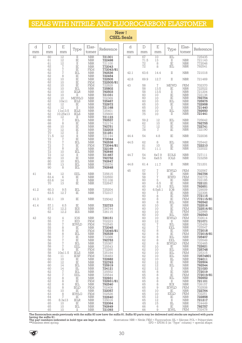## SEALS WITH NITRILE AND FLUOROCARBON ELASTOMER

New! **CSEL Seals** 

| d<br>mm | $\mathbb D$<br>mm                                                                                                                                                                | E<br>mm                                                                                                                                                                                                                      | Type                                                                                                                                                                                                                                                         | Elas-<br>tomer                                                                                                                                                                                                                                                                                                                                                                            | Reference                                                                                                                                                                                                                                                                                                      | d<br>mm | $\mathbb D$<br>mm                                                                                                                                                                | E<br>mm                                                                                                                                                                                               | Type                                                                                                                                                                                                                                                                                                          | Elas-<br>tomer                                                                                                                                                                                                                                                                                                                               | Reference                                                                                                                                                                                                                                                                                                        |
|---------|----------------------------------------------------------------------------------------------------------------------------------------------------------------------------------|------------------------------------------------------------------------------------------------------------------------------------------------------------------------------------------------------------------------------|--------------------------------------------------------------------------------------------------------------------------------------------------------------------------------------------------------------------------------------------------------------|-------------------------------------------------------------------------------------------------------------------------------------------------------------------------------------------------------------------------------------------------------------------------------------------------------------------------------------------------------------------------------------------|----------------------------------------------------------------------------------------------------------------------------------------------------------------------------------------------------------------------------------------------------------------------------------------------------------------|---------|----------------------------------------------------------------------------------------------------------------------------------------------------------------------------------|-------------------------------------------------------------------------------------------------------------------------------------------------------------------------------------------------------|---------------------------------------------------------------------------------------------------------------------------------------------------------------------------------------------------------------------------------------------------------------------------------------------------------------|----------------------------------------------------------------------------------------------------------------------------------------------------------------------------------------------------------------------------------------------------------------------------------------------------------------------------------------------|------------------------------------------------------------------------------------------------------------------------------------------------------------------------------------------------------------------------------------------------------------------------------------------------------------------|
| 40      | 60<br>61<br>61<br>62                                                                                                                                                             | $\overline{12}$<br>$\begin{array}{c} 12 \\ 12 \\ 7 \\ 7 \\ 8 \end{array}$                                                                                                                                                    | $\rm II$<br>$\begin{array}{l} \text{IF} \\ \text{IF} \\ \text{IF} \end{array}$                                                                                                                                                                               | $\operatorname{NBR}$<br><b>NBR</b><br><b>NBR</b><br><b>NBR</b>                                                                                                                                                                                                                                                                                                                            | 721301<br>722498<br>721100<br>772043                                                                                                                                                                                                                                                                           | 42      | 67<br>71.5<br>72<br>72                                                                                                                                                           | 10<br>13<br>$\frac{8}{8}$                                                                                                                                                                             | IEL<br>$\;$ II<br>$\rm I\!E$<br>IEL                                                                                                                                                                                                                                                                           | $\frac{\text{NBR}}{\text{NBR}}$<br><b>NBR</b>                                                                                                                                                                                                                                                                                                | 725435<br>721143<br>772046<br>792541                                                                                                                                                                                                                                                                             |
|         | 62<br>62                                                                                                                                                                         |                                                                                                                                                                                                                              | IEL                                                                                                                                                                                                                                                          | <b>FKM</b><br><b>NBR</b>                                                                                                                                                                                                                                                                                                                                                                  | 772043/81<br>792536                                                                                                                                                                                                                                                                                            | 42.1    | 63.6                                                                                                                                                                             | 14.4                                                                                                                                                                                                  | $\rm II$                                                                                                                                                                                                                                                                                                      | <b>NBR</b>                                                                                                                                                                                                                                                                                                                                   | 721018                                                                                                                                                                                                                                                                                                           |
|         | $62$<br>$62$                                                                                                                                                                     | 10                                                                                                                                                                                                                           | IE<br>$\overline{IE}$                                                                                                                                                                                                                                        | <b>NBR</b><br><b>NBR</b>                                                                                                                                                                                                                                                                                                                                                                  | 722454<br>722505                                                                                                                                                                                                                                                                                               | 42.8    | 69.9                                                                                                                                                                             | 12.7                                                                                                                                                                                                  | $\rm II$                                                                                                                                                                                                                                                                                                      | <b>NBR</b>                                                                                                                                                                                                                                                                                                                                   | 721469                                                                                                                                                                                                                                                                                                           |
|         | 62<br>62<br>62<br>62<br>62<br>62<br>62<br>62<br>62<br>62<br>62<br>65                                                                                                             | $10$<br>10<br>10<br>10<br>10<br>10<br>10x11<br>12<br>12<br>llx13.5<br>10.25x13<br>12                                                                                                                                         | $\frac{\overline{1}}{1E}$<br>IEL<br>IELR<br>$\rm II$<br><b>MEWLG</b><br>IELS<br>$_{\rm IE}$<br>$\;$ II<br><b>IELS</b><br><b>IELS</b><br>$\rm{II}$                                                                                                            | ${\rm FKM}$<br><b>FKM</b><br><b>NBR</b><br><b>NBR</b><br><b>NBR</b><br>$\operatorname{NBR}$<br><b>NBR</b><br><b>NBR</b><br><b>NBR</b><br><b>NBR</b><br><b>NBR</b><br><b>NBR</b>                                                                                                                                                                                                           | 722505/81<br>722828<br>725802<br>792503<br>721031<br>702369<br>725467<br>722972<br>721168<br>725401<br>725600<br>721123                                                                                                                                                                                        | 43      | 58<br>58<br>58<br>60<br>60<br>60<br>65<br>65<br>66<br>75                                                                                                                         | $\mathcal{I}$<br>13.5<br>13.5<br>10<br>10<br>10<br>10<br>10<br>10<br>10                                                                                                                               | <b>MEWD</b><br>$\rm IE$<br>$\rm II$<br>$\rm IE$<br>$\rm I\!E$<br>IEL<br>IE<br>$\rm II$<br>IEL<br>$_{\rm II}$                                                                                                                                                                                                  | <b>FKM</b><br><b>NBR</b><br><b>NBR</b><br><b>NBR</b><br><b>NBR</b><br><b>NBR</b><br><b>NBR</b><br><b>NBR</b><br><b>NBR</b><br><b>NBR</b>                                                                                                                                                                                                     | 702370<br>722522<br>721204<br>722136<br>792754<br>725975<br>722958<br>721440<br>792650<br>721441                                                                                                                                                                                                                 |
|         | 68<br>68<br>68<br>70<br>70                                                                                                                                                       | $^7_8$<br>10<br>$^{12}_{12}$                                                                                                                                                                                                 | IEL<br>$_{\rm IE}$<br>$\rm IE$<br>$\frac{\overline{1}}{11}$                                                                                                                                                                                                  | <b>NBR</b><br><b>NBR</b><br>$\operatorname{NBR}$<br><b>NBR</b><br><b>NBR</b>                                                                                                                                                                                                                                                                                                              | 792537<br>722174<br>792751<br>722203<br>721251                                                                                                                                                                                                                                                                 | 44      | 59.2<br>62<br>72<br>78                                                                                                                                                           | 12<br>10<br>12<br>$\sqrt{7}$                                                                                                                                                                          | IEL<br>IE<br>$\rm IE$<br>$\rm IE$                                                                                                                                                                                                                                                                             | <b>NBR</b><br><b>NBR</b><br><b>NBR</b><br><b>NBR</b>                                                                                                                                                                                                                                                                                         | 725642<br>792755<br>722741<br>722190                                                                                                                                                                                                                                                                             |
|         | 71.5                                                                                                                                                                             |                                                                                                                                                                                                                              | $\rm II$<br>$\rm IE$                                                                                                                                                                                                                                         | <b>NBR</b><br><b>NBR</b>                                                                                                                                                                                                                                                                                                                                                                  | 721144<br>772044                                                                                                                                                                                                                                                                                               | 44.4    | 54                                                                                                                                                                               | 4.8                                                                                                                                                                                                   | IE                                                                                                                                                                                                                                                                                                            | <b>NBR</b>                                                                                                                                                                                                                                                                                                                                   | 722036                                                                                                                                                                                                                                                                                                           |
|         | $^{72}_{72}$<br>72<br>72<br>$\overline{72}$                                                                                                                                      | $\begin{array}{c} 12 \\ 7 \\ 7 \\ 7 \end{array}$<br>$\,8\,$<br>$1\overline{0}$                                                                                                                                               | IEL<br>IE<br>$\rm IE$<br>IEL                                                                                                                                                                                                                                 | <b>NBR</b><br>FKM<br><b>NBR</b><br><b>NBR</b>                                                                                                                                                                                                                                                                                                                                             | 792538<br>772044/81<br>722169<br>792646                                                                                                                                                                                                                                                                        | 44.5    | 62<br>81<br>81                                                                                                                                                                   | 8<br>$\frac{10}{11.1}$                                                                                                                                                                                | IEL<br>$_{\rm IE}$<br>$\rm IE$                                                                                                                                                                                                                                                                                | <b>NBR</b><br><b>NBR</b><br><b>NBR</b>                                                                                                                                                                                                                                                                                                       | 725442<br>722210<br>722022                                                                                                                                                                                                                                                                                       |
|         | 72<br>80                                                                                                                                                                         | 12<br>10                                                                                                                                                                                                                     | $\;$ II<br>$\rm IE$                                                                                                                                                                                                                                          | <b>NBR</b><br><b>NBR</b>                                                                                                                                                                                                                                                                                                                                                                  | 721467<br>792752                                                                                                                                                                                                                                                                                               | 44.7    | 54<br>54                                                                                                                                                                         | 6x7.9<br>6x8.5                                                                                                                                                                                        | <b>EOLS</b><br>IOLS                                                                                                                                                                                                                                                                                           | <b>NBR</b><br><b>NBR</b>                                                                                                                                                                                                                                                                                                                     | 727111<br>723258                                                                                                                                                                                                                                                                                                 |
|         | 80<br>85<br>90                                                                                                                                                                   | 10<br>13<br>8                                                                                                                                                                                                                | IEL<br>IEL<br>IEL                                                                                                                                                                                                                                            | <b>NBR</b><br><b>NBR</b><br><b>NBR</b>                                                                                                                                                                                                                                                                                                                                                    | 792647<br>725376<br>792648                                                                                                                                                                                                                                                                                     | 44.8    | 61.4                                                                                                                                                                             | 11.7                                                                                                                                                                                                  | $\rm II$                                                                                                                                                                                                                                                                                                      | <b>NBR</b>                                                                                                                                                                                                                                                                                                                                   | 721201                                                                                                                                                                                                                                                                                                           |
| 41      | 54<br>63.4<br>63.6<br>70                                                                                                                                                         | 12<br>6<br>14<br>13                                                                                                                                                                                                          | EEL<br>IE<br>$\rm II$<br>IE                                                                                                                                                                                                                                  | <b>NBR</b><br><b>NBR</b><br>${\rm NBR}$<br><b>NBR</b>                                                                                                                                                                                                                                                                                                                                     | 725615<br>722550<br>721108<br>722647                                                                                                                                                                                                                                                                           | 45      | 57<br>58<br>58<br>60<br>60                                                                                                                                                       | $\sqrt{7}$<br>$\frac{7}{7}$<br>5<br>6.5                                                                                                                                                               | <b>IEWLD</b><br>IE<br><b>IEWD</b><br>$\frac{\text{IE}}{\text{IE}}$                                                                                                                                                                                                                                            | <b>FKM</b><br><b>NBR</b><br><b>FKM</b><br><b>NBR</b><br><b>NBR</b>                                                                                                                                                                                                                                                                           | 702567<br>792756<br>702775<br>722185<br>722121                                                                                                                                                                                                                                                                   |
| 41.2    | 60.3<br>63.5                                                                                                                                                                     | 9.5<br>12.7                                                                                                                                                                                                                  | IEL<br>$_{\rm IE}$                                                                                                                                                                                                                                           | <b>NBR</b><br><b>NBR</b>                                                                                                                                                                                                                                                                                                                                                                  | 725204<br>772317                                                                                                                                                                                                                                                                                               |         | 60<br>60<br>60                                                                                                                                                                   | 6.5<br>6.5x8.1<br>7                                                                                                                                                                                   | $\operatorname{IEL}$<br>IOB<br>$\rm IE$                                                                                                                                                                                                                                                                       | NBR<br><b>NBR</b><br><b>NBR</b>                                                                                                                                                                                                                                                                                                              | 792651<br>729009<br>722306                                                                                                                                                                                                                                                                                       |
| 41.3    | 62.1                                                                                                                                                                             | 19                                                                                                                                                                                                                           | IE                                                                                                                                                                                                                                                           | <b>NBR</b>                                                                                                                                                                                                                                                                                                                                                                                | 725042                                                                                                                                                                                                                                                                                                         |         | 60<br>60<br>60                                                                                                                                                                   | 8<br>8<br>$\,8\,$                                                                                                                                                                                     | $\stackrel{\rm IE}{\rm IE}$<br>$\operatorname{IEL}$                                                                                                                                                                                                                                                           | ${\rm NBR}$<br><b>FKM</b><br><b>NBR</b>                                                                                                                                                                                                                                                                                                      | 772115<br>772115/81<br>792542                                                                                                                                                                                                                                                                                    |
| 41.4    | 57.1<br>57.1<br>62                                                                                                                                                               | $6.5$<br>12.2<br>12.2                                                                                                                                                                                                        | $_{\rm IE}$<br><b>IES</b><br>IES                                                                                                                                                                                                                             | $\operatorname{NBR}$<br><b>NBR</b><br><b>NBR</b>                                                                                                                                                                                                                                                                                                                                          | 722723<br>726744<br>726115                                                                                                                                                                                                                                                                                     |         | 60<br>60<br>60<br>60                                                                                                                                                             | 10<br>10<br>10<br>10                                                                                                                                                                                  | $\stackrel{\rm IE}{\rm IE}$<br>$_{\rm IE}$<br>$\operatorname{IEL}$                                                                                                                                                                                                                                            | <b>NBR</b><br><b>FKM</b><br>FKM<br><b>NBR</b>                                                                                                                                                                                                                                                                                                | 722516<br>722516/81<br>722988<br>792543                                                                                                                                                                                                                                                                          |
| 42      | 52<br>55<br>55<br>55<br>55<br>55<br>56<br>56<br>58<br>58<br>58<br>58<br>58<br>60<br>60<br>60<br>60<br>62<br>62<br>62<br>62<br>62<br>62<br>62<br>63<br>64<br>65<br>65<br>65<br>65 | 4<br>$\overline{1}$<br>$\sqrt{7}$<br>8<br>8<br>8<br>7<br>7<br>$\frac{7}{7}$<br>9<br>10x11.5<br>11<br>10<br>12<br>14<br>14<br>$\frac{7}{7}$<br>8<br>8<br>8<br>$\overline{8}$<br>10<br>8<br>$\tau$<br>8.3x13<br>10<br>10<br>10 | IOS<br>IED<br><b>IEWLD</b><br>IE<br>IE<br>IEL<br>IE<br>IE<br>IEL<br>EEL<br>IE<br><b>IELS</b><br><b>IESF</b><br>IE<br>IE<br>IEL<br>Ш<br>IEL<br>EEL<br>IE<br>IE<br>IEL<br><b>IELD</b><br>IE<br><b>IEWLG</b><br>IE<br><b>IELR</b><br>IE<br>IEL<br>$\mathbbm{1}$ | <b>NBR</b><br><b>FKM</b><br>FKM<br><b>NBR</b><br>FKM<br>$\operatorname{NBR}$<br><b>NBR</b><br><b>NBR</b><br><b>NBR</b><br><b>NBR</b><br>FKM<br><b>NBR</b><br><b>FKM</b><br>NBR<br><b>NBR</b><br><b>NBR</b><br><b>NBR</b><br><b>NBR</b><br><b>NBR</b><br><b>NBR</b><br>FKM<br><b>NBR</b><br>FKM<br><b>NBR</b><br><b>FKM</b><br>NBR<br><b>NBR</b><br><b>NBR</b><br><b>NBR</b><br><b>NBR</b> | 726151<br>702223<br>702545<br>772045<br>772045/81<br>792539<br>772386<br>792753<br>725387<br>725543<br>772265<br>725184<br>726483<br>722682<br>722763<br>725919<br>724121<br>725552<br>725544<br>722931<br>722931/81<br>792540<br>702406<br>722057<br>702526<br>722640<br>725016<br>722064<br>792649<br>721093 |         | 60<br>60<br>62<br>62<br>62<br>62<br>62<br>62<br>62<br>62<br>62<br>62<br>62<br>62<br>62<br>62<br>62<br>65<br>65<br>65<br>65<br>65<br>65<br>65<br>65<br>65<br>65<br>65<br>66<br>66 | 10<br>12<br>7<br>$\sqrt{ }$<br>8<br>8<br>8<br>8<br>$\,8\,$<br>10<br>10<br>10<br>10<br>10<br>12<br>$^{12}_{12}$<br>8<br>$_{8}^8$<br>$\,8\,$<br>8<br>$\emph{9}$<br>10<br>10<br>12<br>12<br>15<br>6<br>9 | <b>IEWLD</b><br>П<br>$\operatorname{IEL}$<br>EEL<br>IE<br>IE<br>IEL<br>EEL<br><b>IEWLD</b><br>IE<br>IEL<br>IEL<br>IEL<br>Ш<br>IE<br>IEL<br>$\scriptstyle\rm II$<br>IE<br>IE<br>IEL<br>$_{\rm II}$<br>$\text{IEX}{}$<br><b>IEWLD</b><br>$_{\rm IE}$<br><b>EELD</b><br>IE<br>$\rm II$<br>Ш<br>IE<br><b>IEWL</b> | <b>FKM</b><br><b>NBR</b><br><b>NBR</b><br>NBR<br><b>NBR</b><br><b>FKM</b><br>NBR<br><b>NBR</b><br>FKM<br><b>NBR</b><br><b>NBR</b><br>FKM<br><b>NBR</b><br><b>NBR</b><br><b>NBR</b><br>NBR<br><b>NBR</b><br><b>NBR</b><br>FKM<br><b>NBR</b><br><b>NBR</b><br><b>NBR</b><br>FKM<br>NBR<br>FKM<br>NBR<br><b>NBR</b><br>NBR<br>NBR<br><b>FKM</b> | 702614<br>721071<br>725459<br>725547<br>772018<br>772018/81<br>725407<br>725549<br>702465<br>722621<br>725748<br>725315<br>72574801<br>724011<br>722504<br>792544<br>721020<br>772019<br>772019/81<br>792652<br>721101<br>726157<br>702508<br>722764<br>702251<br>722858<br>721217<br>724449<br>792757<br>702478 |

![](_page_29_Picture_5.jpeg)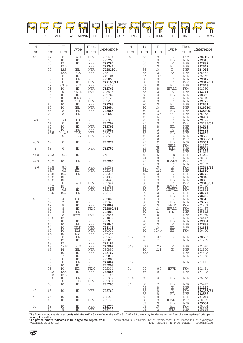![](_page_30_Picture_0.jpeg)

| d      | $\mathbb D$                                                                                                                                                                        | E                                                                                                                                                                 | Type                                                                                                                                                                                                                                           | Elas-                                                                                                                                                                                                                                                                                                                                                                       | Reference                                                                                                                                                                        | d    | $\mathbb D$                                                                                                                                             | E                                                                                                                                                                                      | Type                                                                                                                                                                                                                                                                                                                                                                                                                                                                                                            | Elas-                                                                                                                                                                                                                           | Reference                                                                                                                                                                                                               |
|--------|------------------------------------------------------------------------------------------------------------------------------------------------------------------------------------|-------------------------------------------------------------------------------------------------------------------------------------------------------------------|------------------------------------------------------------------------------------------------------------------------------------------------------------------------------------------------------------------------------------------------|-----------------------------------------------------------------------------------------------------------------------------------------------------------------------------------------------------------------------------------------------------------------------------------------------------------------------------------------------------------------------------|----------------------------------------------------------------------------------------------------------------------------------------------------------------------------------|------|---------------------------------------------------------------------------------------------------------------------------------------------------------|----------------------------------------------------------------------------------------------------------------------------------------------------------------------------------------|-----------------------------------------------------------------------------------------------------------------------------------------------------------------------------------------------------------------------------------------------------------------------------------------------------------------------------------------------------------------------------------------------------------------------------------------------------------------------------------------------------------------|---------------------------------------------------------------------------------------------------------------------------------------------------------------------------------------------------------------------------------|-------------------------------------------------------------------------------------------------------------------------------------------------------------------------------------------------------------------------|
| mm     | mm                                                                                                                                                                                 | mm                                                                                                                                                                |                                                                                                                                                                                                                                                | tomer                                                                                                                                                                                                                                                                                                                                                                       | 702467                                                                                                                                                                           | mm   | mm                                                                                                                                                      | mm                                                                                                                                                                                     |                                                                                                                                                                                                                                                                                                                                                                                                                                                                                                                 | tomer                                                                                                                                                                                                                           |                                                                                                                                                                                                                         |
| 45     | 67<br>68<br>70<br>70<br>$\begin{array}{c} 70 \\ 70 \end{array}$<br>72<br>$\frac{72}{72}$<br>$\begin{array}{c} 72 \\ 75 \\ 75 \end{array}$<br>$75$<br>$75$<br>80<br>80<br>85<br>100 | $\,8\,$<br>$\substack{10\\12}$<br>12.5<br>12.5<br>12.5<br>888<br>8.3x9<br>$_{\rm 9}^{10}$<br>10<br>10<br>10<br>10<br>$\begin{bmatrix} 10 \\ 8 \\ 8 \end{bmatrix}$ | <b>IEWLD</b><br>$\stackrel{\rm IE}{\rm IE}$<br>$\rm II$<br>$\overline{\text{IEL}}$<br>$\rm IE$<br>IEL<br>IE<br><b>IELS</b><br>$\stackrel{\text{IE}}{\text{I}\text{E}\text{WLD}}$<br>$\rm IE$<br>IELD<br><b>EELD</b><br>IE<br>IEL<br>IEL<br>IEL | <b>FKM</b><br>$\begin{array}{c} \text{NBR} \\ \text{NBR} \end{array}$<br><b>NBR</b><br>$\begin{array}{c} \text{NBR} \\ \text{NBR} \end{array}$<br>$\operatorname{NBR}$<br>NBR<br>FKM<br>NBR<br><b>NBR</b><br><b>FKM</b><br><b>NBR</b><br>$\rm{NBR}$<br>$\begin{array}{c}\text{FKM} \\ \text{NBR} \end{array}$<br>$\operatorname{NBR}$<br><b>NBR</b><br>$\operatorname{NBR}$ | 792758<br>792760<br>721341<br>79282801<br>725794<br>792653<br>772104/81<br>THEIGHT<br>702515<br><b>792762</b><br>702126<br>702250<br><b>792763</b><br>792654<br>792655<br>792656 | 50   | 65<br>65<br>65<br>65<br>65<br>65<br>65<br>67.5<br>68<br>68<br>68<br>68<br>68<br>68<br>70<br>$\overline{70}$<br>$\frac{70}{70}$<br>$\frac{70}{70}$<br>70 | $\overline{8}$<br>$\begin{smallmatrix} 8 \\ 10 \end{smallmatrix}$<br>$\frac{10}{10}$<br>$\frac{10}{10}$<br>13.5<br>88800<br>$10\,$<br>10<br>10<br>$\frac{10}{10}$<br>$\frac{12}{13.5}$ | $\overline{\text{IE}}$<br>IEL<br>$\overline{\mathbb{E}}$<br>$\operatorname{IEL}$<br>$\frac{\text{II}}{\text{IEX}}$<br>EEL<br>$\rm I\!E$<br>ΙĒ<br>IEL<br><b>IEWLD</b><br>$\rm I\!E$<br>$\operatorname{IEL}$<br>$\frac{1}{1}$<br>$\operatorname{IEL}$<br>IEL<br>IEL<br>EEL<br>$\rm I\!E$                                                                                                                                                                                                                          | ${\rm FKM}$<br>NBR<br>NBR<br>NBR<br>NBR<br>NBR<br>NBR<br>$\rm{NBR}$<br>NBR<br>FKM<br>NBR<br>FKM<br>$\begin{array}{c} \text{mm} \\ \text{NBR} \\ \text{NBR} \end{array}$<br>NBR<br>NBR<br>NBR<br>NBR<br>NBR<br>NBR<br>$\rm{NBR}$ | 722710/81<br>T92546<br>T22887<br>792547<br>721073<br>726357<br>726357<br>725572<br>772047<br>772047/81<br>792548<br>702620<br>702771<br>792660<br>T22219<br>722772<br>TERRE<br>T92661<br>T9266101<br>T9282001<br>725473 |
| 46     | 60<br>64<br>65<br>65<br>65.5<br>78                                                                                                                                                 | 10X16<br>$\begin{smallmatrix}8\10\end{smallmatrix}$<br>10<br>9x13.5<br>$\hbox{ }9$                                                                                | <b>IES</b><br>$\rm IE$<br>$\rm I\!E$<br>IEL<br><b>IELS</b><br>IELS                                                                                                                                                                             | $\begin{array}{c} \text{NBR} \\ \text{NBR} \\ \text{NBR} \end{array}$<br>$\operatorname{NBR}$<br><b>NBR</b><br><b>FKM</b>                                                                                                                                                                                                                                                   | 726378<br>792764<br>722793<br><b>792657</b><br>725306<br>725590                                                                                                                  |      | $72$<br>$72$<br>$72$<br>$72$<br>$72$<br>72<br>$\frac{72}{72}$                                                                                           | 688880<br>$\frac{10}{12}$                                                                                                                                                              | ΪĒ<br>$\rm I\!E$<br>$\operatorname{IEL}$<br>$\rm I\!E$<br>IEL<br>$\rm I\!E$                                                                                                                                                                                                                                                                                                                                                                                                                                     | NBR<br>NBR<br>NBR<br>FKM<br>NBR<br>NBR<br>NBR<br>NBR<br>NBR<br>NBR<br>FKM<br>NBR                                                                                                                                                | 722287<br>772199<br>772199/81<br>792549<br>722756<br>792662                                                                                                                                                             |
| 46.9   | 62                                                                                                                                                                                 | 8                                                                                                                                                                 | $\rm IE$                                                                                                                                                                                                                                       | <b>NBR</b>                                                                                                                                                                                                                                                                                                                                                                  | 722271                                                                                                                                                                           |      | $72$<br>$72$<br>$72$                                                                                                                                    | $\frac{12}{12}$                                                                                                                                                                        | $\stackrel{\rm IE}{\rm IEL}$<br><b>EELD</b>                                                                                                                                                                                                                                                                                                                                                                                                                                                                     |                                                                                                                                                                                                                                 |                                                                                                                                                                                                                         |
| $47\,$ | 62                                                                                                                                                                                 | 6                                                                                                                                                                 | $\rm IE$                                                                                                                                                                                                                                       | <b>NBR</b>                                                                                                                                                                                                                                                                                                                                                                  | 792765                                                                                                                                                                           |      | 72                                                                                                                                                      | 15<br>15                                                                                                                                                                               | <b>IELR</b><br>$\rm II$                                                                                                                                                                                                                                                                                                                                                                                                                                                                                         | FKM<br>NBR<br>NBR                                                                                                                                                                                                               | 722503<br>722503/81<br>792551<br>702387<br>725003<br>721322                                                                                                                                                             |
| 47.2   | 60.3                                                                                                                                                                               | 6.3                                                                                                                                                               | $\rm IE$                                                                                                                                                                                                                                       | <b>NBR</b>                                                                                                                                                                                                                                                                                                                                                                  | 772120                                                                                                                                                                           |      | $^{72}_{74}$                                                                                                                                            |                                                                                                                                                                                        | $\rm IILR$<br>$\rm IE$                                                                                                                                                                                                                                                                                                                                                                                                                                                                                          |                                                                                                                                                                                                                                 | 724088                                                                                                                                                                                                                  |
| 47.5   | 60.5                                                                                                                                                                               | 10                                                                                                                                                                | IEL                                                                                                                                                                                                                                            | <b>NBR</b>                                                                                                                                                                                                                                                                                                                                                                  | 725220                                                                                                                                                                           |      | $75$<br>$75$<br>$75$<br>$76.2$                                                                                                                          | $\frac{15}{10}$<br>$\frac{8}{10}$                                                                                                                                                      | <b>IEWLG</b><br>IE                                                                                                                                                                                                                                                                                                                                                                                                                                                                                              | NBR<br>NBR<br>FKM<br>NBR                                                                                                                                                                                                        | 722906<br>722906<br>702521<br>772337                                                                                                                                                                                    |
| 47.6   | 58.8<br>66.7<br>69.8<br>$69.8$<br>$69.8$<br>$70$<br>$70.2$<br>71.5<br>73.5                                                                                                         | 9.6<br>9.3<br>16.7<br>$_{\rm 19}^{\rm 19}$<br>8<br>15<br>9.5<br>16.7                                                                                              | $\rm I\!E$<br>IED<br>$\operatorname{IEL}$<br>IIL<br>$\rm IIL$<br><b>IEWLD</b><br>$_{\rm II}$<br>$\rm IE$<br>IEL                                                                                                                                | <b>NBR</b><br>$\operatorname{NBR}$<br>$\operatorname{NBR}$<br>$\frac{\text{NBR}}{\text{NBR}}$<br>FKM<br><b>NBR</b><br><b>NBR</b><br>$\operatorname{NBR}$                                                                                                                                                                                                                    | 722292<br>702245<br>725006<br>724003<br>724428<br>T02544<br>T21082<br>T72316<br>725100                                                                                           |      | $\frac{78}{80}$<br>$\begin{array}{c} {80}\\ {80} \end{array}$<br>80<br>80<br>80                                                                         | $10\,$<br>12.2<br>$10\,$<br>8888<br>$\begin{matrix} 10 \\ 10 \end{matrix}$                                                                                                             | $\rm IE$<br>$\rm IE$<br>$\rm IE$<br>$\stackrel{\rm IE}{\rm IEL}$<br>$\rm IE$<br><b>IEWLD</b><br>MEWLD<br>$\rm IE$<br><b>IEL</b>                                                                                                                                                                                                                                                                                                                                                                                 | FKM<br>NBR<br>NBR<br>NBR<br>NBR<br>NBR<br>${\rm FKM}$<br>FKM<br>FKM<br>NBR<br>NBR<br>NBR                                                                                                                                        | 772337/81<br>722650<br>792773<br>772048<br><b>772048/81</b><br>702530<br>702624<br>792774                                                                                                                               |
| 48     | 58<br>62<br>62<br>62<br>$62$<br>$62$<br>$63.5$<br>65<br>65<br>65<br>65<br>65.1                                                                                                     | $\frac{4}{7}$ 8 8 8 8 8 2 1 2<br>10<br>10<br>10<br>10<br>10                                                                                                       | IOS<br>$\rm I\!E$<br>$\rm IE$<br>ΙĒ<br>$\operatorname{IEL}$<br><b>IEWG</b><br>$_{\rm II}$<br>$\rm IE$<br>IEL<br><b>IELS</b><br>IOS<br>IOS                                                                                                      | $\frac{\text{NBR}}{\text{NBR}}$<br>NBR<br>FKM<br>$\operatorname{NBR}$<br>$\begin{array}{c} \text{FKM} \\ \text{NBR} \end{array}$<br><b>NBR</b><br><b>NBR</b><br>$\operatorname{NBR}$<br><b>NBR</b><br>$\operatorname{NBR}$                                                                                                                                                  | <b>726046</b><br>772322<br>722899<br>722899/81<br>725263<br>702587<br>721072<br>722513<br>792545<br>725118<br>726010<br>726286                                                   |      | $\begin{array}{c} 80 \\ 80 \end{array}$<br>80<br>80<br>80<br>$\begin{array}{c} 80 \\ 87 \end{array}$<br>90<br>90<br>90<br>90                            | $\begin{array}{c} 13 \\ 13 \end{array}$<br>$\begin{array}{c} 13 \\ 13 \end{array}$<br>16<br>$\substack{16 \\ 10}$<br>$\,8\,$<br>10<br>10<br>10x14                                      | $\frac{\rm IE}{\rm IEL}$<br>EELD<br><b>IEWLD</b><br><b>IELR</b><br>$\begin{tabular}{c} \hline \rule{0pt}{2ex} \rule{0pt}{2ex} \rule{0pt}{2ex} \rule{0pt}{2ex} \rule{0pt}{2ex} \rule{0pt}{2ex} \rule{0pt}{2ex} \rule{0pt}{2ex} \rule{0pt}{2ex} \rule{0pt}{2ex} \rule{0pt}{2ex} \rule{0pt}{2ex} \rule{0pt}{2ex} \rule{0pt}{2ex} \rule{0pt}{2ex} \rule{0pt}{2ex} \rule{0pt}{2ex} \rule{0pt}{2ex} \rule{0pt}{2ex} \rule{0pt}{2ex} \rule{0pt}{2ex} \rule{0pt}{2ex} \rule{0pt}{2ex} \rule$<br>IEL<br>IE<br>IEL<br>IES | NBR<br>NBR<br>FKM<br>FKM<br>NBR<br>NBR<br>NBR<br>NBR<br>$\operatorname{NBR}$<br><b>NBR</b><br>$\operatorname{NBR}$<br>FKM                                                                                                       | T021111<br>T92663<br>T22512<br>T25779<br>T02263<br>T02477<br>T25612<br>724089<br>722447<br>792664<br>722888<br>792665<br>726460                                                                                         |
|        | 68<br>68                                                                                                                                                                           | 8<br>12                                                                                                                                                           | IEL<br>IE                                                                                                                                                                                                                                      | <b>NBR</b><br><b>NBR</b>                                                                                                                                                                                                                                                                                                                                                    | 792658<br>722873                                                                                                                                                                 | 50.7 | 69.8<br>76.1                                                                                                                                            | 9.5<br>17.5                                                                                                                                                                            | $\rm I\!E$<br>$_{\rm II}$                                                                                                                                                                                                                                                                                                                                                                                                                                                                                       | $\operatorname{NBR}$<br><b>NBR</b>                                                                                                                                                                                              | 722596<br>721209                                                                                                                                                                                                        |
|        | 68<br>68<br>68<br>70<br>$\overline{72}$                                                                                                                                            | $12 \,$<br>12x15<br>14<br>$_{\rm 7}^{10}$                                                                                                                         | $\rm II$<br><b>IELS</b><br>IEL<br>$_{\rm IE}$<br>$\rm I\!E$                                                                                                                                                                                    | <b>NBR</b><br>$\operatorname{NBR}$<br><b>NBR</b><br>NBR<br><b>NBR</b>                                                                                                                                                                                                                                                                                                       | 721166<br>725092<br>725890<br>792767<br>722272                                                                                                                                   | 50.8 | 69.8<br>70<br>73.4<br>81                                                                                                                                | 12.7<br>12.7<br>17<br>11.9                                                                                                                                                             | IE<br>IE<br>Ш<br>П                                                                                                                                                                                                                                                                                                                                                                                                                                                                                              | <b>NBR</b><br><b>NBR</b><br>$\operatorname{NBR}$<br>$\operatorname{NBR}$                                                                                                                                                        | 722035<br>722206<br>724308<br>721355                                                                                                                                                                                    |
|        | 72<br>72                                                                                                                                                                           | 8<br>8                                                                                                                                                            | $\rm I\!E$<br>IEL                                                                                                                                                                                                                              | <b>NBR</b><br><b>NBR</b>                                                                                                                                                                                                                                                                                                                                                    | 722200<br>792659                                                                                                                                                                 | 50.9 | 101.8                                                                                                                                                   | 11.5                                                                                                                                                                                   | $\rm II$                                                                                                                                                                                                                                                                                                                                                                                                                                                                                                        | <b>NBR</b>                                                                                                                                                                                                                      | 721171                                                                                                                                                                                                                  |
|        | $72\,$<br>72<br>72.2                                                                                                                                                               | 10<br>10<br>12.5                                                                                                                                                  | IE<br>IED<br>IE                                                                                                                                                                                                                                | <b>NBR</b><br>FKM<br><b>NBR</b>                                                                                                                                                                                                                                                                                                                                             | 722209<br>702364<br>722656                                                                                                                                                       | 51   | 65<br>76                                                                                                                                                | 6.5<br>19                                                                                                                                                                              | <b>IEWD</b><br>П                                                                                                                                                                                                                                                                                                                                                                                                                                                                                                | FKM<br><b>NBR</b>                                                                                                                                                                                                               | 702491<br>721208                                                                                                                                                                                                        |
|        | 72.2<br>72.5                                                                                                                                                                       | 12.5<br>10                                                                                                                                                        | $\scriptstyle\rm II$<br>IEL                                                                                                                                                                                                                    | <b>NBR</b><br><b>NBR</b>                                                                                                                                                                                                                                                                                                                                                    | 721146<br>725369                                                                                                                                                                 | 51.4 | 69                                                                                                                                                      | 10                                                                                                                                                                                     | IEL                                                                                                                                                                                                                                                                                                                                                                                                                                                                                                             | <b>NBR</b>                                                                                                                                                                                                                      | 725373                                                                                                                                                                                                                  |
|        | ${\bf 75}$<br>80                                                                                                                                                                   | 8<br>10                                                                                                                                                           | <b>EED</b><br>IE                                                                                                                                                                                                                               | <b>FKM</b><br><b>NBR</b>                                                                                                                                                                                                                                                                                                                                                    | 702334<br>792768                                                                                                                                                                 | 52   | 68                                                                                                                                                      | $\sqrt{ }$                                                                                                                                                                             | IEL                                                                                                                                                                                                                                                                                                                                                                                                                                                                                                             | $\operatorname{NBR}$                                                                                                                                                                                                            | 725412                                                                                                                                                                                                                  |
| 49     | 65                                                                                                                                                                                 | 10                                                                                                                                                                | IE                                                                                                                                                                                                                                             | <b>NBR</b>                                                                                                                                                                                                                                                                                                                                                                  | 792769                                                                                                                                                                           |      | 68<br>68<br>68                                                                                                                                          | 8888                                                                                                                                                                                   | IE<br>IE<br>IEL                                                                                                                                                                                                                                                                                                                                                                                                                                                                                                 | $\operatorname{NBR}$<br>FKM<br><b>NBR</b>                                                                                                                                                                                       | 722236<br>722236/81<br>792553                                                                                                                                                                                           |
| 49.7   | 65<br>65                                                                                                                                                                           | 10<br>10                                                                                                                                                          | $\rm IE$<br>$\rm I\!E$                                                                                                                                                                                                                         | <b>NBR</b><br>FKM                                                                                                                                                                                                                                                                                                                                                           | 722960<br>722725                                                                                                                                                                 |      | 68<br>68                                                                                                                                                | $\,8\,$                                                                                                                                                                                | $\rm II$<br><b>IEWLG</b>                                                                                                                                                                                                                                                                                                                                                                                                                                                                                        | $\operatorname{NBR}$<br>FKM                                                                                                                                                                                                     | 721047<br>702552                                                                                                                                                                                                        |
| 50     | 62<br>65                                                                                                                                                                           | 10<br>8                                                                                                                                                           | $\rm IE$<br>ΙE                                                                                                                                                                                                                                 | <b>NBR</b><br><b>NBR</b>                                                                                                                                                                                                                                                                                                                                                    | 792770<br>722710                                                                                                                                                                 |      | 69<br>69<br>69                                                                                                                                          | 10<br>10<br>10                                                                                                                                                                         | IEL<br>IEL<br><b>IELS</b>                                                                                                                                                                                                                                                                                                                                                                                                                                                                                       | <b>NBR</b><br>FKM<br><b>NBR</b>                                                                                                                                                                                                 | 725064<br>725119                                                                                                                                                                                                        |

![](_page_30_Picture_5.jpeg)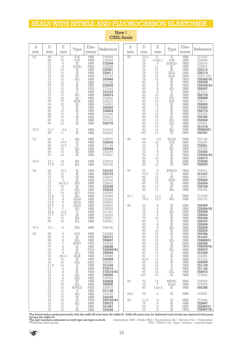## SEALS WITH NITRILE AND FLUOROCARBON ELASTOMER

| d          | D                                                                                                                                                                                         | E                                                                                                                                                                                                                 | Type                                                                                                                                                                                                                                                                  | Elas-                                                                                                                                                                                                                                                                                                                          | Reference                                                                                                                                                                                                                                       | d        | D                                                                                                                                                                                                                  | E                                                                                                                                                                                                                                  | Type                                                                                                                                                                                                                                                                                | Elas-                                                                                                                                                                                                                                                                                                                                                                                                                      | Reference                                                                                                                                                                                                                                                 |
|------------|-------------------------------------------------------------------------------------------------------------------------------------------------------------------------------------------|-------------------------------------------------------------------------------------------------------------------------------------------------------------------------------------------------------------------|-----------------------------------------------------------------------------------------------------------------------------------------------------------------------------------------------------------------------------------------------------------------------|--------------------------------------------------------------------------------------------------------------------------------------------------------------------------------------------------------------------------------------------------------------------------------------------------------------------------------|-------------------------------------------------------------------------------------------------------------------------------------------------------------------------------------------------------------------------------------------------|----------|--------------------------------------------------------------------------------------------------------------------------------------------------------------------------------------------------------------------|------------------------------------------------------------------------------------------------------------------------------------------------------------------------------------------------------------------------------------|-------------------------------------------------------------------------------------------------------------------------------------------------------------------------------------------------------------------------------------------------------------------------------------|----------------------------------------------------------------------------------------------------------------------------------------------------------------------------------------------------------------------------------------------------------------------------------------------------------------------------------------------------------------------------------------------------------------------------|-----------------------------------------------------------------------------------------------------------------------------------------------------------------------------------------------------------------------------------------------------------|
| mm<br>52   | mm<br>69<br>69<br>72<br>72<br>72<br>72<br>$\overline{72}$<br>72<br>$\begin{array}{c} 72 \\ 75 \end{array}$<br>75<br>$\frac{75}{75}$<br>75<br>78<br>78<br>80<br>80<br>80<br>80<br>80<br>85 | mm<br>10<br>10<br>$\frac{8}{8}$<br>10<br>12<br>$\overline{12}$<br>$\overline{12}$<br>$^{12}_{12}$<br>12<br>$^{12}_{15}$<br>16<br>$\begin{array}{c} 15 \\ 15 \end{array}$<br>$\,8\,$<br>10<br>10<br>13<br>13<br>10 | IOS<br>IOS<br>$\rm I\!E$<br><b>IEWD</b><br>IE<br>$\rm IE$<br>ΪĒ<br>IEL<br>$\frac{\text{II}}{\text{IE}}$<br>$\rm I\!E$<br>$\rm II$<br>IEL<br>$\rm{III}$<br><b>IELR</b><br>$\rm III$<br>$\rm IE$<br>$\rm IE$<br>$\overline{\rm II}$<br>$\overline{E}$<br>$\rm II$<br>IE | tomer<br><b>NBR</b><br>${\rm NBR}$<br><b>NBR</b><br><b>FKM</b><br>$\operatorname{NBR}$<br><b>NBR</b><br>FKM<br><b>NBR</b><br>${\rm NBR}$<br><b>NBR</b><br><b>FKM</b><br>$\frac{\text{NBR}}{\text{NBR}}$<br><b>NBR</b><br><b>NBR</b><br><b>NBR</b><br><b>NBR</b><br><b>NBR</b><br>NBR<br><b>NBR</b><br><b>NBR</b><br><b>NBR</b> | 726009<br>726269<br>772049<br>702588<br>722281<br><b>722611</b><br>772137<br>792666<br>721199<br><b>722502</b><br>772345<br><b>721015<br/> 725673</b><br>724562<br>725610<br>724261<br>792506<br>722824<br>721048<br>722514<br>721176<br>792775 | mm<br>55 | mm<br>75.4<br>$76 \over 76$<br>76<br>76<br>76<br>76<br>$\frac{78}{80}$<br>80<br>80<br>80<br>80<br>$\begin{array}{c} 80 \\ 82 \end{array}$<br>85<br>$\begin{array}{c} 85 \\ 85 \end{array}$<br>90<br>90<br>90<br>90 | mm<br>12<br>6.5x8.1<br>8<br>$1\,1$<br>$12\,$<br>$12\,$<br>$\overline{12}$<br>$\begin{array}{r} 10 \\ 8 \\ 8 \\ 8 \\ 8 \\ 10 \\ 10 \\ 12 \\ 12 \\ 8 \end{array}$<br>10<br>$\begin{array}{c} 12 \\ 10 \\ 10 \\ 13 \end{array}$<br>13 | $\rm{II}$<br>IOB<br>IEWLD<br>$\stackrel{\rm IE}{\rm IE}$<br><b>IELS</b><br><b>IELS</b><br>$\frac{1}{1}$<br>$\overline{IE}$<br>$\operatorname{IEL}$<br>$\rm II$<br>$\rm IE$<br>IEL<br>IEX<br>$\rm I\!E$<br>$\rm IE$<br>ΪĒ<br>$\rm I\!E$<br>$\overline{IE}$<br>IEL<br>IEL<br>$\rm II$ | tomer<br><b>NBR</b><br>$\frac{\text{NBR}}{\text{FKM}}$<br>${\rm NBR}$<br><b>NBR</b><br><b>NBR</b><br><b>FKM</b><br><b>FKM</b><br>NBR<br>FKM<br>$\begin{array}{c} \text{NBR} \\ \text{NBR} \end{array}$<br><b>NBR</b><br>NBR<br>NBR<br>NBR<br>$\frac{\text{NBR}}{\text{NBR}}$<br><b>NBR</b><br><b>NBR</b><br><b>NBR</b><br>$\overline{\mbox{NBR}}$<br><b>NBR</b><br>$\begin{array}{c} \text{NBR} \\ \text{NBR} \end{array}$ | 721253<br>729008<br>702534<br>722649<br>722712<br>725713<br>725713/81<br>722392/81<br>722008<br>722008/81<br>792557<br>721013<br>792778<br><b>792668</b><br><b>726711</b><br>722655<br>772050<br>792779<br>722222<br>792780<br>792669<br>725061<br>721318 |
| 52.5       | 72.7<br>80                                                                                                                                                                                | 8.5<br>11                                                                                                                                                                                                         | $\rm{II}$<br>$\rm IE$                                                                                                                                                                                                                                                 | <b>NBR</b><br><b>NBR</b>                                                                                                                                                                                                                                                                                                       | 721019<br>722652                                                                                                                                                                                                                                |          | 90<br>100                                                                                                                                                                                                          | $\begin{array}{c} 13 \\ 13 \end{array}$                                                                                                                                                                                            | IEL<br>E                                                                                                                                                                                                                                                                            | <b>NBR</b>                                                                                                                                                                                                                                                                                                                                                                                                                 | 79282201<br>792781                                                                                                                                                                                                                                        |
| 53         | 60<br>68<br>68<br>68<br>68<br>97                                                                                                                                                          | $\overline{4}$<br>10.5<br>10.5<br>13<br>13<br>10                                                                                                                                                                  | IEL<br>$\rm I\!E$<br>$\rm II$<br>IEL<br>$\rm IIL$<br>$\rm IE$                                                                                                                                                                                                         | <b>NBR</b><br><b>NBR</b><br><b>NBR</b><br><b>NBR</b><br>${\rm NBR}$<br><b>NBR</b>                                                                                                                                                                                                                                              | 725679<br>722605<br>721128<br><b>725048</b><br>724284<br>772281                                                                                                                                                                                 | 56       | 66<br>69<br>70<br>$\frac{72}{72}$<br>72                                                                                                                                                                            | 8.5<br>10<br>87882<br>1282                                                                                                                                                                                                         | <b>EOLS</b><br>IOS<br>$\rm I\!E$<br>IEL<br>$\rm IE$<br>ΪĒ                                                                                                                                                                                                                           | <b>NBR</b><br><b>NBR</b><br><b>NBR</b><br><b>NBR</b><br><b>NBR</b><br><b>FKM</b>                                                                                                                                                                                                                                                                                                                                           | 727120<br>726255<br><b>772051</b><br>725338<br>772052<br>772052/81<br>T22615<br>T72054                                                                                                                                                                    |
| 53.6       | 73.1<br>77.8                                                                                                                                                                              | 19<br>13                                                                                                                                                                                                          | IEL<br>IEL                                                                                                                                                                                                                                                            | <b>NBR</b><br><b>NBR</b>                                                                                                                                                                                                                                                                                                       | 725043<br>725108                                                                                                                                                                                                                                |          | $\begin{array}{c} 80 \\ 85 \end{array}$<br>86                                                                                                                                                                      |                                                                                                                                                                                                                                    | <br> E<br> E<br> E                                                                                                                                                                                                                                                                  | $\begin{array}{c}\text{NBR} \\ \text{NBR} \end{array}$<br><b>NBR</b>                                                                                                                                                                                                                                                                                                                                                       | 722033                                                                                                                                                                                                                                                    |
| 54         | 68<br>70<br>70<br>72<br>72<br>72<br>$\overline{72}$                                                                                                                                       | 10.5<br>10<br>$12\,$<br>5<br>5x12.5<br>10<br>10<br>10                                                                                                                                                             | $\stackrel{\rm IE}{\rm IE}$<br>ΙĒ<br>$\rm IE$<br><b>IES</b><br>IE<br>IEL<br>IED                                                                                                                                                                                       | NBR<br>NBR<br><b>NBR</b><br><b>NBR</b><br><b>NBR</b><br><b>NBR</b><br>$\frac{\text{NBR}}{\text{FKM}}$                                                                                                                                                                                                                          | 722167<br><b>792776</b><br>722874<br>722738<br>726643<br>722448<br>725202                                                                                                                                                                       | 57       | 73<br>75.6<br>80<br>85<br>85<br>90<br>90                                                                                                                                                                           | $\begin{array}{c} 8 \\ 12 \\ 12 \end{array}$<br>$^{15}_{15}$<br>13<br>13                                                                                                                                                           | <b>IEWLG</b><br>$\rm II$<br>$\overline{IE}$<br><b>IELR</b><br>$\rm{III}$<br>$\rm IE$<br>$\operatorname{IEL}$                                                                                                                                                                        | <b>FKM</b><br>NBR<br>NBR<br>NBR<br><b>NBR</b><br><b>NBR</b><br><b>NBR</b><br><b>NBR</b>                                                                                                                                                                                                                                                                                                                                    | 702561<br>721247<br>722067<br>725625<br>724306<br>722728<br>725760                                                                                                                                                                                        |
|            | $\frac{72}{72.5}$<br>$\frac{72.5}{72.5}$                                                                                                                                                  | 9<br>$\hbox{ }^{\rm 9}$                                                                                                                                                                                           | IEL<br><b>EELS</b>                                                                                                                                                                                                                                                    | <b>NBR</b><br><b>NBR</b>                                                                                                                                                                                                                                                                                                       | THESE<br>725509<br>725592                                                                                                                                                                                                                       | 57.1     | 73<br>76.2                                                                                                                                                                                                         | $^{12.7}_{12.7}$                                                                                                                                                                                                                   | $\rm II$<br>IEL                                                                                                                                                                                                                                                                     | $\frac{\text{NBR}}{\text{NBR}}$                                                                                                                                                                                                                                                                                                                                                                                            | 721259<br>725127                                                                                                                                                                                                                                          |
|            | 72.5<br>$72.5$<br>$75$<br>76.2<br>77.7<br>81<br>85                                                                                                                                        | $\Theta$<br>9<br>$\sqrt{ }$<br>12.5<br>12.7<br>10<br>10                                                                                                                                                           | <b>EELS</b><br><b>EELS</b><br>IEL<br>П<br>$\rm IE$<br>IEL<br>IEL                                                                                                                                                                                                      | <b>NBR</b><br><b>NBR</b><br><b>NBR</b><br><b>NBR</b><br><b>NBR</b><br><b>NBR</b><br><b>NBR</b>                                                                                                                                                                                                                                 | 725604<br>725559<br>721307<br>722025<br>725651<br>725501                                                                                                                                                                                        | 58       | $^{72}_{72}$<br>$\begin{array}{c} 72 \\ 75 \\ 75 \end{array}$<br>80<br>80                                                                                                                                          | c 00 00 00<br>10<br>5<br>8                                                                                                                                                                                                         | $\stackrel{\rm IE}{\rm IE}$<br>IEL<br>$\stackrel{\rm IE}{\rm IE}$<br>IE<br>IE                                                                                                                                                                                                       | $\frac{\text{NBR}}{\text{FKM}}$<br>NBR<br>NBR<br>NBR<br><b>NBR</b><br><b>NBR</b>                                                                                                                                                                                                                                                                                                                                           | 722359<br>722359/81<br>792558<br>722622<br>792783<br>792783<br>722707<br>722939                                                                                                                                                                           |
| 54.2<br>55 | 73.1<br>68                                                                                                                                                                                | 6<br>4                                                                                                                                                                                                            | IEX<br>IOS                                                                                                                                                                                                                                                            | <b>NBR</b><br>$\operatorname{NBR}$                                                                                                                                                                                                                                                                                             | 726158<br>726285                                                                                                                                                                                                                                |          | 80<br>80<br>80                                                                                                                                                                                                     | 8<br>10<br>10                                                                                                                                                                                                                      | IEL<br>IE<br>IE                                                                                                                                                                                                                                                                     | <b>NBR</b><br><b>NBR</b><br><b>NBR</b>                                                                                                                                                                                                                                                                                                                                                                                     | 792559<br>722200<br>792784                                                                                                                                                                                                                                |
|            | 68<br>68<br>70<br>70<br>70<br>70<br>70<br>70<br>$70\,$<br>71.5<br>72<br>$72\,$<br>72<br>72                                                                                                | 8<br>8<br>$\sqrt{2}$<br>8<br>8<br>8<br>8x14<br>10<br>10<br>$_{\rm 8}^{10}$<br>$\,8\,$<br>8<br>$\,8\,$                                                                                                             | IE<br>IEL<br><b>IEWV</b><br>IE<br>IE<br>IEL<br><b>IELR</b><br>IE<br>EEL<br>П<br>ΙĒ<br>IE<br>IEL<br>EEL                                                                                                                                                                | <b>NBR</b><br><b>NBR</b><br>FKM<br><b>NBR</b><br>FKM<br><b>NBR</b><br><b>NBR</b><br><b>NBR</b><br>FKM<br><b>NBR</b><br><b>NBR</b><br>FKM<br><b>NBR</b><br><b>NBR</b>                                                                                                                                                           | 792777<br>792667<br>704039<br>722938<br>722938/81<br>792554<br>725896<br>722528<br>702381<br>721349<br>772015<br>772015/81<br>792555<br>725550                                                                                                  |          | 80<br>80<br>80<br>80<br>80<br>80<br>81<br>83.2<br>85<br>85<br>85<br>90<br>102                                                                                                                                      | 10<br>10<br>$12 \,$<br>12<br>$^{12}_{12}$<br>$\frac{5}{17}$<br>10<br>$\substack{10\\12}$<br>10<br>10                                                                                                                               | $\rm II$<br>IEL<br>$_{\rm IE}$<br>$\rm IE$<br>IEL<br>П<br>IE<br>П<br>$_{\rm IE}$<br>$\rm II$<br>$_{\rm II}$<br>IEL<br>$\rm I\!E$                                                                                                                                                    | <b>NBR</b><br><b>NBR</b><br>NBR<br>FKM<br><b>NBR</b><br><b>NBR</b><br><b>NBR</b><br><b>NBR</b><br><b>NBR</b><br><b>NBR</b><br><b>NBR</b><br>${\rm NBR}$<br><b>NBR</b>                                                                                                                                                                                                                                                      | 721437<br>79282501<br>722005<br>722005/81<br>792670<br><b>721059</b><br>722254<br>721210<br>722559<br>721135<br>721124<br><b>792672</b><br>772282                                                                                                         |
|            | 72<br>$72$<br>$72$<br>$72$                                                                                                                                                                | 10<br>10<br>10                                                                                                                                                                                                    | IE<br>IEL<br><b>IEWLD</b>                                                                                                                                                                                                                                             | <b>NBR</b><br><b>NBR</b><br><b>FKM</b>                                                                                                                                                                                                                                                                                         | 722808<br>792556<br>702615                                                                                                                                                                                                                      | 59       | 72<br>72<br>80                                                                                                                                                                                                     | $12 \,$<br>$\sqrt{2}$<br>12x13                                                                                                                                                                                                     | <b>MEWL</b><br><b>EELS</b><br>IE                                                                                                                                                                                                                                                    | $\frac{\text{NBR}}{\text{NBR}}$<br><b>NBR</b>                                                                                                                                                                                                                                                                                                                                                                              | 725588<br>725358<br>792785                                                                                                                                                                                                                                |
|            | 75<br>75                                                                                                                                                                                  | 13<br>10<br>12                                                                                                                                                                                                    | $\rm II$<br>IEL<br>IE                                                                                                                                                                                                                                                 | ${\rm NBR}$<br><b>NBR</b><br><b>NBR</b>                                                                                                                                                                                                                                                                                        | 721138<br>725102<br>722749                                                                                                                                                                                                                      | 59.5     | 75                                                                                                                                                                                                                 | 8                                                                                                                                                                                                                                  | IE                                                                                                                                                                                                                                                                                  | <b>NBR</b>                                                                                                                                                                                                                                                                                                                                                                                                                 | 722587                                                                                                                                                                                                                                                    |
|            | 75<br>75<br>75<br>75                                                                                                                                                                      | 12<br>12<br>12<br>16                                                                                                                                                                                              | $\rm I\!E$<br>IEL<br>П<br>IIL                                                                                                                                                                                                                                         | <b>FKM</b><br><b>NBR</b><br><b>NBR</b><br><b>NBR</b>                                                                                                                                                                                                                                                                           | 722749/81<br>725072<br>721081<br>724448                                                                                                                                                                                                         | 60       | 71.5<br>75<br>75<br>75                                                                                                                                                                                             | 8<br>8<br>8<br>8                                                                                                                                                                                                                   | IE<br>IE<br>IE<br>IE                                                                                                                                                                                                                                                                | <b>NBR</b><br>${\rm NBR}$<br><b>NBR</b><br><b>FKM</b>                                                                                                                                                                                                                                                                                                                                                                      | 772365<br>722997<br>72299701<br>722997/81                                                                                                                                                                                                                 |

New! **CSEL Seals** 

![](_page_31_Picture_6.jpeg)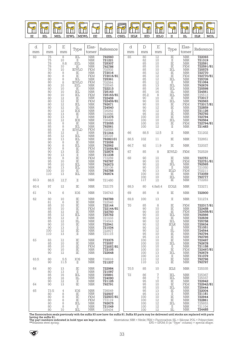![](_page_32_Picture_0.jpeg)

| d    | $\mathbb D$                                                                                                                                                                         | E                                                                                                                                                                                  | Type                                                                                                                                                                                                                                                                                                                                       | Elas-                                                                                                                                                                                                                                                                                                                                                                              | Reference                                                                                                                                                                                                                                          | d    | $\mathbf D$                                                                                                    | $\boldsymbol{\mathrm{E}}$                                                                                                                                                                                                                          | Type                                                                                                                                                                                                                                                                                              | Elas-                                                                                                                                                                                                                                    | Reference                                                                                                                                                                                                                                                |
|------|-------------------------------------------------------------------------------------------------------------------------------------------------------------------------------------|------------------------------------------------------------------------------------------------------------------------------------------------------------------------------------|--------------------------------------------------------------------------------------------------------------------------------------------------------------------------------------------------------------------------------------------------------------------------------------------------------------------------------------------|------------------------------------------------------------------------------------------------------------------------------------------------------------------------------------------------------------------------------------------------------------------------------------------------------------------------------------------------------------------------------------|----------------------------------------------------------------------------------------------------------------------------------------------------------------------------------------------------------------------------------------------------|------|----------------------------------------------------------------------------------------------------------------|----------------------------------------------------------------------------------------------------------------------------------------------------------------------------------------------------------------------------------------------------|---------------------------------------------------------------------------------------------------------------------------------------------------------------------------------------------------------------------------------------------------------------------------------------------------|------------------------------------------------------------------------------------------------------------------------------------------------------------------------------------------------------------------------------------------|----------------------------------------------------------------------------------------------------------------------------------------------------------------------------------------------------------------------------------------------------------|
| mm   | mm<br>75                                                                                                                                                                            | mm                                                                                                                                                                                 |                                                                                                                                                                                                                                                                                                                                            | tomer                                                                                                                                                                                                                                                                                                                                                                              |                                                                                                                                                                                                                                                    | mm   | mm                                                                                                             | mm<br>$\overline{12}$                                                                                                                                                                                                                              | $\overline{\text{IE}}$                                                                                                                                                                                                                                                                            | tomer                                                                                                                                                                                                                                    |                                                                                                                                                                                                                                                          |
| 60   | $75$<br>$78$<br>78<br>78<br>80<br>80<br>80<br>80<br>80<br>80<br>80<br>80<br>80<br>$\begin{array}{c} {80}\\ {80} \end{array}$<br>80<br>80<br>$\overline{80}$<br>80<br>82<br>85<br>85 | 8<br>$\frac{10}{8.8}$<br>10<br>10<br>10<br>$\begin{matrix} 10 \\ 10 \end{matrix}$<br>$\frac{12}{12}$<br>12<br>$\frac{12}{13}$<br>$\begin{array}{c} 13 \\ 12 \\ 8 \\ 8 \end{array}$ | $\operatorname{IEL}$<br>$\rm II$<br>EĒL<br>$\rm I\!E$<br><b>IEWLG</b><br>$\rm IE$<br>ΪĒ<br>$\operatorname{IEL}$<br>$\begin{array}{c}\text{IEWLG} \\ \text{EEL} \end{array}$<br>$\rm I\!E$<br>$\operatorname{IEL}$<br>IEL<br>$\rm IE$<br>$\overline{\text{IE}}$<br>$\rm{III}$<br>IEX<br>$\rm I\!E$<br>$\rm II$<br>IEX<br>$_{\rm IE}$<br>IEL | $\operatorname{NBR}$<br>NBR<br>NBR<br>NBR<br><b>NBR</b><br><b>FKM</b><br><b>NBR</b><br><b>FKM</b><br>NBR<br>FKM<br>$\ensuremath{\text{NBR}}\xspace$<br><b>NBR</b><br><b>NBR</b><br><b>FKM</b><br>NBR<br>FKM<br><b>NBR</b><br>$\begin{array}{c} \text{NBR} \\ \text{NBR} \end{array}$<br><b>NBR</b><br><b>NBR</b><br><b>NBR</b><br>$\operatorname{NBR}$<br><b>NBR</b><br><b>FKM</b> | 792560<br>T21221<br>T25307<br>T92786<br>702502<br>772016<br>772016/81<br>725361<br>702564<br>725545<br>722213<br>725163<br>725163/81<br>722459<br>722459/81<br>792671<br>724540<br>T26262<br>722686<br><b>721275</b><br>726498<br>772055<br>792561 | 65   | 80<br>82<br>88<br>85<br>85<br>85<br>85<br>85.2<br>90<br>90<br>90<br>90<br>90<br>95<br>100<br>$\frac{100}{100}$ | $\frac{10}{10}$<br>$\frac{10}{10}$<br>$\begin{array}{c} 10 \\ 12 \\ 12 \\ 12 \\ 13 \\ 13 \\ 16 \end{array}$<br>$\begin{array}{c} 16 \\ 8 \\ 10 \\ 10 \\ 10 \\ 12 \end{array}$<br>12<br>$1\overline{0}$<br>10<br>$\frac{10}{10}$<br>$\frac{10}{12}$ | $\frac{\text{II}}{\text{IE}}$<br>$\rm I\!E$<br>$\operatorname{IEL}$<br>$\rm IE$<br>$\rm IE$<br>IEL<br>$\rm II$<br>IEL<br>$\operatorname{IEL}$<br>$\rm{III}.$<br>IEL<br>$\stackrel{\rm IE}{\rm IEL}$<br>$\rm IE$<br>$\rm IE$<br>$\rm II$<br>$\rm IE$<br>$\rm IE$<br>ΙĒL<br>$\rm I\!E$<br>$\rm{II}$ | $\operatorname{NBR}$<br>NBR<br>NBR<br>FKM<br>NBR<br>NBR<br><b>FKM</b><br>NBR<br>NBR<br>NBR<br>${\rm NBR}$<br><b>NBR</b><br>NBR<br>NBR<br>NBR<br>NBR<br>NBR<br>FKM<br>NBR<br>NBR<br>NBR<br>NBR<br>NBR<br>NBR<br>${\rm FKM}$<br><b>NBR</b> | 722093<br>721319<br>722591<br>722591/81<br>725575<br>722770<br>722770/81<br>725709<br>721064<br>792676<br>725598<br>724561<br>725513<br>772017<br>792563<br>772017/81<br>722859<br>721126<br>792792<br>T02102<br>722794<br>792564<br>722794/81<br>721483 |
|      | 85<br>85<br>85                                                                                                                                                                      |                                                                                                                                                                                    | <b>IEWLD</b><br>$\rm II$<br>$\bar{\rm IEL}$                                                                                                                                                                                                                                                                                                | <b>NBR</b>                                                                                                                                                                                                                                                                                                                                                                         | 702555<br>725107                                                                                                                                                                                                                                   | 66   | 88.5                                                                                                           | 12.5                                                                                                                                                                                                                                               | $\rm{II}$                                                                                                                                                                                                                                                                                         | <b>NBR</b>                                                                                                                                                                                                                               | 721202                                                                                                                                                                                                                                                   |
|      | 86<br>90                                                                                                                                                                            |                                                                                                                                                                                    | $\operatorname{IEL}$<br>IE                                                                                                                                                                                                                                                                                                                 | NBR<br>NBR<br>NBR<br><b>NBR</b>                                                                                                                                                                                                                                                                                                                                                    | 79282101<br>772056                                                                                                                                                                                                                                 | 66.5 | 102                                                                                                            | 11                                                                                                                                                                                                                                                 | $\rm I\!E$                                                                                                                                                                                                                                                                                        | <b>NBR</b>                                                                                                                                                                                                                               | 722651                                                                                                                                                                                                                                                   |
|      | 90<br>90                                                                                                                                                                            |                                                                                                                                                                                    | IEL<br>$\rm IE$                                                                                                                                                                                                                                                                                                                            | NBR<br>FKM                                                                                                                                                                                                                                                                                                                                                                         | 792562<br>772056/81                                                                                                                                                                                                                                | 66.7 | 92                                                                                                             | 11.9                                                                                                                                                                                                                                               | $\rm I\!E$                                                                                                                                                                                                                                                                                        | <b>NBR</b>                                                                                                                                                                                                                               | 722027                                                                                                                                                                                                                                                   |
|      | 90<br>90                                                                                                                                                                            |                                                                                                                                                                                    | ΪĒ<br>$\rm II$                                                                                                                                                                                                                                                                                                                             | $\operatorname{NBR}$<br>NBR<br>FKM                                                                                                                                                                                                                                                                                                                                                 | 722876                                                                                                                                                                                                                                             | 67   | 85                                                                                                             | 8                                                                                                                                                                                                                                                  | <b>IEWLD</b>                                                                                                                                                                                                                                                                                      | <b>FKM</b>                                                                                                                                                                                                                               | 702529                                                                                                                                                                                                                                                   |
| 60.3 | 95<br>95<br>95<br>96<br>100<br>110<br>88.5                                                                                                                                          | 10<br>13<br>10<br>$\overline{13}$<br>12.7                                                                                                                                          | $\rm IE$<br>$\rm IE$<br>IEL<br>IEL<br>$\rm I\!E$<br>IEL<br>$\rm II$                                                                                                                                                                                                                                                                        | $\operatorname{NBR}$<br><b>NBR</b><br><b>NBR</b><br><b>NBR</b><br><b>NBR</b><br><b>NBR</b>                                                                                                                                                                                                                                                                                         | T21238<br>T72259<br>T92787<br>792673<br>725106<br>792788<br>792674<br>721480                                                                                                                                                                       | 68   | 90<br>90<br>90<br>90<br>90<br>100<br>$\frac{100}{117}$                                                         | $10$<br>10<br>10<br>10<br>$\overline{13}$<br>10<br>$\substack{10\\10}$                                                                                                                                                                             | $\rm IE$<br>$\rm IE$<br>IEL<br>$\rm II$<br>IELD<br>$_{\rm IE}$<br>$\stackrel{\rm IEL}{\mathbb{E}}$                                                                                                                                                                                                | ${\rm NBR}$<br>FKM<br><b>NBR</b><br>NBR<br>FKM<br>$\operatorname{NBR}$<br>NBR<br>NBR                                                                                                                                                     | 722751<br>722751/81<br>792565<br>T21050<br>T21050<br>T02211<br>T72059<br>792777<br>772283                                                                                                                                                                |
| 60.4 | $97\,$                                                                                                                                                                              | 12                                                                                                                                                                                 | IE                                                                                                                                                                                                                                                                                                                                         | $\operatorname{NBR}$                                                                                                                                                                                                                                                                                                                                                               | 722175                                                                                                                                                                                                                                             | 68.3 | 80                                                                                                             | 4.8x8.4                                                                                                                                                                                                                                            | <b>EOLS</b>                                                                                                                                                                                                                                                                                       | <b>NBR</b>                                                                                                                                                                                                                               | 723271                                                                                                                                                                                                                                                   |
| 61   | 74                                                                                                                                                                                  | 6                                                                                                                                                                                  | IOS                                                                                                                                                                                                                                                                                                                                        | $\operatorname{NBR}$                                                                                                                                                                                                                                                                                                                                                               | 726743                                                                                                                                                                                                                                             | 69   | 85                                                                                                             | 8                                                                                                                                                                                                                                                  | $\rm I\!E$                                                                                                                                                                                                                                                                                        | $\operatorname{NBR}$                                                                                                                                                                                                                     | 722900                                                                                                                                                                                                                                                   |
| 62   | 80                                                                                                                                                                                  | 10                                                                                                                                                                                 | $\rm IE$                                                                                                                                                                                                                                                                                                                                   | $\operatorname{NBR}$                                                                                                                                                                                                                                                                                                                                                               | <b>792789</b><br>722540                                                                                                                                                                                                                            | 69.8 | 100                                                                                                            | 13                                                                                                                                                                                                                                                 | $\rm II$                                                                                                                                                                                                                                                                                          | <b>NBR</b>                                                                                                                                                                                                                               | 721274                                                                                                                                                                                                                                                   |
|      | 81<br>85<br>$\overline{85}$<br>85<br>85<br>85<br>85<br>90<br>90<br>100<br>110                                                                                                       | $\,6$<br>10<br>10<br>$\frac{12}{12}$<br>$\frac{12}{12}$<br>12<br>10<br>$\begin{array}{c} 13 \\ 12 \end{array}$<br>13                                                               | ΪĒ<br>$\rm IE$<br>$\frac{\overline{1}}{1E}$<br>IEL<br>$\;$ II<br>$\rm IIL$<br>IE<br>П<br>$\rm I\!E$<br>$_{\rm II}$                                                                                                                                                                                                                         | <b>NBR</b><br>NBR<br>FKM<br>$\operatorname{NBR}$<br>$\begin{array}{c} \text{NBR} \\ \text{NBR} \end{array}$<br>$\operatorname{NBR}$<br><b>NBR</b><br><b>NBR</b><br><b>NBR</b><br><b>NBR</b>                                                                                                                                                                                        | 722144<br>722144/81<br>722750<br>725762<br>721033<br>724543<br>722941<br>721034<br>722877<br>721115                                                                                                                                                | 70   | 85<br>90<br>90<br>90<br>90<br>90<br>90<br>90<br>90<br>95<br>95                                                 | 8<br>$\frac{10}{10}$<br>$\frac{10}{10}$<br>12<br>12<br>12<br>12<br>12<br>10<br>13                                                                                                                                                                  | $\stackrel{\rm IE}{\rm IE}$<br>$\rm IE$<br>$\operatorname{IEL}$<br>IE<br>$\operatorname{IEL}$<br><b>IELR</b><br>П<br>Ш<br>IE<br>IE                                                                                                                                                                | FKM<br>NBR<br>FKM<br>T<br>NBR<br>NBR<br>$\operatorname{NBR}$<br><b>NBR</b><br>${\rm NBR}$<br><b>NBR</b><br><b>NBR</b><br><b>NBR</b>                                                                                                      | 722317/81<br>792566<br>722639<br>725758<br>725634<br>721051<br>724544<br>792794<br>792795                                                                                                                                                                |
| 63   | 83<br>85<br>85<br>90<br>90                                                                                                                                                          | 12<br>10<br>10<br>10<br>12                                                                                                                                                         | $\rm I\!E$<br>IE<br>$\rm I\!E$<br>$\rm I\!E$<br>$\rm I\!E$                                                                                                                                                                                                                                                                                 | <b>NBR</b><br><b>NBR</b><br>FKM<br><b>NBR</b><br><b>NBR</b>                                                                                                                                                                                                                                                                                                                        | 772375<br>772057<br>772057/81<br>772105<br>722648                                                                                                                                                                                                  |      | 100<br>100<br>100<br>100<br>$\substack{100\\100}$                                                              | 10<br>10<br>10<br>10<br>13<br>13                                                                                                                                                                                                                   | $\rm IE$<br>IEL<br>П<br>IE<br>IEL<br>$\;$ II                                                                                                                                                                                                                                                      | <b>NBR</b><br><b>NBR</b><br><b>NBR</b><br>FKM<br><b>NBR</b><br><b>NBR</b>                                                                                                                                                                | 722497<br>792678<br>721158<br>722497/81<br>792679<br>721079                                                                                                                                                                                              |
| 63.5 | 80<br>90                                                                                                                                                                            | 5.5<br>11.5                                                                                                                                                                        | IOS<br>П                                                                                                                                                                                                                                                                                                                                   | <b>NBR</b><br><b>NBR</b>                                                                                                                                                                                                                                                                                                                                                           | 726816<br>721207                                                                                                                                                                                                                                   |      | 110<br>110                                                                                                     | 12<br>13                                                                                                                                                                                                                                           | IE<br>$\rm I\!E$                                                                                                                                                                                                                                                                                  | <b>NBR</b><br><b>NBR</b>                                                                                                                                                                                                                 | 792796<br>792797                                                                                                                                                                                                                                         |
| 64   | 80<br>80                                                                                                                                                                            | 13<br>13                                                                                                                                                                           | $\rm I\!E$<br>$_{\rm II}$                                                                                                                                                                                                                                                                                                                  | <b>NBR</b><br><b>NBR</b>                                                                                                                                                                                                                                                                                                                                                           | 722984<br>721097                                                                                                                                                                                                                                   | 70.5 | 85                                                                                                             | 10                                                                                                                                                                                                                                                 | <b>IELS</b>                                                                                                                                                                                                                                                                                       | $\operatorname{NBR}$                                                                                                                                                                                                                     | 725335                                                                                                                                                                                                                                                   |
| 64   | 85<br>85<br>90<br>90                                                                                                                                                                | 16<br>16<br>$12 \,$<br>13                                                                                                                                                          | IEL<br>Ш<br>П<br>IE                                                                                                                                                                                                                                                                                                                        | <b>NBR</b><br><b>NBR</b><br><b>NBR</b><br><b>NBR</b>                                                                                                                                                                                                                                                                                                                               | 725891<br>724090<br>721125<br>792791                                                                                                                                                                                                               | 72   | 86<br>88<br>95<br>95<br>95                                                                                     | $\frac{7}{7}$<br>10<br>$\substack{10\\10}$                                                                                                                                                                                                         | IEL<br>IEL<br>IE<br>$\rm IE$<br>IEL                                                                                                                                                                                                                                                               | <b>NBR</b><br><b>NBR</b><br><b>NBR</b><br>FKM<br><b>NBR</b>                                                                                                                                                                              | 725367<br>725337<br>722942<br>722942/81<br>725444                                                                                                                                                                                                        |
| 65   | 73.5<br>80<br>80<br>80<br>80<br>80<br>80                                                                                                                                            | $\overline{4}$<br>8<br>8<br>8<br>8<br>8<br>10                                                                                                                                      | IOS<br>$\rm IE$<br>$\rm IE$<br>$\rm IE$<br>IEL<br>П<br>IEL                                                                                                                                                                                                                                                                                 | <b>NBR</b><br><b>NBR</b><br><b>FKM</b><br>FKM<br><b>NBR</b><br><b>NBR</b><br><b>NBR</b>                                                                                                                                                                                                                                                                                            | 726049<br>722507<br>722507/81<br>772119<br>792675<br>721049<br>725434                                                                                                                                                                              |      | 95<br>95<br>100<br>100<br>100<br>100<br>100                                                                    | 13<br>13<br>10<br>12<br>12<br>12<br>12                                                                                                                                                                                                             | $_{\rm IE}$<br>$\rm II$<br>$\rm I\!E$<br>IE<br>IEL<br>П<br>IIL                                                                                                                                                                                                                                    | <b>NBR</b><br><b>NBR</b><br><b>NBR</b><br><b>NBR</b><br><b>NBR</b><br><b>NBR</b><br><b>NBR</b>                                                                                                                                           | 722004<br>721181<br>722944<br>722861<br>725653<br>721104<br>724485                                                                                                                                                                                       |

The fluorocarbon seals previously with the suffix 83 now have the suffix 81. Suffix 83 parts may be delivered until stocks are replaced with parts<br>having the suffix 81. Suffix 83 parts may be delivered until stocks are rep

![](_page_32_Picture_5.jpeg)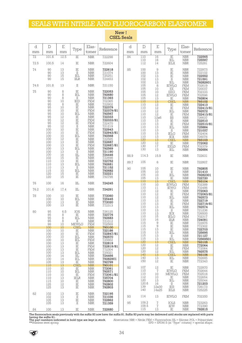## SEALS WITH NITRILE AND FLUOROCARBON ELASTOMER

| d        | $\mathbb D$       | $\mathbf E$           | Type                        | Elas-                                  | Reference                    | d        | D              | $\mathbf E$           | Type                        | Elas-                              | Reference                  |
|----------|-------------------|-----------------------|-----------------------------|----------------------------------------|------------------------------|----------|----------------|-----------------------|-----------------------------|------------------------------------|----------------------------|
| mm<br>72 | mm<br>101.6       | mm                    | IE                          | tomer<br><b>NBR</b>                    | 722298                       | mm<br>84 | mm<br>110      | mm<br>16              | IE                          | tomer<br><b>NBR</b>                | 722565                     |
|          |                   | 12.5                  |                             |                                        |                              |          | 110            | 16                    | IEL                         | $\operatorname{NBR}$               | 725597                     |
| 72.5     | 100.5             | 14                    | IE                          | <b>NBR</b>                             | 722604                       |          | 112            | 14                    | IELX                        | <b>NBR</b>                         | 725281                     |
| 74       | 90<br>90          | 13<br>13              | IE<br>$\rm II$              | <b>NBR</b><br><b>NBR</b>               | 722618<br>721074             | 85       | 100<br>100     | $\mathcal{G}$<br>13   | IE<br>$\rm IE$              | <b>NBR</b><br><b>NBR</b>           | 722973<br>722102           |
|          | 90<br>90          | 15<br>15              | IEL<br><b>IILR</b>          | <b>NBR</b><br><b>NBR</b>               | 725251<br>724453             |          | 102<br>102     | 13<br>13              | IE<br>$\mathcal{I}$         | <b>NBR</b><br><b>NBR</b>           | 722552<br>721591           |
|          |                   |                       |                             |                                        |                              |          | 102            | 13                    | IEL                         | <b>NBR</b>                         | 79282601                   |
| 74.6     | 101.8             | 13                    | $_{\rm II}$                 | <b>NBR</b>                             | 721150                       |          | 105<br>105     | 8<br>10               | <b>IEWLG</b><br>EE          | <b>FKM</b><br><b>FKM</b>           | 702619                     |
| 75       | 90<br>90          | 8<br>8                | IE<br>IEL                   | <b>NBR</b><br>${\rm NBR}$              | 722053<br>792680             |          | 105<br>105     | 10<br>12              | EEG<br><b>IEWLG</b>         | <b>FKM</b><br><b>FKM</b>           | 720037<br>702333<br>702596 |
|          | 90<br>90          | 8<br>10               | $\scriptstyle\rm II$<br>IED | <b>NBR</b><br><b>FKM</b>               | 721393<br>702365             |          | 105<br>110     | 13<br>13              | $_{\rm IE}$<br><b>CSEL</b>  | <b>NBR</b><br><b>NBR</b>           | 792804<br>793102           |
|          | 95<br>95          | 8<br>10               | IE<br>IE                    | <b>NBR</b><br><b>NBR</b>               | 722902<br>722379             |          | 110            | 12                    | IE                          | <b>NBR</b>                         | 722413                     |
|          | 95<br>95          | 10                    | IE                          | <b>FKM</b>                             | 722379/81                    |          | 110<br>110     | 12<br>12              | IE<br>IEL                   | <b>FKM</b><br><b>NBR</b>           | 722413/81<br>792572        |
|          | 95                | 10<br>12              | IEL<br>$\rm I\!E$           | <b>NBR</b><br><b>NBR</b>               | 792567<br>722333             |          | 110<br>110     | 12<br>12x6            | $_{\rm IE}$<br>IIS          | <b>FKM</b><br><b>NBR</b>           | 722413/81<br>726637        |
|          | 95<br>95          | 12<br>12              | IE<br>IE                    | FKM<br><b>FKM</b>                      | 722333/81<br>722470          |          | 110<br>110     | 13<br>13              | IE<br>IE                    | <b>NBR</b><br><b>FKM</b>           | 722510<br>722510/81        |
|          | 95<br>100         | 12<br>10              | $\rm II$<br>IE              | <b>NBR</b><br><b>NBR</b>               | 721219<br>722943             |          | 110            | 13                    | IEL                         | <b>NBR</b>                         | 725884                     |
|          | 100               | 10                    | IE                          | FKM                                    | 722943/81                    |          | 110<br>110     | 13<br>13              | $_{\rm II}$<br><b>IELG</b>  | <b>NBR</b><br><b>FKM</b>           | 721037<br>702404           |
|          | 100<br>100        | 10<br>12              | IEL<br>$\rm IE$             | <b>NBR</b><br><b>NBR</b>               | 792568<br>722585             |          | 110<br>120     | 13<br>13              | IEX<br><b>CSEL</b>          | <b>NBR</b><br><b>NBR</b>           | 726076<br>793103           |
|          | 100<br>100        | $1\overline{3}$<br>13 | IE<br>IE                    | <b>NBR</b><br><b>FKM</b>               | 722687<br>722687/81          |          | 120<br>130     | 12<br>17              | $\rm I\!E$<br><b>EELD</b>   | <b>NBR</b><br><b>FKM</b>           | 772062<br>702379           |
|          | 100<br>100        | 13<br>13              | IEL<br>$\rm II$             | <b>NBR</b><br><b>NBR</b>               | 792569<br>721190             |          | 130            | 13                    | IEL                         | <b>NBR</b>                         | 792684                     |
|          | 100<br>102        | 16<br>15              | $\rm IIL$<br>IE             | <b>NBR</b><br><b>NBR</b>               | 724446<br>722698             | 88.9     | 114.3          | 15.9                  | IE                          | <b>NBR</b>                         | 722631                     |
|          | 110<br>110        | 13<br>13              | IE<br>IEL                   | <b>NBR</b><br><b>NBR</b>               | 722752<br>792681             | 89.7     | 105            | 6                     | IE                          | <b>NBR</b>                         | 722807                     |
|          | 110<br>115        | 13<br>10              | $\scriptstyle\rm II$<br>IEL | <b>NBR</b><br><b>NBR</b>               | 721152<br>792682             | 90       | 105<br>105     | 10<br>10              | IE<br>$_{\rm II}$           | <b>NBR</b><br><b>NBR</b>           | 792805<br>721410           |
|          | 120<br>120        | 15<br>15              | $\rm I\!E$<br>IE            | <b>NBR</b><br><b>NBR</b>               | 722221<br>792798             |          | 105<br>105     | 10<br>$\overline{13}$ | IEL                         | <b>NBR</b>                         | 79282301                   |
| 76       | 100               | 16                    | IIL                         | <b>NBR</b>                             | 724245                       |          | 110            | 13                    | IE<br><b>CSEL</b>           | <b>NBR</b><br><b>NBR</b>           | 722720<br>793104           |
| 76.2     | 101.6             | 17.4                  | IIL                         | <b>NBR</b>                             |                              |          | 110<br>110     | 10<br>11              | <b>IEWLG</b><br><b>IEWG</b> | <b>FKM</b><br><b>FKM</b>           | 702389<br>702486           |
|          |                   |                       |                             |                                        | 724291                       |          | 110<br>110     | 12<br>12              | IE<br>IE                    | <b>NBR</b><br><b>FKM</b>           | 772063<br>772063/81        |
| 78       | 100<br>100        | 10<br>10              | IE<br>IEL                   | <b>NBR</b><br><b>NBR</b>               | 772060<br>725445             |          | 110<br>110     | 12<br>13              | IEL<br>$_{\rm IE}$          | <b>NBR</b><br><b>NBR</b>           | 792573<br>722719           |
|          | 100<br>100        | 13<br>13              | IE<br>IE                    | <b>NBR</b><br><b>NBR</b>               | 772020<br>772313             |          | 110            | 13                    | IE                          | <b>FKM</b>                         | 722719/81                  |
| 80       | 95                | 6.5                   | IOS                         | <b>NBR</b>                             | 726125                       |          | 110<br>110     | 13<br>13              | IEL<br>$\mathbb{I}$         | <b>NBR</b><br><b>NBR</b>           | 792574<br>721236           |
|          | 95                | 8                     | IE                          | <b>NBR</b>                             | 722776                       |          | 110<br>110     | 13<br>15              | IEX<br><b>IELG</b>          | <b>NBR</b><br>FKM                  | 726500<br>702317           |
|          | 95<br>95          | 8<br>8                | IEL<br>$\mathbf{H}$         | <b>NBR</b><br><b>NBR</b>               | 792683<br>721012             |          | 110<br>115     | 16<br>9               | <b>IILR</b><br>IE           | <b>NBR</b><br><b>NBR</b>           | 724091<br>722975           |
|          | 98<br>100         | 10<br>10              | <b>MEWLG</b><br><b>CSEL</b> | <b>FKM</b><br><b>NBR</b>               | 702569<br>793100             |          | 115            | $\Theta$              | IE                          | <b>NBR</b>                         | 772302                     |
|          | 100<br>100        | 10<br>10              | $\rm I\!E$<br>IE            | <b>NBR</b><br>FKM                      | 722186<br>722847/81          |          | 115<br>115     | 13<br>13              | $\rm IE$<br>IEL             | <b>NBR</b><br><b>NBR</b>           | 722703<br>725695           |
|          | 100<br>100        | 10<br>10              | IEL<br>IEL                  | <b>NBR</b><br>FKM                      | 792570<br>725662             |          | 115<br>115     | 13<br>13              | П<br>IEL                    | <b>NBR</b><br><b>NBR</b>           | 721127<br>72569501         |
|          | 100<br>100        | 13<br>13              | IE<br>IE                    | NBR<br>FKM                             | 722819<br>722819/81          |          | 120<br>120     | 13<br>12              | <b>CSEL</b><br>IE           | <b>NBR</b><br><b>NBR</b>           | 793105<br>772064           |
|          | 100               | 13                    | IE                          | FKM                                    | 772304                       |          | 120<br>120     | $^{12}_{12}$          | IE<br>IEL                   | <b>FKM</b><br><b>NBR</b>           | 772064<br>792575           |
|          | 100<br>100        | 13<br>14              | IEL<br>Ш                    | <b>NBR</b><br><b>NBR</b>               | 725021<br>724466             |          | 140<br>140     | 13                    | <b>CSEL</b>                 | <b>NBR</b>                         | 793106                     |
|          | 100<br>105<br>110 | 14<br>13<br>13        | IEL<br>IE<br><b>CSEL</b>    | <b>NBR</b><br><b>NBR</b><br><b>NBR</b> | 79282901<br>792799<br>793101 |          | 150            | 13<br>12              | IEL<br>IE                   | <b>NBR</b><br><b>NBR</b>           | 792685<br>772343           |
|          | 110<br>110        | 10                    | $_{\rm IE}$                 | <b>NBR</b>                             | 772061                       | 92       | 107<br>110     | 12<br>$\sqrt{7}$      | IE<br><b>IEWLG</b>          | <b>NBR</b><br><b>FKM</b>           | 722970<br>702644           |
|          | 110               | 10<br>10              | IEL<br>IE                   | <b>NBR</b><br><b>FKM</b>               | 792571<br>772061/81          |          | 110<br>112     | 10                    | <b>MEWLG</b>                | FKM                                | 702518                     |
|          | 110<br>115        | 13<br>10              | <b>IELR</b><br>IE           | <b>NBR</b><br><b>NBR</b>               | 725704<br>792800             |          | 120            | 10<br>13              | IE<br>IEL                   | <b>NBR</b><br><b>NBR</b>           | 722654<br>725044           |
|          | 125<br>125        | 12<br>13              | $\rm I\!E$<br>IE            | <b>NBR</b><br><b>NBR</b>               | 792802<br>792803             |          | 120.6<br>139   | 16<br>12x30           | П<br>IES                    | <b>NBR</b><br><b>NBR</b>           | 721203<br>726173           |
| 82       | 102               | 13                    | IE                          | <b>NBR</b>                             | 722195                       |          | 140            | 14x25                 | <b>IELS</b>                 | <b>NBR</b>                         | 725225                     |
|          | 102<br>105        | 13<br>13              | $\rm II$<br>IE              | <b>NBR</b><br><b>NBR</b>               | 721036<br>722862             | 93       | 114            | 13                    | <b>IEWLG</b>                | <b>FKM</b>                         | 702350                     |
|          | 105               | 13                    | П                           | <b>NBR</b>                             | 721359                       | 95       | 109.2<br>109.5 | $\sqrt{2}$<br>7       | IOLS<br><b>IEW</b>          | <b>NBR</b><br>$\operatorname{NBR}$ | 723263<br>772390           |
| 84       | 100               | 13                    | IE                          | <b>NBR</b>                             | 722680                       |          | 115            | 13                    | IE                          | <b>NBR</b>                         | 792815                     |

#### New! **CSEL Seals**

![](_page_33_Picture_4.jpeg)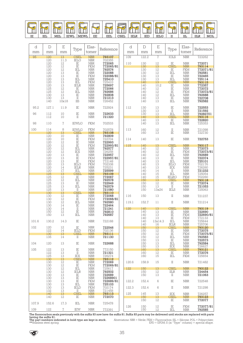| <b>MUNITED</b><br>$\sim$ | <b>MANAHAMAD</b><br>∝ | <b>COMMODATION</b><br>$\sqrt{1}$ | $\sim$<br><b>MUNITED</b><br>∼<br>$2\pi$ | <b>Canadamn</b> | <b>Cammuna</b><br>◉ | mmmmm<br>$\sim$ | <u>Immumum</u><br>Sommune<br>$\sim$<br>$\sqrt{2}$<br>w | $minimum$<br>$\sim$<br><b>A</b> | <b>mmmmmnn</b><br>$\scriptstyle\mathtt{=}$<br>è | <b>MATHEMANN</b><br>~ | <b>CONTINUISTICAL</b> | <b><i><u><b>MUNITERRA</b></u></i></b> | <b>MUNITED</b> | <b>Commonwere</b> |
|--------------------------|-----------------------|----------------------------------|-----------------------------------------|-----------------|---------------------|-----------------|--------------------------------------------------------|---------------------------------|-------------------------------------------------|-----------------------|-----------------------|---------------------------------------|----------------|-------------------|
| ΙE                       | IEL                   | MEL                              | IEWL                                    | <b>MEWL</b>     | ᇚ<br>cc             | EEL             | CCCI<br>౦ఎఓ⊥                                           | IELR                            | IED                                             | IELC                  |                       | <br>ш                                 | IILR           | MOL               |

| d     | $\mathbb D$              | $\mathbf E$                                                           |                                                                   | Elas-                                                                                                                            |                         | d     | $\mathbb D$              | $\mathbf E$                                                       |                                                                       | Elas-                                                       |                     |
|-------|--------------------------|-----------------------------------------------------------------------|-------------------------------------------------------------------|----------------------------------------------------------------------------------------------------------------------------------|-------------------------|-------|--------------------------|-------------------------------------------------------------------|-----------------------------------------------------------------------|-------------------------------------------------------------|---------------------|
| mm    | mm                       | mm                                                                    | Type                                                              | tomer                                                                                                                            | Reference               | mm    | mm                       | mm                                                                | Type                                                                  | tomer                                                       | Reference           |
| 95    | 120                      | 13                                                                    | <b>CSEL</b><br>$\operatorname{IELG}$                              | <b>NBR</b><br><b>NBR</b>                                                                                                         | 793107                  | 109   | 122.2                    | $\overline{1}$                                                    | <b>IOLS</b>                                                           | NBR                                                         | 723262              |
|       | 120<br>120               | $11.3\,$<br>$\frac{12}{12}$                                           | $\frac{\text{IE}}{\text{IE}}$                                     | $\operatorname{NBR}$                                                                                                             | 702355                  | 110   | 130                      | 12                                                                | $\rm IE$                                                              | $\operatorname{NBR}$                                        | 772071              |
|       | 120<br>$\frac{120}{120}$ |                                                                       | IEL                                                               | <b>FKM</b><br>$\operatorname*{NBR}% \nolimits_{\mathbb{C}}\left( \mathbb{Z}^{\Sigma\left( 1\right) }% ,\mathbb{C}^{\ast}\right)$ | 772065/81<br>792576     |       | 130<br>130               | 13                                                                | <b>CSEL</b><br>$\rm I\!E$                                             | <b>NBR</b><br><b>FKM</b>                                    | 793114<br>772071/81 |
|       | 120                      |                                                                       | $\frac{1}{1}$                                                     | <b>NBR</b><br><b>FKM</b>                                                                                                         | 722088<br>722088/81     |       | 130<br>130               | $\frac{12}{12}$                                                   | IEL<br>IE                                                             | <b>NBR</b><br><b>NBR</b>                                    | 792581<br>722465    |
|       | $\frac{120}{120}$        | $\begin{array}{c} 12 \\ 13 \\ 13 \\ 13 \\ 13 \\ 13 \\ 13 \end{array}$ | $\overline{\text{IEL}}$ IEL                                       | $\frac{\text{NBR}}{\text{FKM}}$                                                                                                  | 725410<br>725410        |       | $\frac{130}{140}$        | $\begin{array}{c} 13 \\ 13 \end{array}$                           | <b>IEL</b><br>CSEL                                                    | <b>NBR</b><br><b>NBR</b>                                    | 725114              |
|       | 120                      |                                                                       | <b>IELR</b>                                                       | <b>NBR</b>                                                                                                                       | 725697                  |       | 140                      | 10.2                                                              | $\rm I\!E$                                                            | $\operatorname{NBR}$                                        | 793115<br>772357    |
|       | $\frac{125}{125}$        | $\frac{12}{12}$                                                       | $\stackrel{\rm IE}{\rm IEL}$                                      | <b>NBR</b><br><b>NBR</b>                                                                                                         | 772066<br>792686        |       | $\frac{140}{140}$        | $\begin{array}{c} 12 \\ 12 \\ 12 \\ 13 \\ 13 \\ \end{array}$      | $\stackrel{\rm IE}{\rm IE}$                                           | $\frac{\text{NBR}}{\text{FKM}}$                             | 772072<br>772072/81 |
|       | 130                      | $\frac{1}{13}$                                                        | $\rm IE$                                                          | <b>NBR</b><br><b>NBR</b>                                                                                                         | 792808<br>721213        |       | 140<br>140               |                                                                   | $\operatorname{IEL}$                                                  | $\begin{array}{c} \texttt{NBR} \\ \texttt{NBR} \end{array}$ | 792688<br>722708    |
|       | $\frac{130}{140}$        | 10x18                                                                 | $\frac{\rm II}{\rm IIS}$                                          | <b>NBR</b>                                                                                                                       | 726452                  |       | 140                      |                                                                   | $\stackrel{\rm IE}{\rm IEL}$                                          | <b>NBR</b>                                                  | 792582              |
| 95.2  | 127.1                    | 11.9                                                                  | $\rm IE$                                                          | <b>NBR</b>                                                                                                                       | 722924                  | 112   | 130                      | $\substack{13 \\ 13}$                                             | $\rm IE$                                                              | <b>NBR</b>                                                  | 722553              |
| 96    | 112                      | 10                                                                    | $\rm IE$                                                          | <b>NBR</b>                                                                                                                       | 722633                  |       | 130<br>130               | 13                                                                | $\rm II$<br>IĒL                                                       | $\frac{\text{NBR}}{\text{NBR}}$                             | 721592<br>79282701  |
|       | 112                      | 10                                                                    | $\rm II$                                                          | <b>NBR</b>                                                                                                                       | 721320                  |       | 140<br>140               | 13<br>13                                                          | <b>CSEL</b><br>IE                                                     | <b>NBR</b><br><b>NBR</b>                                    | 793116<br>722820    |
| 98    | 110                      | $\sqrt{2}$                                                            | <b>IEWLG</b>                                                      | <b>FKM</b>                                                                                                                       | 702533                  |       | 140                      | 13                                                                | IEL                                                                   | <b>NBR</b>                                                  | 725353              |
| 100   | 114                      | 8<br>13                                                               | <b>IEWLG</b>                                                      | <b>FKM</b>                                                                                                                       | 702578<br>793108        | 113   | 160<br>160               | 12<br>13                                                          | $\frac{\text{II}}{\text{IE}}$                                         | <b>NBR</b><br><b>NBR</b>                                    | 721098<br>722730    |
|       | $\frac{120}{120}$<br>120 |                                                                       | CSEL<br>IE<br>IE<br>IE                                            | $\frac{\text{NBR}}{\text{NBR}}$<br><b>FKM</b>                                                                                    | 792809<br>722704        | 114   | 140                      | 13                                                                | $\rm I\!E$                                                            | <b>NBR</b>                                                  | 722753              |
|       | 120                      | 10<br>12<br>12<br>12<br>12<br>13<br>13<br>13<br>13                    | IE                                                                | <b>NBR</b>                                                                                                                       | 722993                  |       |                          |                                                                   |                                                                       |                                                             |                     |
|       | 120<br>120               |                                                                       | $\rm IE$<br>IEL                                                   | <b>FKM</b>                                                                                                                       | 722993/81<br>792577     | 115   | 140                      | 13                                                                | <b>CSEL</b>                                                           | <b>NBR</b>                                                  | 793117<br>772073    |
|       | 120                      |                                                                       | <b>IEX</b><br>$\rm IE$                                            | $\begin{array}{c} \text{NBR} \\ \text{NBR} \end{array}$<br><b>NBR</b>                                                            | 726258<br>722957        |       | $\frac{140}{140}$<br>140 | $\begin{array}{c} 12 \\ 12 \\ 12 \\ 13 \\ 13 \\ 13 \end{array}$   | $\begin{array}{l} \mathbb{E} \\ \mathbb{E} \\ \mathbb{E} \end{array}$ | $\frac{\text{NBR}}{\text{FKM}}$<br>${\rm NBR}$              | 772073/81<br>792689 |
|       | $\frac{120}{120}$        |                                                                       | $\rm IE$                                                          | <b>FKM</b>                                                                                                                       | 722957/81               |       | 140                      |                                                                   | $\rm IE$                                                              | <b>NBR</b>                                                  | 722374              |
|       | 120<br>120               |                                                                       | ΙĒ<br>$\begin{array}{l}\n\quad{IELG} \\ \text{IELR}\n\end{array}$ | <b>FKM</b><br>FKM                                                                                                                | 772148<br>702338        |       | 140<br>140               |                                                                   | IEL<br><b>IELG</b>                                                    | <b>NBR</b><br><b>FKM</b>                                    | 725101<br>702176    |
|       | $\frac{120}{120}$        | $\frac{13}{14}$                                                       | IEL                                                               | <b>NBR</b><br><b>NBR</b>                                                                                                         | 725231<br><b>725599</b> |       | $\frac{140}{140}$        | $\frac{13}{13}$<br>$\frac{14}{15}$                                | IEX<br>П                                                              | NBR<br>NBR                                                  | 726260<br>721232    |
|       | 125                      | $\overline{13}$                                                       | <b>CSEL</b>                                                       | <b>NBR</b>                                                                                                                       | 793109                  |       | 140                      |                                                                   | $\operatorname{IEL}$                                                  | <b>NBR</b>                                                  | 725054              |
|       | $\frac{125}{125}$        | $^{12}_{12}$                                                          | $\rm IE$<br>IEL                                                   | <b>NBR</b><br><b>NBR</b>                                                                                                         | 772067<br>792578        |       | $\frac{140}{150}$        | 15<br>13                                                          | <b>IELRG</b><br><b>CSEL</b>                                           | <b>FKM</b><br><b>NBR</b>                                    | 702260<br>793118    |
|       | 125<br>$\frac{125}{125}$ | 13                                                                    | $\rm IE$<br>IEL                                                   | <b>NBR</b>                                                                                                                       | 722949<br>792579        |       | 150                      | 12<br>$\frac{13}{13}$ x24                                         | $_{\rm IE}$                                                           | <b>NBR</b>                                                  | 772074<br>721053    |
|       | 130                      | $\frac{13}{13}$                                                       | $_{\rm II}$<br>CSEL                                               | $\frac{\text{NBR}}{\text{NBR}}$<br><b>NBR</b>                                                                                    | 721080<br>793110        |       | $\frac{150}{150}$        |                                                                   | $\frac{\overline{\text{II}}}{\text{IELS}}$                            | $\frac{\text{NBR}}{\text{NBR}}$                             | 725063              |
|       | 130<br>130               | 12<br>$\overline{12}$                                                 | IE<br>$\rm IE$                                                    | <b>NBR</b><br><b>FKM</b>                                                                                                         | 772068<br>772068/81     | 116   | 150                      | 13                                                                | $\rm II$                                                              | <b>NBR</b>                                                  | 721237              |
|       | 130                      | $12\,$                                                                | IEL                                                               | <b>NBR</b>                                                                                                                       | 792580                  | 119.1 | 152.7                    | 11                                                                | $\rm{II}$                                                             | $\operatorname{NBR}$                                        | 721214              |
|       | 130                      | $\overline{14}$                                                       | IE                                                                | <b>NBR</b><br><b>NBR</b>                                                                                                         | 722464<br>721241        | 120   | 140                      | 13                                                                | <b>CSEL</b>                                                           | <b>NBR</b>                                                  | 793119              |
|       | $\frac{130}{150}$<br>150 | $\frac{14}{12}$<br>13                                                 | $\frac{\text{II}}{\text{IE}}$<br>IEL                              | <b>NBR</b><br>$\operatorname{NBR}$                                                                                               | 792810<br>792687        |       | 140<br>140               | 13                                                                | $\rm IE$<br>IE                                                        | <b>NBR</b><br><b>FKM</b>                                    | 722690<br>722690/81 |
|       |                          |                                                                       |                                                                   |                                                                                                                                  |                         |       | 140                      | $\begin{array}{c} 13 \\ 13 \\ 13 \\ 13 \text{x} 14.3 \end{array}$ | IE                                                                    | <b>FKM</b>                                                  | 772133              |
| 101.6 | 130.2                    | 14.3                                                                  | IE                                                                | <b>NBR</b>                                                                                                                       | 722168                  |       | 140<br>140               | 16                                                                | IEL<br>IELR                                                           | <b>NBR</b><br><b>NBR</b>                                    | 725644<br>725706    |
| 102   | 120<br>122               | 12<br>14                                                              | IE<br>IELD                                                        | <b>NBR</b><br><b>FKM</b>                                                                                                         | 722546<br>702136        |       | 150<br>150               | 13<br>12                                                          | <b>CSEL</b><br>IE                                                     | <b>NBR</b><br><b>NBR</b>                                    | 793120<br>772075    |
|       | 130<br>135               | 13<br>14                                                              | <b>CSEL</b><br>$\rm II$                                           | <b>NBR</b><br><b>NBR</b>                                                                                                         | 793111<br>721130        |       | 150<br>150               | 12<br>12                                                          | $\rm IE$<br>IEL                                                       | <b>FKM</b><br>$\operatorname{NBR}$                          | 772075/81<br>792583 |
|       |                          |                                                                       |                                                                   |                                                                                                                                  |                         |       | 150                      | 13                                                                | IE                                                                    | <b>NBR</b>                                                  | 722573              |
| 104   | 120                      | 13                                                                    | $\rm I\!E$                                                        | <b>NBR</b>                                                                                                                       | 722688                  |       | 150<br>150               | 13<br>13                                                          | IEL<br>IEX                                                            | <b>NBR</b><br><b>NBR</b>                                    | 792584<br>726627    |
| 105   | 122<br>122               | 13<br>13                                                              | IE<br>$\rm II$                                                    | <b>NBR</b><br><b>NBR</b>                                                                                                         | 772150<br>721321        |       | 160<br>160               | 13<br>12                                                          | <b>CSEL</b><br>$\rm I\!E$                                             | <b>NBR</b><br><b>NBR</b>                                    | 793121<br>772076    |
|       | 125<br>130               | 13<br>13                                                              | IEX<br><b>CSEL</b>                                                | <b>NBR</b><br><b>NBR</b>                                                                                                         | 726274<br>793112        |       | 160                      | 15                                                                | IEL                                                                   | FKM                                                         | 725654              |
|       | $\frac{130}{130}$        | $^{12}_{12}$                                                          | $\stackrel{\rm IE}{\rm IE}$                                       | $\frac{\text{NBR}}{\text{FKM}}$                                                                                                  | 772069<br>772069/81     | 120.6 | 158.9                    | 15                                                                | $\rm II$                                                              | <b>NBR</b>                                                  | 721482              |
|       | 130                      | 12                                                                    | IEL                                                               | <b>NBR</b>                                                                                                                       | 725617                  | 122   | 150                      | 13                                                                | <b>CSEL</b>                                                           | <b>NBR</b>                                                  | 793122              |
|       | 130<br>130               | $12\,$<br>13                                                          | IELR<br>$\rm I\!E$                                                | <b>NBR</b><br><b>NBR</b>                                                                                                         | 792502<br>722689        |       | 150<br>150               | 12<br>13                                                          | <b>IILR</b><br>$\rm II$                                               | <b>NBR</b><br><b>NBR</b>                                    | 724454<br>721063    |
|       | 130<br>130               | 13<br>13                                                              | $\rm I\!E$<br>$\rm I\!E$                                          | <b>NBR</b><br>FKM                                                                                                                | 72268901<br>722689/81   | 122.2 | 152.4                    | 6                                                                 | $_{\rm IE}$                                                           | <b>NBR</b>                                                  | 722548              |
|       | 130<br>130               | 13<br>13                                                              | IEL<br>IELD                                                       | <b>NBR</b><br><b>FKM</b>                                                                                                         | 725103<br>702174        | 122.3 | 152.4                    |                                                                   | $\rm II$                                                              |                                                             |                     |
|       | 132                      | 13                                                                    | П                                                                 | <b>NBR</b>                                                                                                                       | 721458                  |       |                          | 6                                                                 |                                                                       | <b>NBR</b>                                                  | 721298              |
|       | 140<br>140               | 13<br>12                                                              | <b>CSEL</b><br>$\rm I\!E$                                         | <b>NBR</b><br><b>NBR</b>                                                                                                         | 793113<br>772070        | 125   | 145<br>150               | 13<br>13                                                          | IEX<br><b>CSEL</b>                                                    | <b>NBR</b><br><b>NBR</b>                                    | 726257<br>793123    |
| 107.9 | 152.6                    | 17.3                                                                  | IEL                                                               | <b>NBR</b>                                                                                                                       | 725478                  |       | 150                      | 12                                                                | IE                                                                    | <b>NBR</b>                                                  | 772077              |
|       |                          |                                                                       |                                                                   |                                                                                                                                  |                         | 126   | 150                      | 12                                                                | IE                                                                    | <b>FKM</b>                                                  | 772077/81           |
| 109   | 122                      | $\sqrt{ }$                                                            | IEW                                                               | <b>NBR</b>                                                                                                                       | 772391                  |       | 150                      | 12                                                                | IEL                                                                   | <b>NBR</b>                                                  | 792585              |

The fluorocarbon seals previously with the suffix 83 now have the suffix 81. Suffix 83 parts may be delivered until stocks are replaced with parts<br>having the suffix 81. Suffix 83 parts may be delivered until stocks are rep

![](_page_34_Picture_3.jpeg)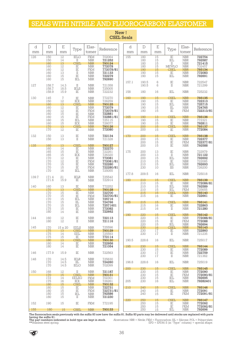## SEALS WITH NITRILE AND FLUOROCARBON ELASTOMER

| d<br>mm    | $\mathbb D$<br>mm                             | $\mathbf E$<br>mm                                   | Type                                                 | Elas-<br>tomer                                                                          | Reference                                                                | d<br>mm    | $\mathbb D$<br>mm                      | E<br>mm                          | Type                                         | Elas-<br>tomer                                                                   | Reference                                                |
|------------|-----------------------------------------------|-----------------------------------------------------|------------------------------------------------------|-----------------------------------------------------------------------------------------|--------------------------------------------------------------------------|------------|----------------------------------------|----------------------------------|----------------------------------------------|----------------------------------------------------------------------------------|----------------------------------------------------------|
| 126        | 150<br>150<br>160                             | 12<br>14<br>13                                      | <b>IELG</b><br>П<br><b>CSEL</b>                      | <b>FKM</b><br><b>NBR</b><br><b>NBR</b>                                                  | 702064<br>721252<br>793124                                               | 155        | 180<br>180<br>180                      | 15<br>15<br>15                   | IE<br>IEL<br>$_{\rm II}$                     | <b>NBR</b><br><b>NBR</b><br><b>NBR</b>                                           | 722754<br>792587<br>721415                               |
|            | 160<br>160<br>160<br>160                      | 12<br>12<br>13<br>15                                | IE<br>$\rm I\!E$<br>$\rm II$<br>IE                   | <b>NBR</b><br><b>FKM</b><br><b>NBR</b><br><b>NBR</b>                                    | 772078<br>772078/81<br>721133<br>722279                                  |            | 180<br>190<br>190<br>190               | 15<br>15<br>15<br>15             | <b>MEWLG</b><br><b>CSEL</b><br>IE<br>IEL     | <b>NBR</b><br><b>NBR</b><br><b>NBR</b><br><b>NBR</b>                             | 702457<br>793134<br>772083<br>792691                     |
| 127        | 160<br>158.7<br>158.7                         | 15<br>14.3<br>18.5                                  | IEL<br>$_{\rm II}$<br>IELS                           | <b>NBR</b><br><b>NBR</b><br><b>NBR</b>                                                  | 792690<br>721358<br>725005                                               | 157.1      | 190.5<br>190.5                         | $\,6$<br>6                       | IE<br>$\mathcal{I}$                          | <b>NBR</b><br><b>NBR</b>                                                         | 722547<br>721299                                         |
|            | 158.9                                         | 15.9                                                | IE                                                   | <b>NBR</b>                                                                              | 722232                                                                   | 158        | 180                                    | 16                               | IEL                                          | <b>NBR</b>                                                                       | 725232                                                   |
| 130        | 145<br>150<br>160<br>160<br>160               | $\overline{1}$<br>12<br>13<br>12<br>$\overline{12}$ | IE<br>IEX<br><b>CSEL</b><br>$\rm I\!E$<br>$\rm I\!E$ | <b>NBR</b><br><b>NBR</b><br><b>NBR</b><br><b>NBR</b><br><b>FKM</b>                      | 772270<br>726259<br>793125<br>772079<br>772079/81                        | 160        | 190<br>190<br>190<br>190<br>190        | 15<br>15<br>15<br>15<br>15       | CSEL<br>IE<br>IEL<br>$\rm{III}$<br>IE        | NBR<br><b>NBR</b><br><b>NBR</b><br><b>NBR</b><br><b>FKM</b>                      | 793135<br>722313<br>725715<br>724765<br>722313/81        |
|            | 160<br>160<br>160<br>160                      | 15<br>15<br>15<br>15                                | ΪĒ<br>$\rm I\!E$<br>IEL<br>IEX                       | <b>NBR</b><br><b>FKM</b><br><b>NBR</b><br><b>NBR</b>                                    | 722881<br>722881/81<br>725115<br>726077                                  | 165        | 190<br>190<br>190                      | 13<br>15<br>15                   | <b>CSEL</b><br>IE<br>IE                      | NBR<br><b>NBR</b><br><b>NBR</b>                                                  | <b>793136</b><br>772321<br>792811                        |
|            | 170<br>170                                    | 13<br>12                                            | <b>CSEL</b><br>IE                                    | <b>NBR</b><br><b>NBR</b>                                                                | 793126<br>772080                                                         |            | 200<br>200                             | 15<br>15                         | <b>CSEL</b><br>IE                            | NBR<br><b>NBR</b>                                                                | 793137<br>772084                                         |
| 132<br>135 | 150<br>150<br>160                             | 13<br>13<br>13                                      | IE<br>$\mathcal{I}$<br><b>CSEL</b>                   | <b>NBR</b><br><b>NBR</b><br><b>NBR</b>                                                  | 722134<br>721328<br>793127                                               | 170        | 200<br>200<br>200<br>200               | 15<br>15<br>15<br>15             | <b>CSEL</b><br>IE<br>IE<br>IE                | NBR<br><b>NBR</b><br><b>FKM</b><br>$\operatorname{NBR}$                          | 793138<br>722377<br>722377/81<br>792588                  |
|            | 160<br>165<br>165<br>170<br>170<br>170<br>170 | 14<br>15<br>15<br>12<br>12<br>15<br>15              | IE<br>ΪĒ<br>IEX<br>IE<br>IE<br>IE<br>IE              | <b>NBR</b><br><b>NBR</b><br><b>NBR</b><br><b>NBR</b><br><b>FKM</b><br><b>NBR</b><br>FKM | 722270<br>722261<br>726320<br>772081<br>772081/81<br>722280<br>722280/81 | 175        | 200<br>200<br>200<br>210<br>210<br>230 | 13<br>13<br>15<br>15<br>15<br>10 | IE<br>$_{\rm II}$<br>IEL<br>IE<br>IEL<br>IIS | <b>NBR</b><br><b>NBR</b><br><b>NBR</b><br><b>NBR</b><br><b>NBR</b><br><b>NBR</b> | 722979<br>721122<br>792692<br>722085<br>792693<br>726200 |
| 139.7      | 170<br>171.4                                  | 16<br>21                                            | IEL<br><b>IELR</b>                                   | <b>NBR</b><br><b>NBR</b>                                                                | 725055<br>725542                                                         | 177.8      | 209.5                                  | 16                               | IEL                                          | <b>NBR</b>                                                                       | 725018                                                   |
| 140        | 171.6<br>160<br>170                           | 15.9<br>13<br>13                                    | IE<br>IE<br><b>CSEL</b>                              | <b>NBR</b><br><b>NBR</b><br><b>NBR</b>                                                  | 722914<br>772252<br>793128                                               | 180        | 210<br>210<br>210<br>210               | 15<br>15<br>15<br>15             | <b>CSEL</b><br>$\rm IE$<br>IEL<br>IEL        | <b>NBR</b><br><b>NBR</b><br><b>NBR</b><br><b>FKM</b>                             | 793139<br>772086/81<br>792589<br>725655                  |
|            | 170<br>170                                    | 15<br>15                                            | IE<br>$\rm I\!E$                                     | <b>NBR</b><br><b>FKM</b>                                                                | 722700<br>722700/81                                                      |            | 215<br>215                             | 15<br>16                         | <b>CSEL</b><br>IE                            | <b>NBR</b><br><b>NBR</b>                                                         | 793140<br>722661                                         |
|            | 170<br>170<br>170<br>175<br>180               | 15<br>15<br>15<br>15<br>14                          | IEL<br>IIL<br>IEL<br>IE<br>IE                        | <b>NBR</b><br><b>NBR</b><br><b>NBR</b><br><b>NBR</b><br><b>NBR</b>                      | 725716<br>724766<br>72571601<br>772082<br>722662                         | 185        | 215<br>215<br>215                      | 15<br>16<br>16                   | <b>CSEL</b><br>IE<br>$\rm II$                | NBR<br><b>NBR</b><br><b>NBR</b>                                                  | 793141<br>722863<br>721280                               |
| 144        | 160<br>180                                    | 12<br>12                                            | IE<br>П                                              | <b>NBR</b><br><b>NBR</b>                                                                | 722113<br>721116                                                         | 190        | 220<br>220<br>220<br>220               | 15<br>15<br>15<br>15             | <b>CSEL</b><br>IE<br>ΙE<br>IEL               | <b>NBR</b><br><b>NBR</b><br><b>FKM</b><br><b>NBR</b>                             | 793142<br>772088/81<br>772088<br>792694                  |
| 145        | 170<br>175<br>175                             | 15 x 20<br>13<br>14                                 | <b>EELS</b><br><b>CSEL</b><br>EEL                    | <b>NBR</b><br><b>NBR</b><br><b>NBR</b>                                                  | 725596<br>793129<br>725593                                               |            | 230<br>230<br>230                      | 16<br>17<br>$17\,$               | <b>CSEL</b><br>$\rm IE$<br>$\rm II$          | <b>NBR</b><br><b>NBR</b><br><b>NBR</b>                                           | 793143<br>722860<br>721235                               |
|            | 175<br>180                                    | 15<br>13                                            | $\rm I\!E$<br>CSEL                                   | <b>NBR</b><br><b>NBR</b>                                                                | 772114<br>793130                                                         | 190.5      | 228.6                                  | 16                               | IEL                                          | <b>NBR</b>                                                                       | 725017                                                   |
|            | 180<br>180                                    | 14<br>14                                            | $_{\rm IE}$<br>IE                                    | <b>NBR</b><br><b>NBR</b>                                                                | 722956<br>721054                                                         | 195        | 230<br>230                             | 15<br>15                         | <b>CSEL</b><br>IE                            | NBR<br><b>NBR</b>                                                                | 793144<br>772089                                         |
| 146        | 177.9                                         | 15.9                                                | IE                                                   | <b>NBR</b>                                                                              | 722563                                                                   |            | 230<br>230                             | $17\,$<br>17                     | $_{\rm IE}$<br>$_{\rm II}$                   | $\operatorname{NBR}$<br><b>NBR</b>                                               | 722759<br>721362                                         |
| 148        | 170<br>170<br>170                             | 14.5<br>14.5<br>14.5                                | <b>IELR</b><br>Ш<br><b>IELG</b>                      | <b>NBR</b><br><b>NBR</b><br><b>NBR</b>                                                  | 725630<br>724260<br>702099                                               | 196.8      | 228.6                                  | 16                               | IEL                                          | <b>NBR</b>                                                                       | 725019                                                   |
| 150        | 168<br>170<br>172                             | 12<br>15<br>14                                      | $\rm II$<br><b>CSEL</b><br>EELSG                     | <b>NBR</b><br><b>NBR</b><br>FKM                                                         | 721187<br>793131<br>702301                                               | 200        | 230<br>230<br>230<br>230               | 15<br>15<br>15<br>15             | <b>CSEL</b><br>IE<br>$\rm IE$<br>IEL         | <b>NBR</b><br><b>NBR</b><br><b>FKM</b><br>$\operatorname{NBR}$                   | 793145<br>772090<br>772090/81<br>792695                  |
|            | 175<br>180<br>180                             | 16<br>15<br>15                                      | IEX<br><b>CSEL</b><br>$_{\rm IE}$                    | <b>NBR</b><br><b>NBR</b><br><b>NBR</b>                                                  | 726261<br>793132<br>722731                                               | 205<br>210 | 230<br>240                             | 16<br>15                         | IEL<br>CSEL                                  | $\operatorname{NBR}$<br><b>NBR</b>                                               | 79282401<br>793146                                       |
|            | 180<br>180<br>180                             | 15<br>15<br>$15\,$                                  | $\rm I\!E$<br>IEL<br>П                               | <b>FKM</b><br><b>NBR</b><br><b>NBR</b>                                                  | 722731/81<br>792586<br>721230                                            |            | 240<br>240                             | 15<br>15                         | $_{\rm IE}$<br>IE                            | $\operatorname{NBR}$<br><b>FKM</b>                                               | 772091<br>772091/81                                      |
| 152        | 190                                           | 15                                                  | IE                                                   | <b>FKM</b>                                                                              | 772195                                                                   | 220        | 250<br>250<br>250                      | 15<br>15<br>15                   | <b>CSEL</b><br>IE<br>IE                      | <b>NBR</b><br><b>NBR</b><br><b>FKM</b>                                           | 793147<br>772092<br>772092/81                            |
| 155        | 180                                           | 15                                                  | <b>CSEL</b>                                          | <b>NBR</b>                                                                              | 793133                                                                   |            | 250                                    | 15                               | IEL                                          | NBR                                                                              | 792696                                                   |

#### New ! CSEL Seals

The fluorocarbon seals previously with the suffix 83 now have the suffix 81. Suffix 83 parts may be delivered until stocks are replaced with parts<br>having the suffix 81. Suffix 83 parts may be delivered until stocks are rep

![](_page_35_Picture_4.jpeg)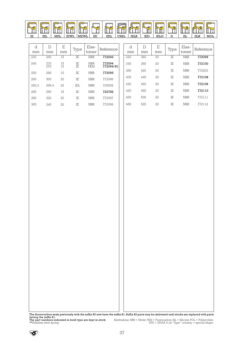![](_page_36_Picture_0.jpeg)

| d     | D          | E        | Type     | Elas-             | Reference           | d   |
|-------|------------|----------|----------|-------------------|---------------------|-----|
| mm    | mm         | mm       |          | tomer             |                     | mr  |
| 230   | 260        | 15       | IF.      | <b>NBR</b>        | 772093              | 320 |
| 240   | 270<br>270 | 15<br>15 | ΙE<br>ΙE | <b>NBR</b><br>FKM | 772094<br>772094/81 | 340 |
| 250   | 280        | 15       | IE.      | <b>NBR</b>        | 772095              | 380 |
| 260   | 300        | 20       | IF.      | <b>NBR</b>        | 772096              | 400 |
| 260.3 | 298.4      | 22       | IEI.     | <b>NBR</b>        | 725009              | 420 |
| 265   | 290        | 16       | IF.      | <b>NBR</b>        | 722782              | 440 |
| 280   | 320        | 20       | ΙE       | <b>NBR</b>        | 772097              | 460 |
| 300   | 340        | 20       | IF.      | <b>NBR</b>        | 772098              | 480 |

| d   | D   | E  | Type | Elas-      | Reference |
|-----|-----|----|------|------------|-----------|
| mm  | mm  | mm |      | tomer      |           |
| 320 | 360 | 20 | IF.  | <b>NBR</b> | 772099    |
| 340 | 380 | 20 | IF.  | <b>NBR</b> | 772100    |
| 380 | 420 | 20 | IF.  | <b>NBR</b> | 772203    |
| 400 | 440 | 20 | IE.  | <b>NBR</b> | 772108    |
| 420 | 460 | 20 | IF.  | <b>NBR</b> | 772109    |
| 440 | 480 | 20 | IE.  | <b>NBR</b> | 772110    |
| 460 | 500 | 20 | IF.  | <b>NBR</b> | 772111    |
| 480 | 520 | 20 | IF.  | <b>NBR</b> | 772112    |

|                                                                                     | The fluorocarbon seals previously with the suffix 83 now have the suffix 81. Suffix 83 parts may be delivered until stocks are replaced with parts |
|-------------------------------------------------------------------------------------|----------------------------------------------------------------------------------------------------------------------------------------------------|
| having the suffix 81.<br>The part numbers indicated in bold type are kept in stock. |                                                                                                                                                    |
|                                                                                     | Abreviations: $NBR = Nitrile$ ; $FKM = Fluorocarbon$ ; $SIL = Silicone$ ; $POL = Polyacrylate$ ;                                                   |
| **Stainless steel spring.                                                           | $EPD = EPDM$ ; S (in "Type" column) = special shape.                                                                                               |

 $\circledast$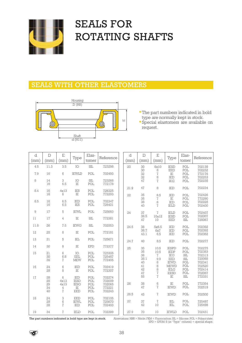![](_page_37_Picture_0.jpeg)

## SEALS FOR ROTATING SHAFTS

#### SEALS WITH OTHER ELASTOMERS

![](_page_37_Figure_3.jpeg)

- The part numbers indicated in bold type are normally kept in stock.
- Special elastomers are available on request.

| d<br>(mm) | $\mathbb{D}$<br>(mm) | E<br>(mm)                | Type                             | Elas-<br>tomer       | Reference                  | d<br>(mm) | $\mathbb{D}$<br>(mm)   | E<br>(mm)                | Type                                                   | Elas-<br>tomer                                     | Reference                            |
|-----------|----------------------|--------------------------|----------------------------------|----------------------|----------------------------|-----------|------------------------|--------------------------|--------------------------------------------------------|----------------------------------------------------|--------------------------------------|
| 4.5       | 11.3                 | 3.5                      | IO                               | SIL                  | 723298                     | 20        | 30<br>30               | 6x10<br>$\,8\,$          | <b>IESD</b><br><b>EED</b>                              | POL<br>POL                                         | 702139<br>702232                     |
| 7.9       | 16                   | 6                        | <b>IEWLD</b>                     | POL                  | 702493                     |           | 32                     | $\sqrt{7}$               | $\rm IE$                                               | POL                                                | 772176                               |
| 8         | 14<br>16             | 3<br>6.5                 | IO<br>IE                         | $\text{SIL}$<br>POL  | 723268<br>772178           |           | 32<br>47               | 8<br>$\overline{7}$      | IED<br><b>IEG</b>                                      | POL<br>POL                                         | 702253<br>702235                     |
| 8.4       | 16                   | 4x13                     | <b>IES</b>                       | POL                  | 726325                     | 21.9      | 47                     | 8                        | IED                                                    | POL                                                | 702234                               |
|           | 16                   | 6                        | IE                               | POL                  | 772293                     | 22        | 35<br>35               | 6.5<br>7                 | IED<br>IE                                              | POL<br>POL                                         | 702426<br>772290                     |
| 8.5       | 16<br>16             | 6.5<br>6.5               | IED<br><b>IES</b>                | POL<br>POL           | 702347<br>726421           |           | 38<br>40               | 8<br>$\overline{7}$      | IED<br><b>IELD</b>                                     | POL<br>POL                                         | 702228<br>702400                     |
| 9         | 17                   | 5                        | <b>IEWL</b>                      | POL                  | 725683                     | 24        | 37                     | $\overline{1}$           | <b>IELD</b>                                            | POL                                                | 702407                               |
| 11        | 17                   | 4                        | $\rm I\!E$                       | <b>SIL</b>           | 772381                     |           | 38.5<br>47             | 10x12<br>10              | <b>IESD</b><br><b>EED</b>                              | POL<br>$\text{SIL}$                                | 702007<br>720067                     |
| 11.8      | 26                   | 7.5                      | <b>IEWG</b>                      | $\operatorname{SIL}$ | 702553                     | 24.5      | 38                     | 5x6.5                    | IED                                                    | POL                                                | 702392                               |
| 12        | 25                   | 8                        | IE                               | POL                  | 772181                     |           | 38.7<br>43.1           | 6x7<br>6.5               | IED<br>IED                                             | POL<br>POL                                         | 702392<br>702382                     |
| 13        | 21                   | 5                        | IEL                              | POL                  | 725671                     | 24.7      | 40                     | 8.5                      | IED                                                    | POL                                                | 702277                               |
| 14        | 30                   | 8                        | IE                               | <b>EPD</b>           | 772377                     | 25        | 35                     | 10.5                     | <b>IESPD</b>                                           | POL                                                | 702275                               |
| 15        | 21<br>30<br>35       | 6<br>6.8<br>7            | IO<br>EEL<br><b>MEW</b>          | POL<br>POL<br>POL    | 723305<br>725487<br>772405 |           | 35<br>36<br>38.1<br>40 | 10.5<br>7<br>9.9<br>8    | <b>IEDP</b><br><b>IEG</b><br><b>EED</b><br><b>IEWD</b> | POL<br>$\operatorname{SIL}$<br>$\text{SIL}$<br>POL | 702383<br>702313<br>720068<br>702341 |
| 16        | 24<br>28             | 6<br>8                   | IED<br>IE                        | POL<br>POL           | 702419<br>772307           |           | 41<br>42<br>47         | 8<br>8<br>$\overline{1}$ | <b>MEWD</b><br><b>IELG</b><br><b>EESD</b>              | POL<br>POL<br>POL                                  | 702520<br>702414<br>702087           |
| 17        | 28                   | 6                        | IED                              | POL                  | 702274                     |           | 55                     | $\overline{1}$           | IE                                                     | $\text{SIL}$                                       | 772331                               |
|           | 28<br>29<br>34       | 4x13<br>4x13<br>4        | <b>IESD</b><br><b>IESG</b><br>IE | POL<br>POL<br>POL    | 702009<br>702065<br>772221 | 26        | 38<br>47               | 6<br>$\overline{7}$      | $_{\rm IE}$<br><b>IEWD</b>                             | POL<br>POL                                         | 772354<br>702519                     |
|           | 40                   | $\overline{7}$           | <b>EED</b>                       | POL                  | 702243                     | 26.5      | 45                     | $\overline{7}$           | <b>IEWD</b>                                            | POL                                                | 702500                               |
| 18        | 24<br>28<br>28       | 3<br>6<br>$\overline{1}$ | <b>EED</b><br><b>IEWL</b><br>IED | POL<br>POL<br>POL    | 702105<br>725670<br>702403 | 27        | 37<br>42               | $\overline{1}$<br>10     | IEL<br>IEL                                             | POL<br>POL                                         | 725497<br>725498                     |
| 19        | 34                   | $\overline{7}$           | <b>IELD</b>                      | POL                  | 702399                     | 27.9      | 70                     | 10                       | <b>IEWLD</b>                                           | POL                                                | 702431                               |

The part numbers indicated in bold type are kept in stock. Abreviations: NBR = Nitrile; FKM = Fluorocarbon; SIL = Silicone; POL = Polyacrylate; EPD = EPDM; S (in "Type" column) = special shape.

 $\left\langle \sigma \right\rangle$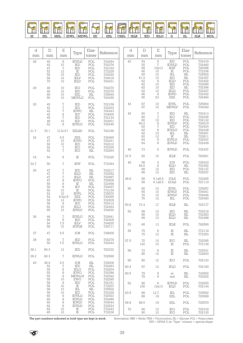![](_page_38_Picture_0.jpeg)

| d<br>mm    | D<br>mm                                | E<br>mm                                                | Type                                                           | Elas-<br>tomer                                     | Reference                                                          | d<br>mm | $\mathbb D$<br>mm                                   | E<br>mm                                                                                 | Type                                                                         | Elas-<br>tomer                                                                                            | Reference                                                                    |
|------------|----------------------------------------|--------------------------------------------------------|----------------------------------------------------------------|----------------------------------------------------|--------------------------------------------------------------------|---------|-----------------------------------------------------|-----------------------------------------------------------------------------------------|------------------------------------------------------------------------------|-----------------------------------------------------------------------------------------------------------|------------------------------------------------------------------------------|
| 28         | 40<br>42<br>47<br>52<br>56<br>56<br>70 | $\,8\,$<br>10<br>$\sqrt{7}$<br>12<br>10<br>10<br>10    | <b>IEWLD</b><br>IED<br>IED<br>IE<br>IED<br><b>IELV</b><br>IELD | POL<br>POL<br>POL<br>POL<br>POL<br>POL<br>POL      | 702494<br>702376<br>702192<br>772229<br>702420<br>704016<br>702431 | 42      | 54<br>55<br>58<br>$60\atop 60$<br>$61.9$ $62$<br>62 | $\,8\,$<br>$\overline{7}$<br>10x13<br>$\substack{10\\10}$<br>10<br>$\overline{8}$<br>10 | IED<br><b>IEWLD</b><br><b>IESF</b><br>IE<br>IEL<br>IED<br><b>IELD</b><br>IED | $\mathop{\rm POL}\nolimits$<br>POL<br>POL<br>$_{\rm SIL}^{\rm POL}$<br>$\operatorname{SIL}$<br>POL<br>POL | 702418<br>702492<br>726396<br>772336<br>725500<br>T02357<br>T02402<br>702085 |
| 29         | 46<br>46<br>50<br>50                   | 10<br>10<br>10<br>10                                   | IEG<br>IED<br>EEL<br><b>MEWLG</b>                              | POL<br>POL<br>$\operatorname{SIL}$<br>POL          | 702270<br>702375<br>725640<br>702455                               |         | 62<br>62<br>66<br>66                                | 10<br>$\overline{12}$<br>$\,8\,$<br>23                                                  | IED<br><b>IELD</b><br><b>IEWD</b><br>EES                                     | $\rm SII$<br>POL<br>POL<br>POL                                                                            | T02396<br>T02227<br>T02432<br>T26484                                         |
| 30         | 40<br>42                               | $\sqrt{7}$<br>$\sqrt{2}$                               | IED<br>IED                                                     | POL<br>POL                                         | 702158<br>702203<br>702443                                         | 44      | 67<br>67                                            | 10<br>10                                                                                | IEWL<br><b>MEWLV</b>                                                         | POL<br>POL                                                                                                | 725664<br>704040                                                             |
|            | 42<br>$42\,$<br>45<br>48<br>52         | $\overline{\mathcal{I}}$<br>8<br>$\sqrt{ }$<br>10<br>8 | <b>IEWD</b><br>IEV<br>IED<br>IED<br><b>IEWLG</b>               | SIL<br>POL<br>POL<br>POL<br>POL                    | 704000<br>702124<br>702201<br>702445                               | 45      | 50<br>60<br>60<br>60.2<br>62                        | $\sqrt{ }$<br>$\sqrt{ }$<br>$1\overline{0}$<br>$\frac{8}{7}$                            | IED<br>IEG<br>IED<br><b>IEWLV</b><br>IED                                     | $\operatorname{SIL}$<br>POL<br>POL<br>POL<br>POL                                                          | 702413<br>702036<br>702132<br>704019<br>702424                               |
| 31.7       | 76.1                                   | 12.7x15.7                                              | <b>EELSD</b>                                                   | POL                                                | 702199                                                             |         | $62$<br>$62$                                        | $\bar{8}$<br>$10\,$                                                                     | <b>IEWLG</b><br>$\operatorname{IEL}$                                         | POL<br>$\operatorname{SIL}$                                                                               | 702438<br>725491                                                             |
| 32         | $47\,$<br>47<br>50                     | 9.5<br>10<br>$10$                                      | EES<br><b>IEWD</b><br>IED                                      | POL<br>POL<br>POL                                  | 726465<br>702241<br>702212                                         |         | 62<br>64<br>64                                      | $\frac{12}{8}$<br>8                                                                     | $\rm I\!E$<br><b>IEWLG</b><br><b>IEWLD</b>                                   | $\rm SII$<br>POL<br>POL                                                                                   | 722811<br>702547<br>702439                                                   |
|            | 52<br>52                               | $\sqrt{ }$<br>$\sqrt{2}$                               | IEG<br>IEG                                                     | POL<br>$\text{SIL}$                                | 702300<br>702294                                                   | 46      | 73                                                  | $\hbox{ }9$                                                                             | <b>IEWLD</b>                                                                 | POL                                                                                                       | 702437                                                                       |
| 34         | 54                                     | $\hbox{\large\it{9}}$                                  | $\rm IE$                                                       | POL                                                | 772325                                                             | 47.5    | 65                                                  | 10                                                                                      | <b>IELR</b>                                                                  | POL                                                                                                       | 792591                                                                       |
| 34.7       | 50                                     | $\sqrt{2}$                                             | <b>IEW</b>                                                     | POL                                                | 772394                                                             | 48      | 58<br>66.6<br>68                                    | $\overline{4}$<br>$\,8\,$<br>12                                                         | IOS<br>IELD<br>IED                                                           | POL<br>$\rm SIL$<br>POL                                                                                   | 726433<br>702302<br>702137                                                   |
| 35         | $47\,$<br>$47\,$<br>47                 | $\sqrt{2}$<br>$\sqrt{ }$<br>$\sqrt{7}$                 | IED<br>IELD<br><b>IELD</b>                                     | $\operatorname{SIL}$<br>SL<br>$\operatorname{SIL}$ | 702217<br>702282<br>702487                                         |         | 68                                                  | 12                                                                                      | IED                                                                          | SL                                                                                                        | 702037                                                                       |
|            | $47\,$<br>50                           | 8<br>8                                                 | <b>IEWG</b><br>$_{\rm IE}$                                     | POL<br>$\text{SIL}$                                | 702608<br>722456                                                   | 48.8    | 58<br>58                                            | 6.1x8.5<br>6.1x8.5                                                                      | <b>IOLS</b><br><b>EOLS</b>                                                   | POL<br>POL                                                                                                | 723265<br>727110                                                             |
|            | 50<br>50<br>52<br>54<br>55             | $\,8\,$<br>10<br>10<br>9.5x15<br>12                    | <b>IEV</b><br>$_{\rm IE}$<br><b>IEWL</b><br>EES<br><b>IEWD</b> | POL<br>POL<br>POL<br>POL<br>POL                    | 704027<br>772129<br>725675<br>720055<br>702205                     | 50      | 65<br>65<br>76<br>76                                | 10<br>10<br>10<br>12                                                                    | <b>IEWL</b><br><b>IEWLV</b><br><b>IEWLV</b><br>IEL                           | POL<br>POL<br>POL<br>POL                                                                                  | 725657<br>704041<br>704046<br>725493                                         |
|            | 58<br>62                               | $\,8\,$<br>10                                          | IED<br>IELG                                                    | POL<br>POL                                         | 702412<br>702464                                                   | 50.8    | 73.4                                                | 17                                                                                      | <b>IELR</b>                                                                  | $\text{SIL}$                                                                                              | 725177                                                                       |
| 36         | 65<br>46<br>50                         | 10<br>$\sqrt{7}$<br>$\,8\,$                            | <b>IEWLV</b><br><b>IEWLG</b><br>$\mathop{\mathit{IED}}$        | POL<br>POL<br>POL                                  | 704030<br>702641<br>702405                                         | 52      | 68<br>68<br>68                                      | 10<br>10<br>10                                                                          | IED<br>IELD<br><b>IELD</b>                                                   | $\frac{\rm SIL}{\rm SIL}$<br>SIL                                                                          | 702218<br>702283<br>702488                                                   |
|            | 54<br>58                               | 7.5<br>10                                              | $\text{IELV}$<br><b>IEWLR</b>                                  | POL<br>POL                                         | 704025<br>725711                                                   | 53      | 68                                                  | 13                                                                                      | <b>IELR</b>                                                                  | POL                                                                                                       | 792590                                                                       |
| 37         | 47                                     | 5.5                                                    | IOB                                                            | POL                                                | 729005                                                             | 55      | 75<br>75                                            | 9<br>12                                                                                 | IE<br>$\rm I\!E$                                                             | $\operatorname{SIL}$<br>SIL                                                                               | 772118<br>772353                                                             |
| 38         | 50<br>50                               | $\sqrt{7}$<br>7.5                                      | $\mathop{\mathsf{IED}}$<br><b>IEWLG</b>                        | POL<br>POL                                         | 702278<br>702444                                                   | 57.5    | 70<br>120                                           | 10<br>10                                                                                | IEG<br>IE                                                                    | $\text{SIL}$<br>POL                                                                                       | 702295<br>772139                                                             |
| 38.1       | 60.3                                   | 12                                                     | IED                                                            | POL                                                | 702332                                                             | 58      | 72<br>80                                            | $\hbox{9}$<br>12                                                                        | IE<br>IE                                                                     | $\operatorname{SIL}$<br>$\text{SIL}$                                                                      | 722531<br>722843                                                             |
| 38.2<br>40 | 60.3                                   | $\sqrt{7}$                                             | <b>IEWLG</b>                                                   | POL                                                | 702589                                                             | 60      | 80                                                  | 12                                                                                      | IEG                                                                          | POL                                                                                                       | 702143                                                                       |
|            | 49.6<br>52<br>55                       | $^{5.5}_{\phantom{0}7}$<br>8                           | IOB<br>IED<br><b>IELG</b>                                      | SIL<br>SIL<br>POL                                  | 729006<br>702293<br>702204                                         | 60.4    | 97                                                  | 12                                                                                      | <b>IELD</b>                                                                  | POL                                                                                                       | 702160                                                                       |
|            | 55<br>55<br>55                         | 8<br>8<br>10                                           | <b>IEWG</b><br><b>MEWLGI</b><br>${\rm EWG}$                    | POL<br>POL<br>POL                                  | 702386<br>702542<br>702290                                         | 60.5    | 78<br>78                                            | 9<br>9                                                                                  | ie<br>ied                                                                    | $\text{SIL}$<br>$\operatorname{SIL}$                                                                      | 722602<br>702002                                                             |
|            | 58<br>58<br>58                         | 8<br>10<br>10                                          | IED<br>IE<br>IEL                                               | POL<br>POL<br>SL                                   | 702181<br>772207<br>725502                                         | 62      | 80<br>100                                           | 8<br>12x13                                                                              | <b>IEWLD</b><br><b>IELD</b>                                                  | POL<br>POL                                                                                                | 702525<br>702144                                                             |
|            | 58<br>60<br>60                         | 10<br>8<br>8                                           | IED<br><b>IEWLG</b><br><b>IEWLD</b>                            | POL<br>POL<br>POL                                  | 702328<br>T02523<br>T02480                                         | 63.5    | 89<br>89                                            | 12.7<br>19                                                                              | IEL<br>EEL                                                                   | POL<br>POL                                                                                                | 725562<br>725569                                                             |
|            | 60<br>62                               | 8<br>$\,8\,$                                           | <b>IEWLV</b><br><b>IEWLD</b>                                   | POL<br>POL                                         | 704044<br>702524                                                   | 69.8    | 98.5                                                | 19                                                                                      | EEL                                                                          | POL                                                                                                       | 725570                                                                       |
|            | 62<br>65                               | 10<br>10                                               | $\rm I\!E$<br>$\rm IE$                                         | POL<br>POL                                         | 772243<br>772236                                                   | 70      | 90<br>90                                            | 10<br>10                                                                                | IEG<br>IEG                                                                   | POL<br>POL                                                                                                | 702318<br>702130                                                             |

The part numbers indicated in bold type are kept in stock. Abreviations: NBR = Nitrile; FKM = Fluorocarbon; SIL = Silicone; POL = Polyacrylate;<br>EPD = EPDM; S (in ''Type'' column) = special shape.

![](_page_38_Picture_4.jpeg)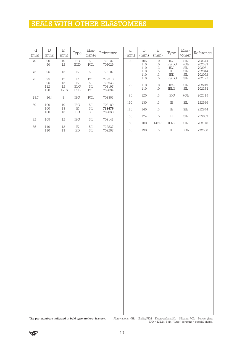## SEALS WITH OTHER ELASTOMERS

| d<br>(mm) | D<br>(mm)              | $\mathbf E$<br>(mm)              | Type                                              | Elas-<br>tomer                                                             | Reference                            | d<br>(mm) | $\mathbb D$<br>(mm)       | $\mathbf E$<br>(mm)   |  |
|-----------|------------------------|----------------------------------|---------------------------------------------------|----------------------------------------------------------------------------|--------------------------------------|-----------|---------------------------|-----------------------|--|
| 70        | 90<br>90               | 10<br>12                         | IEG<br>$\text{IELD}$                              | $\text{SIL}{}$<br>$\mbox{POL}$                                             | 722127<br>702029                     | 90        | 105<br>$110\,$<br>110     | 10<br>10<br>12        |  |
| 72        | 95                     | 12                               | $\rm I\!E$                                        | $\operatorname{SIL}$                                                       | 772107                               |           | 110<br>110                | $\overline{13}$<br>13 |  |
| 75        | 95<br>95<br>112<br>120 | $12 \,$<br>12<br>$12\,$<br>14x15 | IE<br>$\rm I\!E$<br>$\operatorname{IELG}$<br>IELD | $\mathop{\rm POL}\nolimits$<br>$\text{SIL}$<br>$\operatorname{SIL}$<br>POL | 772318<br>722632<br>702197<br>702094 | 92        | $110\,$<br>110<br>$110\,$ | 15<br>10<br>$10\,$    |  |
| 78.7      | 96.4                   | 9                                | IEG                                               | POL                                                                        | 702303                               | 95        | $120\,$                   | 13                    |  |
| 80        | 100                    | 10                               | $IEG$                                             | $\operatorname{SIL}$                                                       | 702189                               | 110       | 130                       | 13                    |  |
|           | 100<br>100             | 13<br>13                         | $\rm I\!E$<br>$IEG$                               | $\operatorname{SIL}$<br>$\operatorname{SIL}$                               | 722476<br>702030                     | 115       | 140                       | 13                    |  |
| 82        | 105                    | 12                               | IEG                                               | SL                                                                         | 702141                               | 155       | 174                       | $15\,$                |  |
| 85        | 110                    | 13                               | $_{\rm IE}$                                       | $\operatorname{SIL}$                                                       | 722837                               | 158       | 180                       | 14x15                 |  |
|           | 110                    | 13                               | IED                                               | SL                                                                         | 702207                               | 165       | 190                       | 13                    |  |
|           |                        |                                  |                                                   |                                                                            |                                      |           |                           |                       |  |

| d    | D                                      | E                                |                                                          | Elas-                                                | Reference                                                |
|------|----------------------------------------|----------------------------------|----------------------------------------------------------|------------------------------------------------------|----------------------------------------------------------|
| (mm) | (mm)                                   | (mm)                             | Type                                                     | tomer                                                |                                                          |
| 90   | 105<br>110<br>110<br>110<br>110<br>110 | 10<br>10<br>12<br>13<br>13<br>15 | IEG<br><b>IEWLG</b><br><b>IEG</b><br>IF.<br>IED<br>IEWLG | SIL<br>POL<br><b>SIL</b><br><b>SIL</b><br>SIL<br>SIL | 702374<br>702389<br>702031<br>722814<br>702092<br>702125 |
| 92   | 110<br>110                             | 10<br>10                         | IEG<br><b>IELG</b>                                       | SIL<br><b>SIL</b>                                    | 702219<br>702284                                         |
| 95   | 120                                    | 13                               | <b>IEIG</b>                                              | POL                                                  | 702115                                                   |
| 110  | 130                                    | 13                               | IE                                                       | <b>SIL</b>                                           | 722536                                                   |
| 115  | 140                                    | 13                               | IE                                                       | SIL                                                  | 722844                                                   |
| 155  | 174                                    | 15                               | IEL                                                      | SIL                                                  | 725609                                                   |
| 158  | 180                                    | 14x15                            | <b>IELG</b>                                              | SIL                                                  | 702140                                                   |
| 165  | 190                                    | 13                               | IE                                                       | POL                                                  | 772330                                                   |

 $\top$ 

The part numbers indicated in bold type are kept in stock. Abreviations: NBR = Nitrile; FKM = Fluorocarbon; SIL = Silicone; POL = Polyacrylate;<br>EPD = EPDM; S (in ''Type'' column) = special shape.

 $\bigotimes$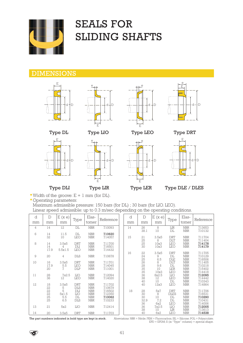![](_page_40_Picture_0.jpeg)

## SEALS FOR SLIDING SHAFTS

#### DIMENSIONS

![](_page_40_Figure_3.jpeg)

![](_page_40_Figure_4.jpeg)

E

![](_page_40_Figure_5.jpeg)

![](_page_40_Figure_6.jpeg)

Type DL Type LIO Type LEO Type DRT

![](_page_40_Figure_8.jpeg)

![](_page_40_Figure_9.jpeg)

 $\overline{\mathsf{C}}$ d D d D  $\overline{\mathsf{d}}$ 

• Width of the groove:  $E + 1$  mm (for DL).

d + D

 $\mathbb{E}_{\rightarrow}$  e

• Operating parameters:

Maximum admissible pressure: 150 bars (for DL) ; 30 bars (for LIO. LEO). Linear speed admissible: up to 0.3 m/sec depending on the operating conditions.

 $d + D$ 

| d              | D                                  | E(x e)                         |                                                             | Elas-                                                | Reference                            |  | d  | D                            | E(xe)                        | Type                                                | Elas-                                                              | Reference                                      |
|----------------|------------------------------------|--------------------------------|-------------------------------------------------------------|------------------------------------------------------|--------------------------------------|--|----|------------------------------|------------------------------|-----------------------------------------------------|--------------------------------------------------------------------|------------------------------------------------|
| mm             | mm                                 | mm                             | Type                                                        | tomer                                                |                                      |  |    | mm                           | mm                           |                                                     | tomer                                                              |                                                |
| $\overline{4}$ | 14                                 | 12                             | DL                                                          | <b>NBR</b>                                           | 710093                               |  | 14 | 26<br>38.1                   | 8<br>10                      | LIR<br>DL                                           | <b>NBR</b><br><b>NBR</b>                                           | 713653<br>710132                               |
| 6              | 14<br>32                           | 11.5<br>10                     | DL<br><b>LEO</b>                                            | <b>NBR</b><br><b>NBR</b>                             | 710620<br>714057                     |  | 15 | 21                           | 3.5x5<br>8                   | <b>DRT</b><br><b>DLT</b>                            | <b>NBR</b><br><b>NBR</b>                                           | 711704<br>711404                               |
| 8              | 14<br>14<br>17.9                   | 3.5x5<br>4<br>5.5x1.5          | <b>DRT</b><br>DLI<br><b>LEO</b>                             | <b>NBR</b><br><b>NBR</b><br><b>NBR</b>               | 711700<br>716501<br>714432           |  |    | $\frac{25}{25}$<br>30        | 10x3<br>10x3                 | <b>LEO</b><br><b>LEO</b>                            | <b>NBR</b><br><b>NBR</b>                                           | 714178<br>714179                               |
| 9              | 20                                 | 4                              | <b>DLS</b>                                                  | <b>NBR</b>                                           | 710678                               |  | 16 | 22                           | 3.5x5<br>9<br>6.5            | <b>DRT</b><br>DL<br><b>DLE</b>                      | <b>NBR</b><br><b>NBR</b><br><b>NBR</b>                             | 711705<br>710129<br>716506                     |
| 10             | 16<br>17.9<br>20                   | 3.5x5<br>5.5<br>$\overline{7}$ | <b>DRT</b><br><b>LEO</b><br><b>DLP</b>                      | <b>NBR</b><br><b>NBR</b><br><b>NBR</b>               | 711701<br>714045<br>711001           |  |    | 24528855688340               | 8<br>9.6<br>10<br>10x3       | <b>DLT</b><br>DL<br><b>LER</b><br><b>LEO</b>        | <b>NBR</b><br><b>NBR</b><br><b>NBR</b><br><b>NBR</b>               | 711405<br>710218<br>715402<br>714418           |
| 11             | 28<br>36                           | 7x2.5<br>12                    | LIO<br><b>LEO</b>                                           | <b>NBR</b><br><b>NBR</b>                             | 712094<br>714020                     |  |    |                              | 8x2.5<br>12<br>10            | LIO<br><b>LEO</b><br>DL                             | <b>NBR</b><br><b>NBR</b><br><b>NBR</b>                             | 712095<br>714442<br>710343                     |
| 12             | 18                                 | 3.5x5<br>$\frac{5}{5}$         | <b>DRT</b><br><b>DLS</b>                                    | <b>NBR</b><br><b>NBR</b>                             | 711702<br>710679                     |  |    | 40                           | 12x3                         | <b>LEO</b>                                          | <b>NBR</b>                                                         | 714864                                         |
|                | $22$<br>$22$<br>$22$<br>$25$<br>25 | 5x1.5<br>5.5<br>6.5            | $\mathbf{D}\mathbf{L}\mathbf{I}$<br>LIO<br>DL<br><b>DLS</b> | <b>NBR</b><br><b>NBR</b><br><b>NBR</b><br><b>NBR</b> | 716502<br>712350<br>710062<br>710233 |  | 18 | 28<br>30<br>30<br>32.9<br>36 | 5x7<br>8<br>10<br>7.2<br>6x2 | <b>DRT</b><br><b>DLES</b><br>DL<br>DL<br><b>LEO</b> | <b>NBR</b><br><b>NBR</b><br><b>NBR</b><br><b>NBR</b><br><b>NBR</b> | 711706<br>716531<br>710290<br>710431<br>714006 |
| 13             | 21                                 | 5x2                            | LIO                                                         | <b>NBR</b>                                           | 712414                               |  |    | 36<br>38                     | 7x2.5<br>10                  | LIO<br>LIR                                          | <b>NBR</b><br><b>NBR</b>                                           | 712005<br>713613                               |
| 14             | 20                                 | 3.5x5                          | <b>DRT</b>                                                  | <b>NBR</b>                                           | 711703                               |  |    | 40                           | 6x2                          | <b>LEO</b>                                          | <b>NBR</b>                                                         | 714538                                         |

The part numbers indicated in bold type are kept in stock. Abreviations: NBR = Nitrile; FKM = Fluorocarbon; SIL = Silicone; POL = Polyacrylate; EPD = EPDM; S (in "Type" column) = special shape.

![](_page_40_Picture_17.jpeg)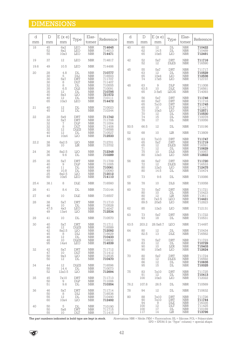## DIMENSIONS

| d<br>mm        | $\mathbb D$<br>mm                             | E(xe)<br>mm                                                                    | Type                                                                                                            | Elas-<br>tomer                                                                  | Reference                                                                         | d<br>mm    | $\mathbf D$<br>mm                             | E(xe)<br>mm                                                           | Type                                                                                                                                                                                                                                                                                                                                                                                                                                                                                                                                | Elas-<br>tomer                                                                                           | Reference                                          |
|----------------|-----------------------------------------------|--------------------------------------------------------------------------------|-----------------------------------------------------------------------------------------------------------------|---------------------------------------------------------------------------------|-----------------------------------------------------------------------------------|------------|-----------------------------------------------|-----------------------------------------------------------------------|-------------------------------------------------------------------------------------------------------------------------------------------------------------------------------------------------------------------------------------------------------------------------------------------------------------------------------------------------------------------------------------------------------------------------------------------------------------------------------------------------------------------------------------|----------------------------------------------------------------------------------------------------------|----------------------------------------------------|
| 18             | $\frac{45}{52}$<br>55                         | 6x2<br>8x2<br>10x3                                                             | $\rm{LEO}$<br>LEO                                                                                               | $\begin{array}{c} \text{NBR} \\ \text{NBR} \end{array}$<br>$\operatorname{NBR}$ | 714645<br>714013<br>714471                                                        | 40         | 60<br>62<br>65                                | $\frac{12}{14.5}$<br>10x5                                             | $\mathop{\rm DL}\nolimits$<br>$\mathop{\rm DL}\nolimits$<br>$LIO$                                                                                                                                                                                                                                                                                                                                                                                                                                                                   | $\begin{array}{c} \text{NBR} \\ \text{NBR} \end{array}$<br>${\rm NBR}$                                   | 710422<br>710489<br>712491                         |
| 19             | 37                                            | $12\,$                                                                         | <b>LEO</b>                                                                                                      | <b>NBR</b>                                                                      | 714817                                                                            | 42         | 52<br>52                                      | $5\mathrm{x}7$<br>12                                                  | <b>DRT</b><br><b>DLES</b>                                                                                                                                                                                                                                                                                                                                                                                                                                                                                                           | <b>NBR</b><br>${\rm NBR}$                                                                                | 711716<br>716590                                   |
| 19.6<br>$20\,$ | 49<br>$\begin{array}{c} 28 \\ 30 \end{array}$ | 10.5<br>4.8<br>$\mathbb S$<br>5x7                                              | LEO<br>$\mathop{\rm DL}\nolimits$<br>$\mathop{\rm DLI}\nolimits$<br><b>DRT</b>                                  | <b>NBR</b><br><b>NBR</b><br>$\rm{NBR}$<br>NBR<br>NBR<br>NBR                     | 714486<br>710777<br>716503<br>711707<br>711407                                    | 45         | 55<br>63<br>65<br>74                          | 5x7<br>$12\,$<br>$\frac{10x}{17x5}$                                   | <b>DRT</b><br>$\begin{tabular}{c} \multicolumn{1}{c}{ \multicolumn{1}{c}{ \multicolumn{1}{c}{ \multicolumn{1}{c}{ \multicolumn{1}{c}{ \multicolumn{1}{c}{ \multicolumn{1}{c}{ \multicolumn{1}{c}{ \multicolumn{1}{c}{ \multicolumn{1}{c}{ \multicolumn{1}{c}{ \multicolumn{1}{c}{ \multicolumn{1}{c}{ \multicolumn{1}{c}{ \multicolumn{1}{c}{ \multicolumn{1}{c}{ \multicolumn{1}{c}{ \multicolumn{1}{c}{ \multicolumn{1}{c}{ \multicolumn{1}{c}{ \multicolumn{1}{c}{ \multicolumn{1}{c}{ \multicolumn{1}{c}{ \multicolumn{$<br>LIO | $\operatorname{NBR}$<br>NBR<br>NBR<br>NBR                                                                | 711717<br>710529<br>712536<br>712737               |
|                | 30<br>30<br>32<br>35<br>35<br>40<br>40        | $\begin{array}{c} 8 \\ 8 \\ 6.5 \end{array}$<br>$12\,$<br>8x3                  | $_{\rm DLT}$<br>DL<br>$\overline{DIS}$<br>$\mathop{\rm DL}\nolimits$<br>$\rm LIO$<br>$\mathop{\rm DL}\nolimits$ | <b>NBR</b><br>${\rm NBR}$<br><b>NBR</b><br>NBR<br>NBR                           | 711407<br>710555<br>710091<br><b>710795<br/>721572</b><br>710111<br><b>714472</b> | 48<br>50   | 63<br>63.5<br>65<br>56                        | $\begin{array}{c} 9 \\ 10 \\ 3.5 \text{x} 5 \end{array}$<br>$5x7$     | ${\rm DLP} \atop {\rm DLE}$<br><b>LEOS</b><br><b>DRT</b>                                                                                                                                                                                                                                                                                                                                                                                                                                                                            | $\frac{\text{NBR}}{\text{NBR}}$<br>${\rm NBR}$<br>$\operatorname{NBR}$                                   | 711008<br>716561<br>714093<br>711746               |
|                | 65                                            | $\frac{12}{10x3}$                                                              | LEO                                                                                                             | $\operatorname{NBR}$                                                            |                                                                                   |            |                                               | $\frac{5x7}{7x10}$                                                    | <b>DRT</b><br><b>DRT</b>                                                                                                                                                                                                                                                                                                                                                                                                                                                                                                            | $\begin{array}{c} \text{NBR} \\ \text{NBR} \\ \text{NBR} \end{array}$                                    | $711718$<br>$711745$                               |
| 21<br>22       | 40<br>45                                      | $^{12}_{12}$                                                                   | $\mathop{\rm DL}\nolimits$<br>$\mathop{\rm DI}\nolimits$<br><b>DRT</b>                                          | ${\rm NBR}$<br>$\operatorname{NBR}$                                             | 710023<br>710344                                                                  |            | 60<br>65<br>65<br>70<br>70<br>70              | $\frac{10}{10x3}$<br>12                                               | $\rm{DLT}$<br>$LIO$<br>$\mathop{\rm DL}\nolimits$<br>$\mathop{\rm DL}\nolimits$                                                                                                                                                                                                                                                                                                                                                                                                                                                     | NBR<br>NBR<br>NBR                                                                                        | $711417$<br>$712571$<br>710530<br>710078<br>710056 |
|                | $\substack{28 \\ 32}$                         | $_{5x7}^{5x9}$                                                                 | <b>DRT</b><br><b>DLP</b>                                                                                        | $\frac{\text{NBR}}{\text{NBR}}$<br>$\operatorname{NBR}$                         | <b>711742</b><br>711708<br>711004                                                 |            | $\frac{74}{76}$                               | $\frac{15}{17}$                                                       | $\mathop{\rm DL}\nolimits$                                                                                                                                                                                                                                                                                                                                                                                                                                                                                                          | $\begin{array}{c} \text{NBR} \\ \text{NBR} \end{array}$                                                  |                                                    |
|                | $32$<br>$32$<br>$32$                          | $\frac{7}{18}$<br>$\frac{8}{12}$                                               | $\rm{DLT}$<br><b>DLES</b>                                                                                       | $\operatorname{NBR}$<br><b>NBR</b>                                              | 711408<br>716588<br>716527<br>71 <b>2533</b>                                      | 50.5       | 66.5                                          | $12 \,$                                                               | $\mathop{\rm DL}\nolimits$                                                                                                                                                                                                                                                                                                                                                                                                                                                                                                          | $\operatorname{NBR}$                                                                                     | 710196                                             |
|                | 40<br>44                                      | 10x4                                                                           | $\mathop{\rm DL}\nolimits$<br>LIO                                                                               | ${\rm NBR}$<br><b>NBR</b>                                                       |                                                                                   | 52         | 68                                            | $10\,$                                                                | $\ensuremath{\text{LIR}}\xspace$                                                                                                                                                                                                                                                                                                                                                                                                                                                                                                    | $\operatorname{NBR}$                                                                                     | 713809                                             |
| 22.2           | 38<br>38                                      | 6x2.5<br>10                                                                    | LIO<br>$\rm LIR$                                                                                                | <b>NBR</b><br>$\operatorname{NBR}$                                              | 712701<br>713702                                                                  | 55         | 63<br>65<br>$65$<br>$71$                      | 7x10<br>$5x7$<br>$\frac{12}{12}$                                      | <b>DRT</b><br><b>DRT</b><br><b>DLES</b><br>$\mathop{\rm DL}\nolimits$                                                                                                                                                                                                                                                                                                                                                                                                                                                               | $\frac{\text{NBR}}{\text{NBR}}$<br>$\begin{array}{c} \text{NBR} \\ \text{NBR} \\ \text{NBR} \end{array}$ | 711747<br>711719<br>716591<br>710629               |
| 24             | 36<br>36                                      | 8x2.5<br>9.6                                                                   | LIO<br>DL                                                                                                       | $\operatorname{NBR}$<br>$\operatorname{NBR}$                                    | 712348<br>710289                                                                  |            | 75<br>80                                      | $\frac{10}{12x3}$                                                     | $_{\rm DLS}$<br>LIO                                                                                                                                                                                                                                                                                                                                                                                                                                                                                                                 | ${\rm NBR}$<br>$\operatorname{NBR}$                                                                      | 710057<br>712822                                   |
| 25             | 35<br>$\frac{40}{45}$<br>49<br>25             | $5\mathrm{x}7$<br>$\begin{array}{c} 9 \\ 9 \\ 11 \end{array}$<br>10.8<br>8x2.5 | <b>DRT</b><br>$\rm DLP$<br>$\mathop{\rm DL}\nolimits$<br>$\mathop{\rm DL}\nolimits$<br>LIO                      | <b>NBR</b><br>NBR<br>NBR<br>$\operatorname{NBR}$<br><b>NBR</b>                  | 711709<br>711005<br>710061<br>710060                                              | 56         | 66<br>72<br>80<br>80                          | $5\mathrm{x}7$<br>$\frac{12}{12x3}$<br>14.5                           | <b>DRT</b><br><b>DLES</b><br>$\rm LIO$<br>$\mathop{\rm DL}\nolimits$                                                                                                                                                                                                                                                                                                                                                                                                                                                                | $\operatorname{NBR}$<br>$\begin{array}{c} \text{NBR} \\ \text{NBR} \end{array}$<br>${\rm NBR}$           | 711720<br>716533<br>712475<br>710474               |
|                | 60                                            | 10x5                                                                           | <b>LEO</b>                                                                                                      | <b>NBR</b>                                                                      | 714110                                                                            | 57         | 73                                            | 9.6                                                                   | $\mathop{\rm DL}\nolimits$                                                                                                                                                                                                                                                                                                                                                                                                                                                                                                          | $\operatorname{NBR}$                                                                                     | 710086                                             |
| 25.4           | 38.1                                          | 8                                                                              | <b>DLE</b>                                                                                                      | <b>NBR</b>                                                                      | 716560                                                                            | 58         | 78                                            | 10                                                                    | <b>DLS</b>                                                                                                                                                                                                                                                                                                                                                                                                                                                                                                                          | $\operatorname{NBR}$                                                                                     | 710058                                             |
| 26             | $4\,\mathrm{l}$                               | 8.4                                                                            | DL                                                                                                              | <b>NBR</b>                                                                      | 710144                                                                            | 60         | 70<br>$\begin{array}{c} 80 \\ 80 \end{array}$ | 5x7                                                                   | <b>DRT</b><br>$\mathop{\rm DL}\nolimits$                                                                                                                                                                                                                                                                                                                                                                                                                                                                                            | $\operatorname{NBR}$<br>NBR<br>NBR<br>NBR                                                                | 711721                                             |
| $27\,$<br>28   | 40<br>38<br>$\overline{46}$                   | 10<br>$_{\rm 10}^{\rm 5x7}$                                                    | DLE<br>$\operatorname*{DRT}_{\operatorname*{DL}}$                                                               | <b>NBR</b><br>$\frac{\text{NBR}}{\text{NBR}}$                                   | 716507                                                                            |            | 85<br>89.5                                    | $\frac{10}{12}$<br>$\frac{12}{1}$ $\frac{7}{2}$ $\frac{5}{2}$<br>20x5 | LIR<br>LEO<br>LIO                                                                                                                                                                                                                                                                                                                                                                                                                                                                                                                   | $\operatorname{NBR}$<br>$\operatorname{NBR}$                                                             | $710423$ $713611$ $714421$<br>712823               |
|                | 47.5<br>49                                    | 4x3<br>13x4                                                                    | LEO<br>$\rm LiO$                                                                                                | <b>NBR</b><br><b>NBR</b>                                                        | $\begin{array}{c} 711710 \\ 710528 \\ 714047 \\ \textbf{712534} \end{array}$      | 62         | 85                                            | 12x3                                                                  | LIO                                                                                                                                                                                                                                                                                                                                                                                                                                                                                                                                 | <b>NBR</b>                                                                                               | 712131                                             |
| 29             | 41                                            | 10                                                                             | DL                                                                                                              | <b>NBR</b>                                                                      | 710570                                                                            | 63         | 73<br>93                                      | $5x7$<br>18                                                           | DRT<br>$\mathop{\rm DL}\nolimits$                                                                                                                                                                                                                                                                                                                                                                                                                                                                                                   | ${\rm NBR}$<br><b>NBR</b>                                                                                | 711722<br>710531                                   |
| 30             | $40\,$<br>$40\,$                              | 5x7<br>$12 \,$                                                                 | DRT<br><b>DLES</b>                                                                                              | $\operatorname{NBR}$<br>$\operatorname{NBR}$                                    | 711711<br>716589                                                                  | 63.5       | 203.2                                         | 28.5x8.7                                                              | LEO                                                                                                                                                                                                                                                                                                                                                                                                                                                                                                                                 | <b>NBR</b>                                                                                               | 714497                                             |
|                | $\frac{42}{45}$<br>46                         | 8x2.5<br>8<br>$12 \,$                                                          | LIO<br>$\mathbf{D}\mathbf{L}\mathbf{I}$<br>DI                                                                   | $\frac{\text{NBR}}{\text{NBR}}$<br><b>NBR</b>                                   | <b>712092</b><br>716629<br>710433                                                 | 64         | 80<br>82.5                                    | $^{12}_{13}$                                                          | DL<br>DLE                                                                                                                                                                                                                                                                                                                                                                                                                                                                                                                           | $\frac{\text{NBR}}{\text{NBR}}$                                                                          | 710434<br>716562                                   |
| 32             | 48<br>95<br>42                                | 10<br>14x4<br>5x7                                                              | <b>DLES</b><br>LEO<br><b>DRT</b>                                                                                | <b>NBR</b><br><b>NBR</b><br>${\rm NBR}$                                         | 716532<br>714539                                                                  | 65         | 75<br>83<br>90<br>90                          | 5x7<br>12<br>10<br>10x5                                               | <b>DRT</b><br>$\mathop{\rm DL}\nolimits$<br>LER<br>LIO                                                                                                                                                                                                                                                                                                                                                                                                                                                                              | $\frac{\text{NBR}}{\text{NBR}}$<br>$\frac{\text{NBR}}{\text{NBR}}$                                       | 711723<br>710729<br>715403<br>712624               |
|                | $47\,$<br>50<br>50                            | 10<br>9x3<br>$12 \,$                                                           | DLT<br>LIO<br>DL                                                                                                | ${\rm NBR}$<br><b>NBR</b><br><b>NBR</b>                                         | 711712<br>711412<br>712535<br>710470                                              | 70         | 80<br>80<br>86                                | 5x7<br>$12\,$<br>$12\,$                                               | <b>DRT</b><br><b>DLES</b><br>$\mathop{\rm DL}\nolimits$                                                                                                                                                                                                                                                                                                                                                                                                                                                                             | $\operatorname{NBR}$<br><b>NBR</b><br><b>NBR</b>                                                         | 711724<br>716592<br>710635                         |
| 34             | 44<br>50<br>52                                | 12<br>14.4<br>12x3.5                                                           | <b>DLES</b><br>DL<br>LIO                                                                                        | <b>NBR</b><br><b>NBR</b><br><b>NBR</b>                                          | 716596<br>710073<br>712694                                                        | 75         | 95<br>83<br>91                                | 15<br>7x10<br>12                                                      | DL<br><b>DRT</b><br>$\mathop{\rm DL}\nolimits$                                                                                                                                                                                                                                                                                                                                                                                                                                                                                      | ${\rm NBR}$<br>$\operatorname{NBR}$<br>$\operatorname{NBR}$                                              | 710025<br>711725<br>710413                         |
| 35             | 45<br>50                                      | 7x10<br>$\begin{array}{c} 9 \\ 9.6 \end{array}$                                | <b>DRT</b><br>DLP                                                                                               | <b>NBR</b><br>$\operatorname{NBR}$                                              | 711713<br>711006<br>710354                                                        |            | 100                                           | 10x3                                                                  | $LIO$                                                                                                                                                                                                                                                                                                                                                                                                                                                                                                                               | $\operatorname{NBR}$                                                                                     | 712022                                             |
| 36             | 51                                            |                                                                                | $\mathop{\rm DL}\nolimits$<br><b>DRT</b>                                                                        | <b>NBR</b>                                                                      |                                                                                   | 76.2<br>78 | 107.8<br>94                                   | 26.5<br>12                                                            | DL<br>$\mathbb{D}\mathbb{L}$                                                                                                                                                                                                                                                                                                                                                                                                                                                                                                        | <b>NBR</b>                                                                                               | 710569<br>710632                                   |
|                | $\substack{46 \\ 50}$<br>55<br>60             | 5x7<br>$\,8\,$<br>$12\,$<br>10x4                                               | $\mathbf{D}\mathbf{L}\mathbf{I}$<br>DL<br>LIO                                                                   | $\operatorname{NBR}$<br><b>NBR</b><br>$\operatorname{NBR}$<br><b>NBR</b>        | 711714<br>716536<br>710490<br>712492                                              | 80         | 88<br>90                                      | 7x10<br>7x10                                                          | <b>DRT</b><br><b>DRT</b>                                                                                                                                                                                                                                                                                                                                                                                                                                                                                                            | $\operatorname{NBR}$<br>$\operatorname{NBR}$<br>$\rm{NBR}$                                               | 711726                                             |
| 40             | 50<br>50<br>55                                | 5<br>5x8<br>10                                                                 | DL<br>DRT<br>DLT                                                                                                | ${\rm NBR}$<br>${\rm NBR}$<br><b>NBR</b>                                        | 710190<br>711715<br>711415                                                        |            | 94<br>100<br>$^{100}_{117}$                   | $\begin{bmatrix} 9 \\ 12 \end{bmatrix}$<br>$\substack{17 \\ 14}$      | DLE<br>DLT<br>$\underline{\rm DL}$<br>LIR                                                                                                                                                                                                                                                                                                                                                                                                                                                                                           | $\operatorname{NBR}$<br>${\rm NBR}$<br>$\ensuremath{\text{NBR}}$<br><b>NBR</b>                           | 711744<br>716335<br>711425<br>710169<br>713796     |

The part numbers indicated in bold type are kept in stock. Abreviations: NBR = Nitrile; FKM = Fluorocarbon; SIL = Silicone; POL = Polyacrylate;<br>EPD = EPDM; S (in ''Type'' column) = special shape.

 $\bigotimes$